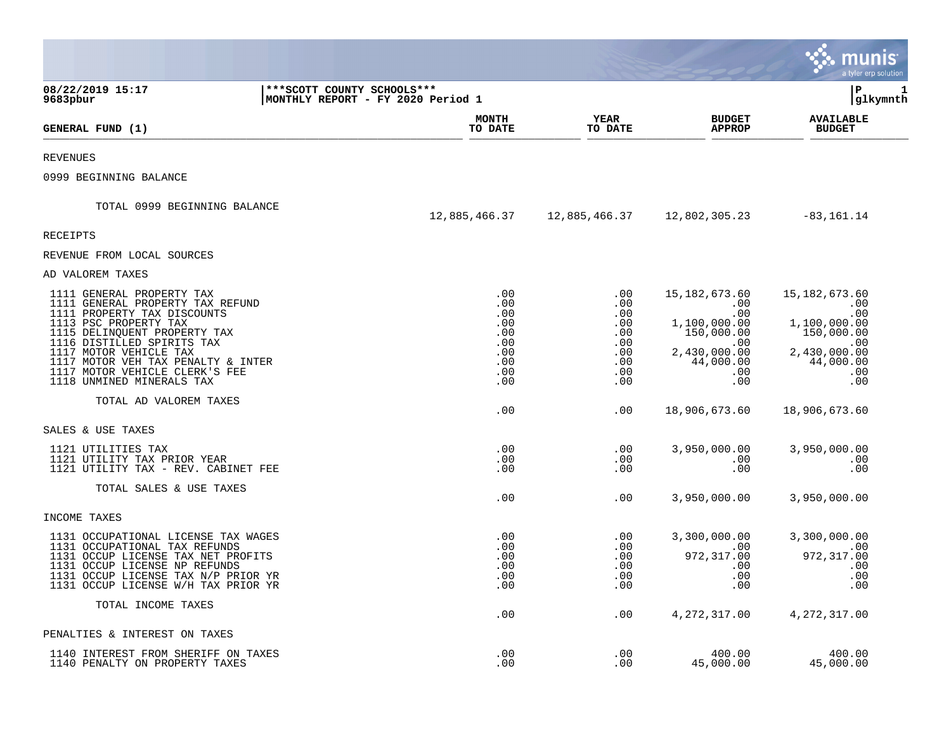|                                                                                                                                                                                                                                                                                                                    |                                                                   |                                                                    |                                                                    |                                                                                                               | munis<br>a tyler erp solution                                                                                 |
|--------------------------------------------------------------------------------------------------------------------------------------------------------------------------------------------------------------------------------------------------------------------------------------------------------------------|-------------------------------------------------------------------|--------------------------------------------------------------------|--------------------------------------------------------------------|---------------------------------------------------------------------------------------------------------------|---------------------------------------------------------------------------------------------------------------|
| 08/22/2019 15:17<br>9683pbur                                                                                                                                                                                                                                                                                       | *** SCOTT COUNTY SCHOOLS ***<br>MONTHLY REPORT - FY 2020 Period 1 |                                                                    |                                                                    |                                                                                                               | lР<br>1<br> glkymnth                                                                                          |
| <b>GENERAL FUND (1)</b>                                                                                                                                                                                                                                                                                            |                                                                   | <b>MONTH</b><br>TO DATE                                            | <b>YEAR</b><br>TO DATE                                             | <b>BUDGET</b><br><b>APPROP</b>                                                                                | <b>AVAILABLE</b><br><b>BUDGET</b>                                                                             |
| <b>REVENUES</b>                                                                                                                                                                                                                                                                                                    |                                                                   |                                                                    |                                                                    |                                                                                                               |                                                                                                               |
| 0999 BEGINNING BALANCE                                                                                                                                                                                                                                                                                             |                                                                   |                                                                    |                                                                    |                                                                                                               |                                                                                                               |
| TOTAL 0999 BEGINNING BALANCE                                                                                                                                                                                                                                                                                       |                                                                   | 12,885,466.37                                                      | 12,885,466.37                                                      | 12,802,305.23                                                                                                 | $-83, 161.14$                                                                                                 |
| RECEIPTS                                                                                                                                                                                                                                                                                                           |                                                                   |                                                                    |                                                                    |                                                                                                               |                                                                                                               |
| REVENUE FROM LOCAL SOURCES                                                                                                                                                                                                                                                                                         |                                                                   |                                                                    |                                                                    |                                                                                                               |                                                                                                               |
| AD VALOREM TAXES                                                                                                                                                                                                                                                                                                   |                                                                   |                                                                    |                                                                    |                                                                                                               |                                                                                                               |
| 1111 GENERAL PROPERTY TAX<br>1111 GENERAL PROPERTY TAX REFUND<br>1111 PROPERTY TAX DISCOUNTS<br>1113 PSC PROPERTY TAX<br>1115 DELINQUENT PROPERTY TAX<br>1116 DISTILLED SPIRITS TAX<br>1117 MOTOR VEHICLE TAX<br>1117 MOTOR VEH TAX PENALTY & INTER<br>1117 MOTOR VEHICLE CLERK'S FEE<br>1118 UNMINED MINERALS TAX |                                                                   | .00<br>.00<br>.00<br>.00<br>.00<br>.00<br>.00<br>.00<br>.00<br>.00 | .00<br>.00<br>.00<br>.00<br>.00<br>.00<br>.00<br>.00<br>.00<br>.00 | 15, 182, 673.60<br>.00<br>.00<br>1,100,000.00<br>150,000.00<br>.00<br>2,430,000.00<br>44,000.00<br>.00<br>.00 | 15, 182, 673.60<br>.00<br>.00<br>1,100,000.00<br>150,000.00<br>.00<br>2,430,000.00<br>44,000.00<br>.00<br>.00 |
| TOTAL AD VALOREM TAXES                                                                                                                                                                                                                                                                                             |                                                                   | .00                                                                | .00                                                                | 18,906,673.60                                                                                                 | 18,906,673.60                                                                                                 |
| SALES & USE TAXES                                                                                                                                                                                                                                                                                                  |                                                                   |                                                                    |                                                                    |                                                                                                               |                                                                                                               |
| 1121 UTILITIES TAX<br>1121 UTILITY TAX PRIOR YEAR<br>1121 UTILITY TAX - REV. CABINET FEE                                                                                                                                                                                                                           |                                                                   | .00<br>.00<br>.00                                                  | .00<br>.00<br>.00                                                  | 3,950,000.00<br>.00<br>.00                                                                                    | 3,950,000.00<br>.00<br>.00                                                                                    |
| TOTAL SALES & USE TAXES                                                                                                                                                                                                                                                                                            |                                                                   | .00                                                                | .00                                                                | 3,950,000.00                                                                                                  | 3,950,000.00                                                                                                  |
| INCOME TAXES                                                                                                                                                                                                                                                                                                       |                                                                   |                                                                    |                                                                    |                                                                                                               |                                                                                                               |
| 1131 OCCUPATIONAL LICENSE TAX WAGES<br>1131 OCCUPATIONAL TAX REFUNDS<br>1131 OCCUP LICENSE TAX NET PROFITS<br>1131 OCCUP LICENSE NP REFUNDS<br>1131 OCCUP LICENSE TAX N/P PRIOR YR<br>1131 OCCUP LICENSE W/H TAX PRIOR YR                                                                                          |                                                                   | .00<br>.00<br>.00<br>.00<br>.00<br>.00                             | .00<br>.00<br>.00<br>.00<br>.00<br>.00                             | 3,300,000.00<br>.00<br>972,317.00<br>.00.<br>.00<br>.00                                                       | 3,300,000.00<br>.00<br>972, 317.00<br>.00<br>.00<br>.00                                                       |
| TOTAL INCOME TAXES                                                                                                                                                                                                                                                                                                 |                                                                   | .00                                                                | .00                                                                | 4, 272, 317.00                                                                                                | 4, 272, 317.00                                                                                                |
| PENALTIES & INTEREST ON TAXES                                                                                                                                                                                                                                                                                      |                                                                   |                                                                    |                                                                    |                                                                                                               |                                                                                                               |
| 1140 INTEREST FROM SHERIFF ON TAXES<br>1140 PENALTY ON PROPERTY TAXES                                                                                                                                                                                                                                              |                                                                   | .00<br>.00                                                         | .00<br>.00                                                         | 400.00<br>45,000.00                                                                                           | 400.00<br>45,000.00                                                                                           |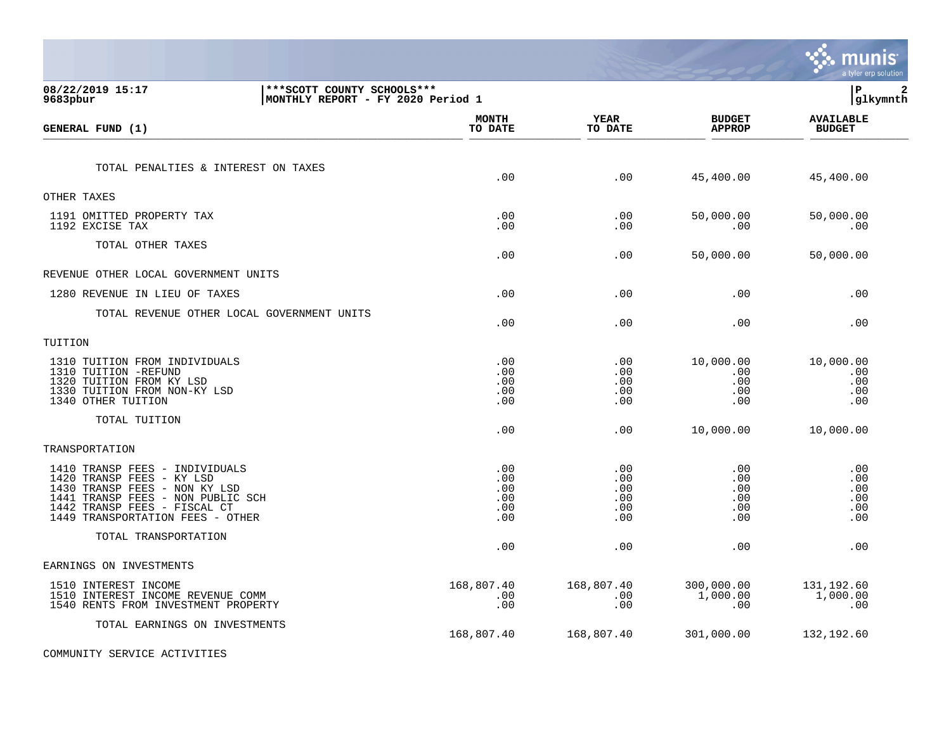|                                                                                                                                                                                                          |                                        |                                        |                                             | munis<br>a tyler erp solution          |
|----------------------------------------------------------------------------------------------------------------------------------------------------------------------------------------------------------|----------------------------------------|----------------------------------------|---------------------------------------------|----------------------------------------|
| *** SCOTT COUNTY SCHOOLS ***<br>08/22/2019 15:17<br>9683pbur<br>MONTHLY REPORT - FY 2020 Period 1                                                                                                        |                                        |                                        |                                             | lР<br>$\mathbf{2}$<br> glkymnth        |
| GENERAL FUND (1)                                                                                                                                                                                         | <b>MONTH</b><br>TO DATE                | YEAR<br>TO DATE                        | <b>BUDGET</b><br><b>APPROP</b>              | <b>AVAILABLE</b><br><b>BUDGET</b>      |
| TOTAL PENALTIES & INTEREST ON TAXES                                                                                                                                                                      | .00                                    | .00                                    | 45,400.00                                   | 45,400.00                              |
| OTHER TAXES                                                                                                                                                                                              |                                        |                                        |                                             |                                        |
| 1191 OMITTED PROPERTY TAX<br>1192 EXCISE TAX                                                                                                                                                             | .00<br>.00                             | .00<br>.00                             | 50,000.00<br>.00                            | 50,000.00<br>.00                       |
| TOTAL OTHER TAXES                                                                                                                                                                                        | .00                                    | .00                                    | 50,000.00                                   | 50,000.00                              |
| REVENUE OTHER LOCAL GOVERNMENT UNITS                                                                                                                                                                     |                                        |                                        |                                             |                                        |
| 1280 REVENUE IN LIEU OF TAXES                                                                                                                                                                            | .00                                    | .00                                    | .00                                         | .00                                    |
| TOTAL REVENUE OTHER LOCAL GOVERNMENT UNITS                                                                                                                                                               | .00                                    | .00                                    | .00                                         | .00                                    |
| TUITION                                                                                                                                                                                                  |                                        |                                        |                                             |                                        |
| 1310 TUITION FROM INDIVIDUALS<br>1310 TUITION -REFUND<br>1320 TUITION FROM KY LSD<br>1330 TUITION FROM NON-KY LSD<br>1340 OTHER TUITION                                                                  | .00<br>.00<br>.00<br>.00<br>.00        | .00<br>.00<br>.00<br>.00.<br>.00       | 10,000.00<br>.00<br>.00<br>.00<br>.00       | 10,000.00<br>.00<br>.00<br>.00<br>.00  |
| TOTAL TUITION                                                                                                                                                                                            | .00                                    | .00                                    |                                             |                                        |
| TRANSPORTATION                                                                                                                                                                                           |                                        |                                        | 10,000.00                                   | 10,000.00                              |
| 1410 TRANSP FEES - INDIVIDUALS<br>1420 TRANSP FEES - KY LSD<br>1430 TRANSP FEES - NON KY LSD<br>1441<br>TRANSP FEES - NON PUBLIC SCH<br>1442 TRANSP FEES - FISCAL CT<br>1449 TRANSPORTATION FEES - OTHER | .00<br>.00<br>.00<br>.00<br>.00<br>.00 | .00<br>.00<br>.00<br>.00<br>.00<br>.00 | .00<br>$.00 \,$<br>.00<br>.00<br>.00<br>.00 | .00<br>.00<br>.00<br>.00<br>.00<br>.00 |
| TOTAL TRANSPORTATION                                                                                                                                                                                     | .00                                    | .00                                    | .00                                         | .00                                    |
| EARNINGS ON INVESTMENTS                                                                                                                                                                                  |                                        |                                        |                                             |                                        |
| 1510 INTEREST INCOME<br>1510 INTEREST INCOME REVENUE COMM<br>1540 RENTS FROM INVESTMENT PROPERTY                                                                                                         | 168,807.40<br>.00<br>.00               | 168,807.40<br>.00<br>.00               | 300,000.00<br>1,000.00<br>.00               | 131,192.60<br>1,000.00<br>.00          |
| TOTAL EARNINGS ON INVESTMENTS                                                                                                                                                                            | 168,807.40                             | 168,807.40                             | 301,000.00                                  | 132,192.60                             |

COMMUNITY SERVICE ACTIVITIES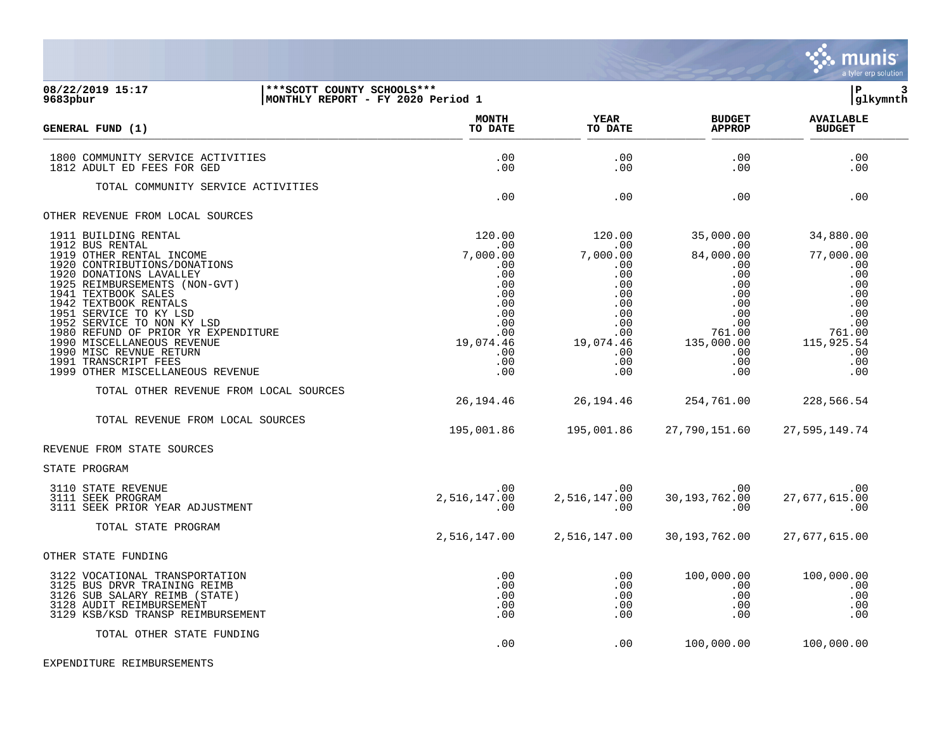

08/22/2019 15:17 **| \*\*\*SCOTT COUNTY SCHOOLS\*\*\***<br>9683pbur MONTHLY REPORT - FY 2020 Period 1 MONTHLY REPORT - FY 2020 Period 1  **MONTH AVAILABLE YEAR BUDGET** AVAILABLE **GENERAL FUND (1) TO DATE TO DATE APPROP BUDGET**   $\frac{10 \text{ Bheb}}{10 \text{ Bheb}}$ 1800 COMMUNITY SERVICE ACTIVITIES .00 .00 .00 .00 1812 ADULT ED FEES FOR GED TOTAL COMMUNITY SERVICE ACTIVITIES  $.00$  .  $.00$  .  $.00$  .  $.00$  .  $.00$  .  $.00$ OTHER REVENUE FROM LOCAL SOURCES

1919 OTHER RENTAL INCOME 1919 OTHER RENTAL INCOME 1919 OTHER RENTAL INCOME 1920 CONTRIBUTIONS/DONATIONS 1920 C 1920 CONTRIBUTIONS/DONATIONS .00 .00 .00 .00 1920 DONATIONS LAVALLEY .00 .00 .00 .00 1925 REIMBURSEMENTS (NON-GVT) .00 .00 .00 .00 1941 TEXTBOOK SALES .00 .00 .00 .00 1942 TEXTBOOK RENTALS .00 .00 .00 .00 1951 SERVICE TO KY LSD . .00 . . .00 . .00 . .00 . .00 . .00 . .00 . .00 . .00 . .00 . .00<br>1952 SERVICE TO NON KY LSD . .00 . .00 . .00 . .00 . .00 . .00 . .00 . .00 . .00 . .00 .00 .00 .00 .00 .00 .00 1952 SERVICE TO NON KY LSD . [1952 SERVICE TO NON KY LSD . [1952 SERVICE TO NON KY LSD . [1980 REFUND OF PRIOR<br>1980 REFUND OF PRIOR YR EXPENDITURE . . [1980 REFUND OF PRIOR YR EXPENDITURE . . [1980 REFUND OF PRIOR YR EXP 1980 REFUND OF PRIOR YR EXPENDITURE .00 .00 761.00 761.00 1990 MISCELLANEOUS REVENUE 19,074.46 19,074.46 135,000.00 115,925.54 1990 MISC REVNUE RETURN .00 .00 .00 .00 1991 TRANSCRIPT FEES .00 .00 .00 .00 1999 OTHER MISCELLANEOUS REVENUE TOTAL OTHER REVENUE FROM LOCAL SOURCES 26,194.46 26,194.46 254,761.00 228,566.54

TOTAL REVENUE FROM LOCAL SOURCES

# REVENUE FROM STATE SOURCES

STATE PROGRAM

|              | STATE PROGRAM                                                                                                                                                    |                                 |                                 |                                        |                                        |
|--------------|------------------------------------------------------------------------------------------------------------------------------------------------------------------|---------------------------------|---------------------------------|----------------------------------------|----------------------------------------|
| 3111<br>3111 | 3110 STATE REVENUE<br>SEEK PROGRAM<br>SEEK PRIOR YEAR ADJUSTMENT                                                                                                 | .00<br>2,516,147.00<br>.00      | $.00 \,$<br>2,516,147.00<br>.00 | .00<br>30,193,762.00<br>.00            | .00<br>27,677,615.00<br>.00            |
|              | TOTAL STATE PROGRAM                                                                                                                                              | 2,516,147.00                    | 2,516,147.00                    | 30,193,762.00                          | 27,677,615.00                          |
|              | OTHER STATE FUNDING                                                                                                                                              |                                 |                                 |                                        |                                        |
|              | 3122 VOCATIONAL TRANSPORTATION<br>3125 BUS DRVR TRAINING REIMB<br>3126 SUB SALARY REIMB (STATE)<br>3128 AUDIT REIMBURSEMENT<br>3129 KSB/KSD TRANSP REIMBURSEMENT | .00<br>.00<br>.00<br>.00<br>.00 | .00<br>.00<br>.00<br>.00<br>.00 | 100,000.00<br>.00<br>.00<br>.00<br>.00 | 100,000.00<br>.00<br>.00<br>.00<br>.00 |
|              | TOTAL OTHER STATE FUNDING                                                                                                                                        | .00                             | .00                             | 100,000.00                             | 100,000.00                             |
|              |                                                                                                                                                                  |                                 |                                 |                                        |                                        |

195,001.86 195,001.86 27,790,151.60 27,595,149.74

1911 BUILDING RENTAL 120.00 120.00 35,000.00 34,880.00 1912 BUS RENTAL .00 .00 .00 .00

#### EXPENDITURE REIMBURSEMENTS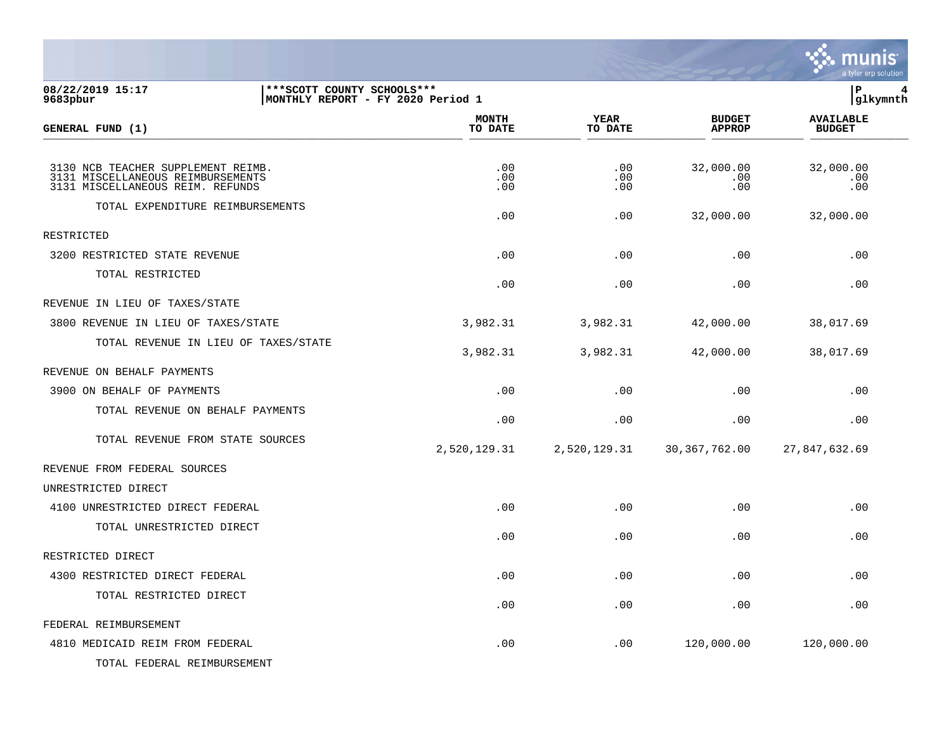

| 08/22/2019 15:17<br>*** SCOTT COUNTY SCHOOLS ***<br>9683pbur<br>MONTHLY REPORT - FY 2020 Period 1           |                         |                        |                                | P<br>4<br>glkymnth                |
|-------------------------------------------------------------------------------------------------------------|-------------------------|------------------------|--------------------------------|-----------------------------------|
| GENERAL FUND (1)                                                                                            | <b>MONTH</b><br>TO DATE | <b>YEAR</b><br>TO DATE | <b>BUDGET</b><br><b>APPROP</b> | <b>AVAILABLE</b><br><b>BUDGET</b> |
|                                                                                                             |                         |                        |                                |                                   |
| 3130 NCB TEACHER SUPPLEMENT REIMB.<br>3131 MISCELLANEOUS REIMBURSEMENTS<br>3131 MISCELLANEOUS REIM. REFUNDS | .00<br>.00<br>.00       | .00<br>.00<br>.00      | 32,000.00<br>.00<br>.00        | 32,000.00<br>.00<br>.00           |
| TOTAL EXPENDITURE REIMBURSEMENTS                                                                            | .00                     | .00                    | 32,000.00                      | 32,000.00                         |
| RESTRICTED                                                                                                  |                         |                        |                                |                                   |
| 3200 RESTRICTED STATE REVENUE                                                                               | .00                     | .00                    | .00                            | .00                               |
| TOTAL RESTRICTED                                                                                            | .00                     | .00                    | .00                            | .00                               |
| REVENUE IN LIEU OF TAXES/STATE                                                                              |                         |                        |                                |                                   |
| 3800 REVENUE IN LIEU OF TAXES/STATE                                                                         | 3,982.31                | 3,982.31               | 42,000.00                      | 38,017.69                         |
| TOTAL REVENUE IN LIEU OF TAXES/STATE                                                                        | 3,982.31                | 3,982.31               | 42,000.00                      | 38,017.69                         |
| REVENUE ON BEHALF PAYMENTS                                                                                  |                         |                        |                                |                                   |
| 3900 ON BEHALF OF PAYMENTS                                                                                  | .00                     | .00                    | .00                            | .00                               |
| TOTAL REVENUE ON BEHALF PAYMENTS                                                                            | .00                     | .00                    | .00                            | .00                               |
| TOTAL REVENUE FROM STATE SOURCES                                                                            | 2,520,129.31            | 2,520,129.31           | 30, 367, 762.00                | 27,847,632.69                     |
| REVENUE FROM FEDERAL SOURCES                                                                                |                         |                        |                                |                                   |
| UNRESTRICTED DIRECT                                                                                         |                         |                        |                                |                                   |
| 4100 UNRESTRICTED DIRECT FEDERAL                                                                            | .00                     | .00                    | .00                            | .00                               |
| TOTAL UNRESTRICTED DIRECT                                                                                   | .00                     | .00                    | .00                            | .00                               |
| RESTRICTED DIRECT                                                                                           |                         |                        |                                |                                   |
| 4300 RESTRICTED DIRECT FEDERAL                                                                              | .00                     | .00                    | .00                            | .00                               |
| TOTAL RESTRICTED DIRECT                                                                                     | .00                     | .00                    | .00                            | .00                               |
| FEDERAL REIMBURSEMENT                                                                                       |                         |                        |                                |                                   |
| 4810 MEDICAID REIM FROM FEDERAL                                                                             | .00                     | .00                    | 120,000.00                     | 120,000.00                        |

TOTAL FEDERAL REIMBURSEMENT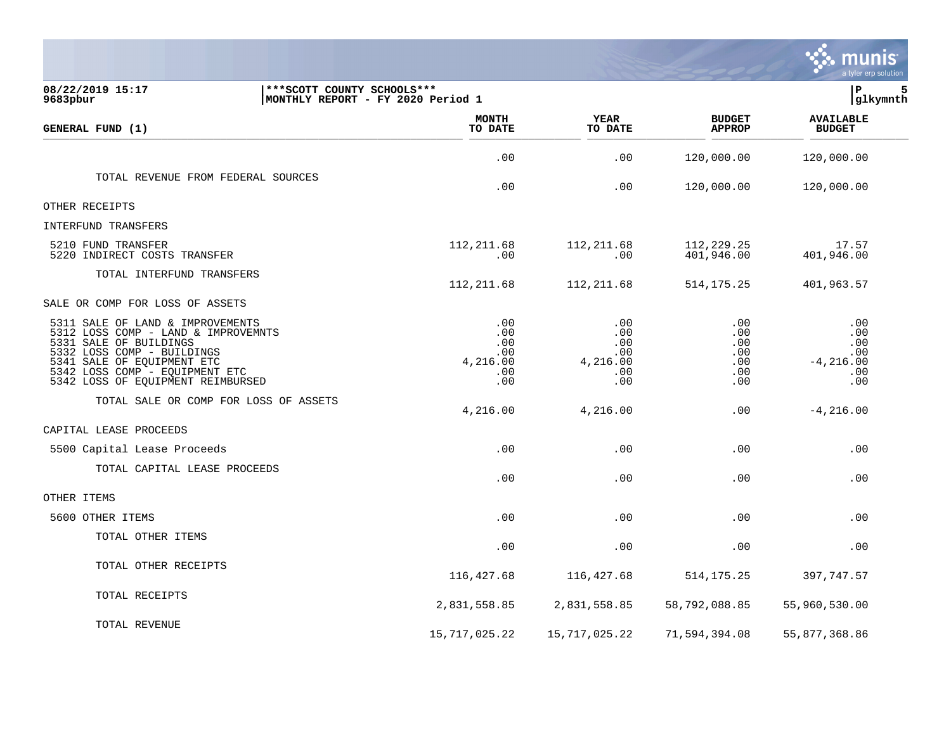|                                                                                                                                                                                                                                      |                                                                   |                                                    |                                                    |                                               | munis<br>a tyler erp solution                          |
|--------------------------------------------------------------------------------------------------------------------------------------------------------------------------------------------------------------------------------------|-------------------------------------------------------------------|----------------------------------------------------|----------------------------------------------------|-----------------------------------------------|--------------------------------------------------------|
| 08/22/2019 15:17<br>9683pbur                                                                                                                                                                                                         | *** SCOTT COUNTY SCHOOLS ***<br>MONTHLY REPORT - FY 2020 Period 1 |                                                    |                                                    |                                               | lР<br>5<br>glkymnth                                    |
| GENERAL FUND (1)                                                                                                                                                                                                                     |                                                                   | MONTH<br>TO DATE                                   | YEAR<br>TO DATE                                    | <b>BUDGET</b><br><b>APPROP</b>                | <b>AVAILABLE</b><br><b>BUDGET</b>                      |
|                                                                                                                                                                                                                                      |                                                                   | .00                                                | .00                                                | 120,000.00                                    | 120,000.00                                             |
| TOTAL REVENUE FROM FEDERAL SOURCES                                                                                                                                                                                                   |                                                                   | .00                                                | .00                                                | 120,000.00                                    | 120,000.00                                             |
| OTHER RECEIPTS                                                                                                                                                                                                                       |                                                                   |                                                    |                                                    |                                               |                                                        |
| INTERFUND TRANSFERS                                                                                                                                                                                                                  |                                                                   |                                                    |                                                    |                                               |                                                        |
| 5210 FUND TRANSFER<br>5220 INDIRECT COSTS TRANSFER                                                                                                                                                                                   |                                                                   | 112, 211.68<br>.00                                 | 112,211.68<br>.00                                  | 112,229.25<br>401,946.00                      | 17.57<br>401,946.00                                    |
| TOTAL INTERFUND TRANSFERS                                                                                                                                                                                                            |                                                                   | 112, 211.68                                        | 112, 211.68                                        | 514, 175. 25                                  | 401,963.57                                             |
| SALE OR COMP FOR LOSS OF ASSETS                                                                                                                                                                                                      |                                                                   |                                                    |                                                    |                                               |                                                        |
| 5311 SALE OF LAND & IMPROVEMENTS<br>5312 LOSS COMP - LAND & IMPROVEMNTS<br>5331 SALE OF BUILDINGS<br>5332 LOSS COMP - BUILDINGS<br>5341 SALE OF EQUIPMENT ETC<br>5342 LOSS COMP - EQUIPMENT ETC<br>5342 LOSS OF EQUIPMENT REIMBURSED |                                                                   | .00<br>.00<br>.00<br>.00<br>4,216.00<br>.00<br>.00 | .00<br>.00<br>.00<br>.00<br>4,216.00<br>.00<br>.00 | .00<br>.00<br>.00<br>.00<br>.00<br>.00<br>.00 | .00<br>.00<br>.00<br>.00<br>$-4, 216.00$<br>.00<br>.00 |
| TOTAL SALE OR COMP FOR LOSS OF ASSETS                                                                                                                                                                                                |                                                                   | 4,216.00                                           | 4,216.00                                           | .00                                           | $-4, 216.00$                                           |
| CAPITAL LEASE PROCEEDS                                                                                                                                                                                                               |                                                                   |                                                    |                                                    |                                               |                                                        |
| 5500 Capital Lease Proceeds                                                                                                                                                                                                          |                                                                   | .00                                                | .00                                                | .00                                           | .00                                                    |
| TOTAL CAPITAL LEASE PROCEEDS                                                                                                                                                                                                         |                                                                   | .00                                                | .00                                                | .00                                           | .00                                                    |
| OTHER ITEMS                                                                                                                                                                                                                          |                                                                   |                                                    |                                                    |                                               |                                                        |
| 5600 OTHER ITEMS                                                                                                                                                                                                                     |                                                                   | .00                                                | .00                                                | .00                                           | .00                                                    |
| TOTAL OTHER ITEMS                                                                                                                                                                                                                    |                                                                   | .00                                                | .00                                                | .00                                           | .00                                                    |
| TOTAL OTHER RECEIPTS                                                                                                                                                                                                                 |                                                                   | 116,427.68                                         | 116,427.68                                         | 514, 175. 25                                  | 397,747.57                                             |
| TOTAL RECEIPTS                                                                                                                                                                                                                       |                                                                   | 2,831,558.85                                       | 2,831,558.85                                       | 58,792,088.85                                 | 55,960,530.00                                          |
| TOTAL REVENUE                                                                                                                                                                                                                        |                                                                   | 15,717,025.22                                      | 15,717,025.22                                      | 71,594,394.08                                 | 55,877,368.86                                          |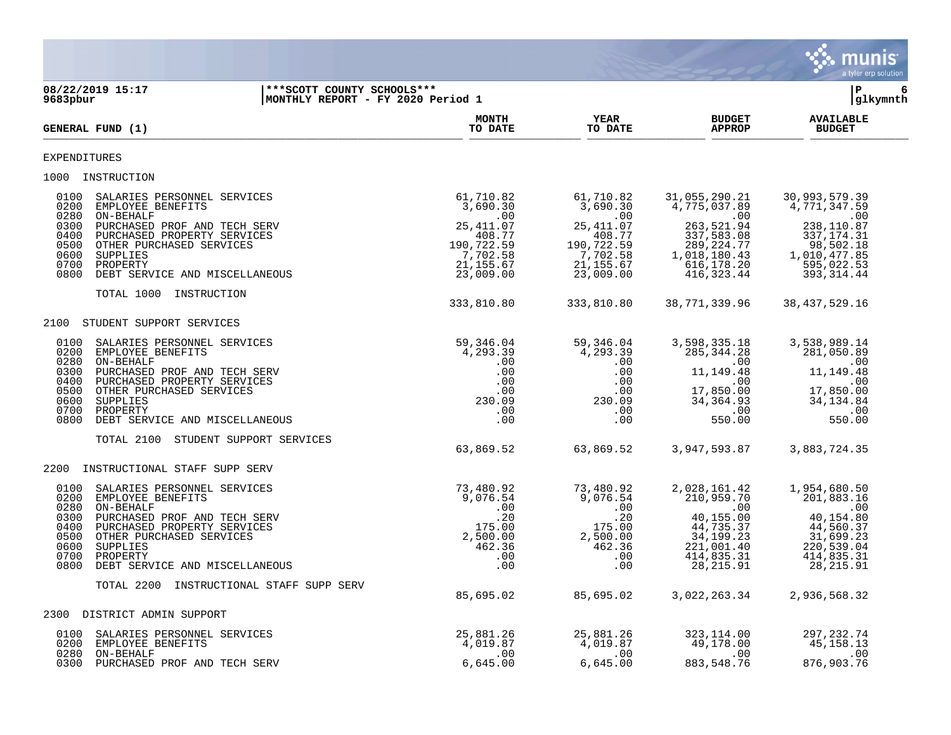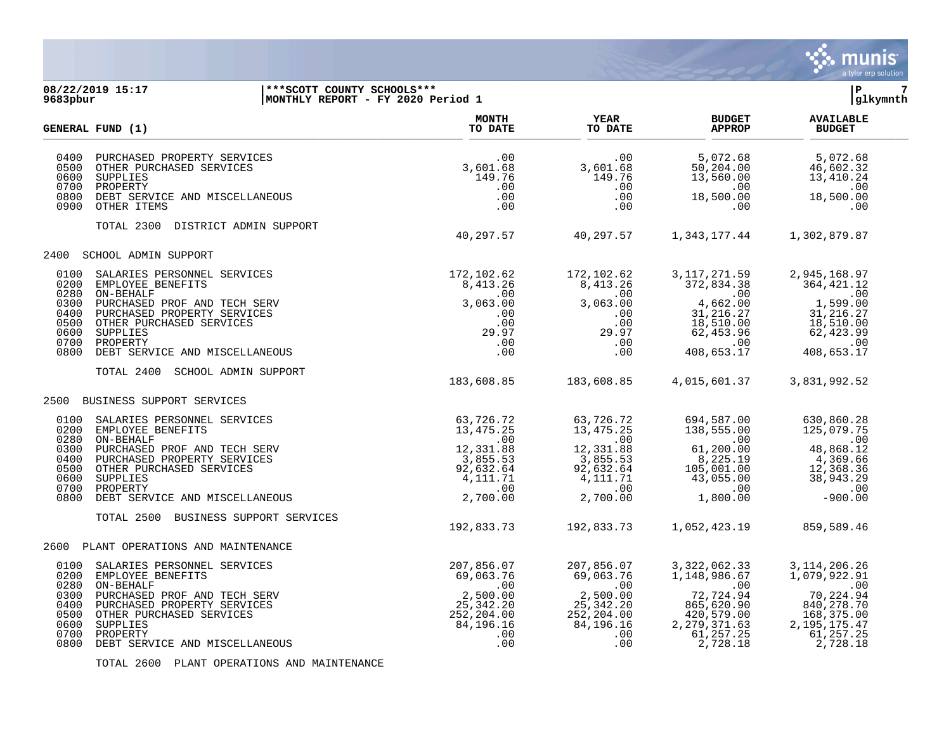

## **08/22/2019 15:17 |\*\*\*SCOTT COUNTY SCHOOLS\*\*\* |P 7 9683pbur |MONTHLY REPORT - FY 2020 Period 1 |glkymnth**

|                                                                      | GENERAL FUND (1)                                                                                                                                                                                                                                                                                                                                                                       | <b>MONTH</b><br>TO DATE                                                                            | <b>YEAR</b><br>TO DATE                                                                                  | <b>BUDGET</b><br><b>APPROP</b>                                                                                                                                                         | <b>AVAILABLE</b><br><b>BUDGET</b>                                                                                                |
|----------------------------------------------------------------------|----------------------------------------------------------------------------------------------------------------------------------------------------------------------------------------------------------------------------------------------------------------------------------------------------------------------------------------------------------------------------------------|----------------------------------------------------------------------------------------------------|---------------------------------------------------------------------------------------------------------|----------------------------------------------------------------------------------------------------------------------------------------------------------------------------------------|----------------------------------------------------------------------------------------------------------------------------------|
| 0400<br>0500<br>0600<br>0700<br>0800<br>0900                         | PURCHASED PROPERTY SERVICES<br>OTHER PURCHASED SERVICES<br>SUPPLIES<br>PROPERTY<br>DEBT SERVICE AND MISCELLANEOUS<br>OTHER ITEMS                                                                                                                                                                                                                                                       | .00<br>3,601.68<br>149.76<br>.00<br>.00<br>.00                                                     | .00<br>3,601.68<br>149.76<br>.00<br>$\frac{.00}{.00}$                                                   | 5,072.68<br>50, 204.00<br>13,560.00<br>.00<br>18,500.00<br>.00                                                                                                                         | 5,072.68<br>46,602.32<br>13,410.24<br>$\overline{00}$<br>18,500.00<br>.00                                                        |
|                                                                      | TOTAL 2300<br>DISTRICT ADMIN SUPPORT                                                                                                                                                                                                                                                                                                                                                   | 40, 297.57                                                                                         | 40,297.57                                                                                               | 1,343,177.44                                                                                                                                                                           | 1,302,879.87                                                                                                                     |
| 2400                                                                 | SCHOOL ADMIN SUPPORT                                                                                                                                                                                                                                                                                                                                                                   |                                                                                                    |                                                                                                         |                                                                                                                                                                                        |                                                                                                                                  |
| 0100<br>0200<br>0280<br>0300<br>0400<br>0500<br>0600<br>0700<br>0800 | SALARIES PERSONNEL SERVICES<br>EMPLOYEE BENEFITS<br>ON-BEHALF<br>PURCHASED PROF AND TECH SERV<br>PURCHASED PROPERTY SERVICES<br>OTHER PURCHASED SERVICES<br>SUPPLIES<br>PROPERTY<br>DEBT SERVICE AND MISCELLANEOUS                                                                                                                                                                     | 172,102.62<br>8,413.26<br>.00<br>3,063.00<br>.00<br>.00<br>29.97<br>.00<br>.00                     | 172,102.62<br>8,413.26<br>.00<br>3,063.00<br>.00<br>.00<br>29.97<br>.00<br>.00                          | 3, 117, 271.59<br>372,834.38<br>.00<br>4,662.00<br>31, 216.27<br>18,510.00<br>$96.264, 200$<br>00.<br>408,653.17                                                                       | 2,945,168.97<br>364, 421.12<br>.00<br>1,599.00<br>31,216.27<br>18,510.00<br>62,423.99<br>.00<br>408,653.17                       |
|                                                                      | TOTAL 2400<br>SCHOOL ADMIN SUPPORT                                                                                                                                                                                                                                                                                                                                                     | 183,608.85                                                                                         | 183,608.85                                                                                              | 4,015,601.37                                                                                                                                                                           | 3,831,992.52                                                                                                                     |
| 2500                                                                 | BUSINESS SUPPORT SERVICES                                                                                                                                                                                                                                                                                                                                                              |                                                                                                    |                                                                                                         |                                                                                                                                                                                        |                                                                                                                                  |
| 0100<br>0200<br>0280<br>0300<br>0400<br>0500<br>0600<br>0700<br>0800 | AL 2400 - NESS SUPPORT SERVICES<br>3ALARIES PERSONNEL SERVICES<br>EMPLOYEE BENEFITS<br>ON-BEHALF<br>PURCHASED PROF AND TECH SERV<br>PURCHASED PROPERTY SERVICES<br>OTHER PURCHASED SERVICES<br>OTHER PURCHASED SERVICES                                                                                                                                                                | 63,726.72<br>13,475.25<br>.00<br>12,331.88<br>3,855.53<br>92,632.64<br>4,111.71<br>.00<br>2,700.00 | 63,726.72<br>13,475.25<br>2,700.00                                                                      | $13,475.25$<br>$00$<br>$12,331.88$<br>$3,855.53$<br>$92,632.64$<br>$4,111.71$<br>$105,001.00$<br>$43,055.00$<br>$00$<br>$94, 50.$<br>$138, 555.00$<br>$-1.200.00$<br>$1.9$<br>1,800.00 | 630,860.28<br>125,079.75<br>$\overline{00}$<br>48,868.12<br>4,369.66<br>12,368.36<br>38,943.29<br>$\sim 00$<br>$-900.00$         |
|                                                                      | BUSINESS SUPPORT SERVICES<br>TOTAL 2500                                                                                                                                                                                                                                                                                                                                                | 192,833.73                                                                                         | 192,833.73                                                                                              | 1,052,423.19                                                                                                                                                                           | 859,589.46                                                                                                                       |
| 2600                                                                 | PLANT OPERATIONS AND MAINTENANCE                                                                                                                                                                                                                                                                                                                                                       |                                                                                                    |                                                                                                         |                                                                                                                                                                                        |                                                                                                                                  |
| 0100<br>0200<br>0280<br>0300<br>0400<br>0500<br>0600<br>0800         | ES<br>ERV<br>ERV<br>ES<br>2, 500.00<br>25, 342.20<br>25, 342.20<br>252, 204.00<br>84, 196.16<br>00<br>00<br>00<br>00<br>00<br>00<br>00<br>00<br>252, 204.00<br>SALARIES PERSONNEL SERVICES<br>EMPLOYEE BENEFITS<br>ON-BEHALF<br>PURCHASED PROF AND TECH SERV<br>PURCHASED PROPERTY SERVICES<br>OTHER PURCHASED SERVICES<br>SUPPLIES<br>0700 PROPERTY<br>DEBT SERVICE AND MISCELLANEOUS |                                                                                                    | 207,856.07<br>69,063.76<br>$\sim 00$<br>2,500.00<br>25,342.20<br>252, 204.00<br>84,196.16<br>.00<br>.00 | 3, 322, 062.33<br>1, 148, 986.67<br>$\sim$ 00<br>72,724.94<br>865,620.90<br>420, 579.00<br>2, 279, 371.63<br>61,257.25<br>2,728.18                                                     | 3, 114, 206. 26<br>1,079,922.91<br>$\sim$ 00<br>70,224.94<br>840,278.70<br>168,375.00<br>2, 195, 175.47<br>61,257.25<br>2,728.18 |

TOTAL 2600 PLANT OPERATIONS AND MAINTENANCE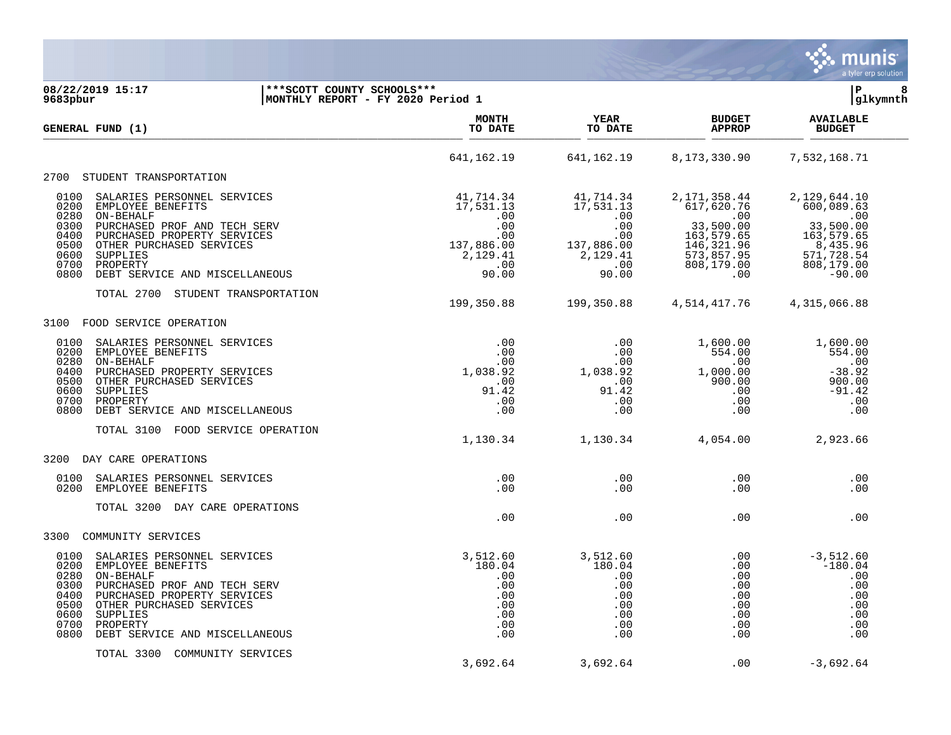

## **08/22/2019 15:17 |\*\*\*SCOTT COUNTY SCHOOLS\*\*\* |P 8 9683pbur |MONTHLY REPORT - FY 2020 Period 1 |glkymnth**

| <b>GENERAL FUND (1)</b>                                                                                                                                                                                                                                                                    | <b>MONTH</b><br>TO DATE                                                               | <b>YEAR</b><br>TO DATE                                                                | <b>BUDGET</b><br><b>APPROP</b>                                                                                  | <b>AVAILABLE</b><br><b>BUDGET</b>                                                                                      |
|--------------------------------------------------------------------------------------------------------------------------------------------------------------------------------------------------------------------------------------------------------------------------------------------|---------------------------------------------------------------------------------------|---------------------------------------------------------------------------------------|-----------------------------------------------------------------------------------------------------------------|------------------------------------------------------------------------------------------------------------------------|
|                                                                                                                                                                                                                                                                                            | 641,162.19                                                                            | 641,162.19                                                                            | 8,173,330.90                                                                                                    | 7,532,168.71                                                                                                           |
| 2700<br>STUDENT TRANSPORTATION                                                                                                                                                                                                                                                             |                                                                                       |                                                                                       |                                                                                                                 |                                                                                                                        |
| 0100<br>SALARIES PERSONNEL SERVICES<br>0200<br>EMPLOYEE BENEFITS<br>0280<br>ON-BEHALF<br>PURCHASED PROF AND TECH SERV<br>0300<br>0400<br>PURCHASED PROPERTY SERVICES<br>0500<br>OTHER PURCHASED SERVICES<br>0600<br>SUPPLIES<br>0700<br>PROPERTY<br>0800<br>DEBT SERVICE AND MISCELLANEOUS | 41,714.34<br>17,531.13<br>.00<br>.00<br>.00<br>137,886.00<br>2,129.41<br>.00<br>90.00 | 41,714.34<br>17,531.13<br>.00<br>.00<br>.00<br>137,886.00<br>2,129.41<br>.00<br>90.00 | 2, 171, 358.44<br>617,620.76<br>.00<br>33,500.00<br>163,579.65<br>146,321.96<br>573,857.95<br>808,179.00<br>.00 | 2,129,644.10<br>600,089.63<br>$\sim 00$<br>33,500.00<br>163,579.65<br>8,435.96<br>571,728.54<br>808,179.00<br>$-90.00$ |
| TOTAL 2700<br>STUDENT TRANSPORTATION                                                                                                                                                                                                                                                       | 199,350.88                                                                            | 199,350.88                                                                            | 4,514,417.76                                                                                                    | 4,315,066.88                                                                                                           |
| FOOD SERVICE OPERATION<br>3100                                                                                                                                                                                                                                                             |                                                                                       |                                                                                       |                                                                                                                 |                                                                                                                        |
| 0100<br>SALARIES PERSONNEL SERVICES<br>0200<br>EMPLOYEE BENEFITS<br>0280<br>ON-BEHALF<br>0400<br>PURCHASED PROPERTY SERVICES<br>0500<br>OTHER PURCHASED SERVICES<br>0600<br>SUPPLIES<br>0700<br>PROPERTY<br>0800<br>DEBT SERVICE AND MISCELLANEOUS                                         | .00<br>.00<br>.00<br>1,038.92<br>.00<br>91.42<br>.00<br>.00                           | .00<br>.00<br>.00<br>1,038.92<br>.00<br>91.42<br>.00<br>.00                           | 1,600.00<br>554.00<br>.00<br>1,000.00<br>900.00<br>.00<br>.00<br>.00                                            | 1,600.00<br>554.00<br>.00<br>$-38.92$<br>900.00<br>$-91.42$<br>$\ldots$ 00<br>.00                                      |
| TOTAL 3100<br>FOOD SERVICE OPERATION                                                                                                                                                                                                                                                       | 1,130.34                                                                              | 1,130.34                                                                              | 4,054.00                                                                                                        | 2,923.66                                                                                                               |
| DAY CARE OPERATIONS<br>3200                                                                                                                                                                                                                                                                |                                                                                       |                                                                                       |                                                                                                                 |                                                                                                                        |
| 0100<br>SALARIES PERSONNEL SERVICES<br>0200<br>EMPLOYEE BENEFITS                                                                                                                                                                                                                           | .00<br>.00                                                                            | .00<br>.00                                                                            | .00<br>.00                                                                                                      | .00<br>.00                                                                                                             |
| TOTAL 3200<br>DAY CARE OPERATIONS                                                                                                                                                                                                                                                          | .00                                                                                   | .00                                                                                   | $.00 \,$                                                                                                        | .00                                                                                                                    |
| COMMUNITY SERVICES<br>3300                                                                                                                                                                                                                                                                 |                                                                                       |                                                                                       |                                                                                                                 |                                                                                                                        |
| 0100<br>SALARIES PERSONNEL SERVICES<br>0200<br>EMPLOYEE BENEFITS<br>0280<br>ON-BEHALF<br>0300<br>PURCHASED PROF AND TECH SERV<br>0400<br>PURCHASED PROPERTY SERVICES<br>0500<br>OTHER PURCHASED SERVICES<br>0600<br>SUPPLIES<br>0700<br>PROPERTY<br>0800<br>DEBT SERVICE AND MISCELLANEOUS | 3,512.60<br>180.04<br>.00<br>.00<br>.00<br>.00<br>.00<br>.00<br>.00                   | 3,512.60<br>180.04<br>.00<br>.00<br>.00<br>.00<br>.00<br>.00<br>.00                   | $.00 \,$<br>.00<br>.00<br>.00<br>.00<br>.00<br>.00<br>.00<br>.00                                                | $-3,512.60$<br>$-180.04$<br>.00<br>.00<br>.00<br>.00<br>.00<br>.00<br>.00                                              |
| TOTAL 3300<br>COMMUNITY SERVICES                                                                                                                                                                                                                                                           | 3,692.64                                                                              | 3,692.64                                                                              | .00                                                                                                             | $-3,692.64$                                                                                                            |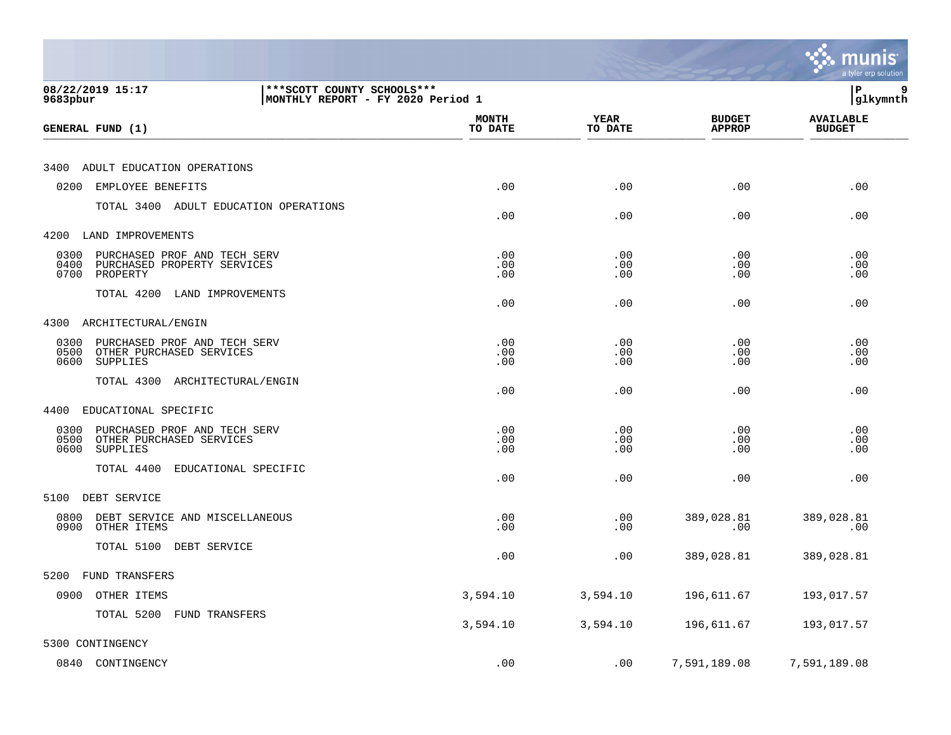|                                                                                                   |                         |                   |                                | munis<br>a tyler erp solution     |
|---------------------------------------------------------------------------------------------------|-------------------------|-------------------|--------------------------------|-----------------------------------|
| 08/22/2019 15:17<br>*** SCOTT COUNTY SCHOOLS ***<br>MONTHLY REPORT - FY 2020 Period 1<br>9683pbur |                         |                   |                                | P<br>9<br>glkymnth                |
| GENERAL FUND (1)                                                                                  | <b>MONTH</b><br>TO DATE | YEAR<br>TO DATE   | <b>BUDGET</b><br><b>APPROP</b> | <b>AVAILABLE</b><br><b>BUDGET</b> |
| 3400<br>ADULT EDUCATION OPERATIONS                                                                |                         |                   |                                |                                   |
| 0200<br>EMPLOYEE BENEFITS                                                                         | .00                     | .00               | .00                            | .00                               |
| TOTAL 3400 ADULT EDUCATION OPERATIONS                                                             | .00                     | .00               | .00                            | .00                               |
| 4200<br>LAND IMPROVEMENTS                                                                         |                         |                   |                                |                                   |
| 0300<br>PURCHASED PROF AND TECH SERV<br>0400<br>PURCHASED PROPERTY SERVICES<br>0700<br>PROPERTY   | .00<br>.00<br>.00       | .00<br>.00<br>.00 | .00<br>.00<br>.00              | .00<br>.00<br>.00                 |
| TOTAL 4200<br>LAND IMPROVEMENTS                                                                   | .00                     | .00               | .00                            | .00                               |
| ARCHITECTURAL/ENGIN<br>4300                                                                       |                         |                   |                                |                                   |
| 0300<br>PURCHASED PROF AND TECH SERV<br>0500<br>OTHER PURCHASED SERVICES<br>0600<br>SUPPLIES      | .00<br>.00<br>.00       | .00<br>.00<br>.00 | .00<br>.00<br>.00              | .00<br>.00<br>.00                 |
| TOTAL 4300 ARCHITECTURAL/ENGIN                                                                    | .00                     | .00               | .00                            | .00                               |
| EDUCATIONAL SPECIFIC<br>4400                                                                      |                         |                   |                                |                                   |
| 0300<br>PURCHASED PROF AND TECH SERV<br>0500<br>OTHER PURCHASED SERVICES<br>0600<br>SUPPLIES      | .00<br>.00<br>.00       | .00<br>.00<br>.00 | .00<br>.00<br>.00              | .00<br>.00<br>.00                 |
| TOTAL 4400<br>EDUCATIONAL SPECIFIC                                                                | .00                     | .00               | .00                            | .00                               |
| DEBT SERVICE<br>5100                                                                              |                         |                   |                                |                                   |
| 0800<br>DEBT SERVICE AND MISCELLANEOUS<br>0900<br>OTHER ITEMS                                     | .00<br>.00              | .00<br>.00        | 389,028.81<br>.00              | 389,028.81<br>.00                 |
| TOTAL 5100 DEBT SERVICE                                                                           | .00                     | .00               | 389,028.81                     | 389,028.81                        |
| 5200 FUND TRANSFERS                                                                               |                         |                   |                                |                                   |
| 0900<br>OTHER ITEMS                                                                               | 3,594.10                | 3,594.10          | 196,611.67                     | 193,017.57                        |
| TOTAL 5200<br>FUND TRANSFERS                                                                      | 3,594.10                | 3,594.10          | 196,611.67                     | 193,017.57                        |
| 5300 CONTINGENCY                                                                                  |                         |                   |                                |                                   |
| 0840<br>CONTINGENCY                                                                               | .00                     | .00               | 7,591,189.08                   | 7,591,189.08                      |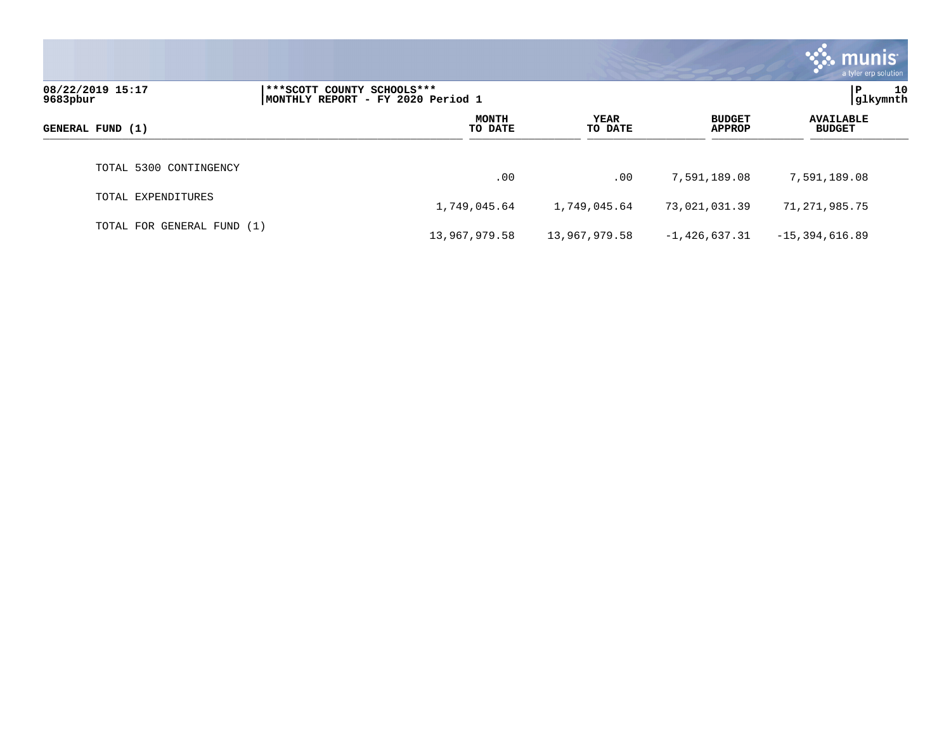|                              |                                                                 |                         |                 |                                | munis <sup>®</sup><br>a tyler erp solution |
|------------------------------|-----------------------------------------------------------------|-------------------------|-----------------|--------------------------------|--------------------------------------------|
| 08/22/2019 15:17<br>9683pbur | ***SCOTT COUNTY SCHOOLS***<br>MONTHLY REPORT - FY 2020 Period 1 |                         |                 |                                | 10<br>P<br>glkymnth                        |
| GENERAL FUND (1)             |                                                                 | <b>MONTH</b><br>TO DATE | YEAR<br>TO DATE | <b>BUDGET</b><br><b>APPROP</b> | <b>AVAILABLE</b><br><b>BUDGET</b>          |
| TOTAL 5300 CONTINGENCY       |                                                                 | .00                     | .00             | 7,591,189.08                   | 7,591,189.08                               |
| TOTAL EXPENDITURES           |                                                                 | 1,749,045.64            | 1,749,045.64    | 73,021,031.39                  | 71,271,985.75                              |
| TOTAL FOR GENERAL FUND (1)   |                                                                 | 13,967,979.58           | 13,967,979.58   | $-1,426,637.31$                | $-15,394,616.89$                           |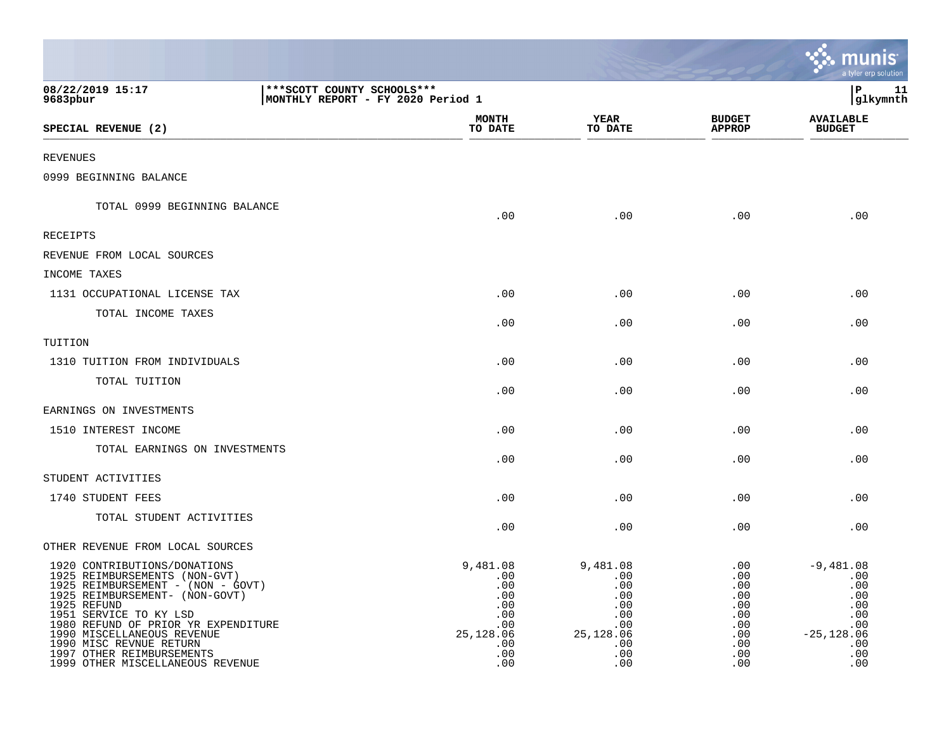|                                                                                                                                                                                                                                                                                                                                                |                                                                   |                                                                                      |                                                                                      |                                                                           | munis<br>a tyler erp solution                                                               |
|------------------------------------------------------------------------------------------------------------------------------------------------------------------------------------------------------------------------------------------------------------------------------------------------------------------------------------------------|-------------------------------------------------------------------|--------------------------------------------------------------------------------------|--------------------------------------------------------------------------------------|---------------------------------------------------------------------------|---------------------------------------------------------------------------------------------|
| 08/22/2019 15:17<br>9683pbur                                                                                                                                                                                                                                                                                                                   | *** SCOTT COUNTY SCHOOLS ***<br>MONTHLY REPORT - FY 2020 Period 1 |                                                                                      |                                                                                      |                                                                           | lР<br>11<br>glkymnth                                                                        |
| SPECIAL REVENUE (2)                                                                                                                                                                                                                                                                                                                            |                                                                   | <b>MONTH</b><br>TO DATE                                                              | <b>YEAR</b><br>TO DATE                                                               | <b>BUDGET</b><br><b>APPROP</b>                                            | <b>AVAILABLE</b><br><b>BUDGET</b>                                                           |
| <b>REVENUES</b>                                                                                                                                                                                                                                                                                                                                |                                                                   |                                                                                      |                                                                                      |                                                                           |                                                                                             |
| 0999 BEGINNING BALANCE                                                                                                                                                                                                                                                                                                                         |                                                                   |                                                                                      |                                                                                      |                                                                           |                                                                                             |
| TOTAL 0999 BEGINNING BALANCE                                                                                                                                                                                                                                                                                                                   |                                                                   | .00                                                                                  | .00                                                                                  | .00                                                                       | .00                                                                                         |
| RECEIPTS                                                                                                                                                                                                                                                                                                                                       |                                                                   |                                                                                      |                                                                                      |                                                                           |                                                                                             |
| REVENUE FROM LOCAL SOURCES                                                                                                                                                                                                                                                                                                                     |                                                                   |                                                                                      |                                                                                      |                                                                           |                                                                                             |
| INCOME TAXES                                                                                                                                                                                                                                                                                                                                   |                                                                   |                                                                                      |                                                                                      |                                                                           |                                                                                             |
| 1131 OCCUPATIONAL LICENSE TAX                                                                                                                                                                                                                                                                                                                  |                                                                   | .00                                                                                  | .00                                                                                  | .00                                                                       | .00                                                                                         |
| TOTAL INCOME TAXES                                                                                                                                                                                                                                                                                                                             |                                                                   | .00                                                                                  | .00                                                                                  | .00                                                                       | .00                                                                                         |
| TUITION                                                                                                                                                                                                                                                                                                                                        |                                                                   |                                                                                      |                                                                                      |                                                                           |                                                                                             |
| 1310 TUITION FROM INDIVIDUALS                                                                                                                                                                                                                                                                                                                  |                                                                   | .00                                                                                  | .00                                                                                  | .00                                                                       | .00                                                                                         |
| TOTAL TUITION                                                                                                                                                                                                                                                                                                                                  |                                                                   | .00                                                                                  | .00                                                                                  | .00                                                                       | .00                                                                                         |
| EARNINGS ON INVESTMENTS                                                                                                                                                                                                                                                                                                                        |                                                                   |                                                                                      |                                                                                      |                                                                           |                                                                                             |
| 1510 INTEREST INCOME                                                                                                                                                                                                                                                                                                                           |                                                                   | .00                                                                                  | .00                                                                                  | .00                                                                       | .00                                                                                         |
| TOTAL EARNINGS ON INVESTMENTS                                                                                                                                                                                                                                                                                                                  |                                                                   | .00                                                                                  | .00                                                                                  | .00                                                                       | .00                                                                                         |
| STUDENT ACTIVITIES                                                                                                                                                                                                                                                                                                                             |                                                                   |                                                                                      |                                                                                      |                                                                           |                                                                                             |
| 1740 STUDENT FEES                                                                                                                                                                                                                                                                                                                              |                                                                   | .00                                                                                  | .00                                                                                  | .00                                                                       | .00                                                                                         |
| TOTAL STUDENT ACTIVITIES                                                                                                                                                                                                                                                                                                                       |                                                                   | .00                                                                                  | .00                                                                                  | .00                                                                       | .00                                                                                         |
| OTHER REVENUE FROM LOCAL SOURCES                                                                                                                                                                                                                                                                                                               |                                                                   |                                                                                      |                                                                                      |                                                                           |                                                                                             |
| 1920 CONTRIBUTIONS/DONATIONS<br>1925 REIMBURSEMENTS (NON-GVT)<br>1925 REIMBURSEMENT - (NON - GOVT)<br>1925 REIMBURSEMENT- (NON-GOVT)<br>1925 REFUND<br>1951 SERVICE TO KY LSD<br>1980 REFUND OF PRIOR YR EXPENDITURE<br>1990 MISCELLANEOUS REVENUE<br>1990 MISC REVNUE RETURN<br>1997 OTHER REIMBURSEMENTS<br>1999 OTHER MISCELLANEOUS REVENUE |                                                                   | 9,481.08<br>.00<br>.00<br>.00<br>.00<br>.00<br>.00<br>25,128.06<br>.00<br>.00<br>.00 | 9,481.08<br>.00<br>.00<br>.00<br>.00<br>.00<br>.00<br>25,128.06<br>.00<br>.00<br>.00 | .00<br>.00<br>.00<br>.00<br>.00<br>.00<br>.00<br>.00<br>.00<br>.00<br>.00 | $-9,481.08$<br>.00<br>.00<br>.00<br>.00<br>.00<br>.00<br>$-25, 128.06$<br>.00<br>.00<br>.00 |

and the state of the state of the state of the state of the state of the state of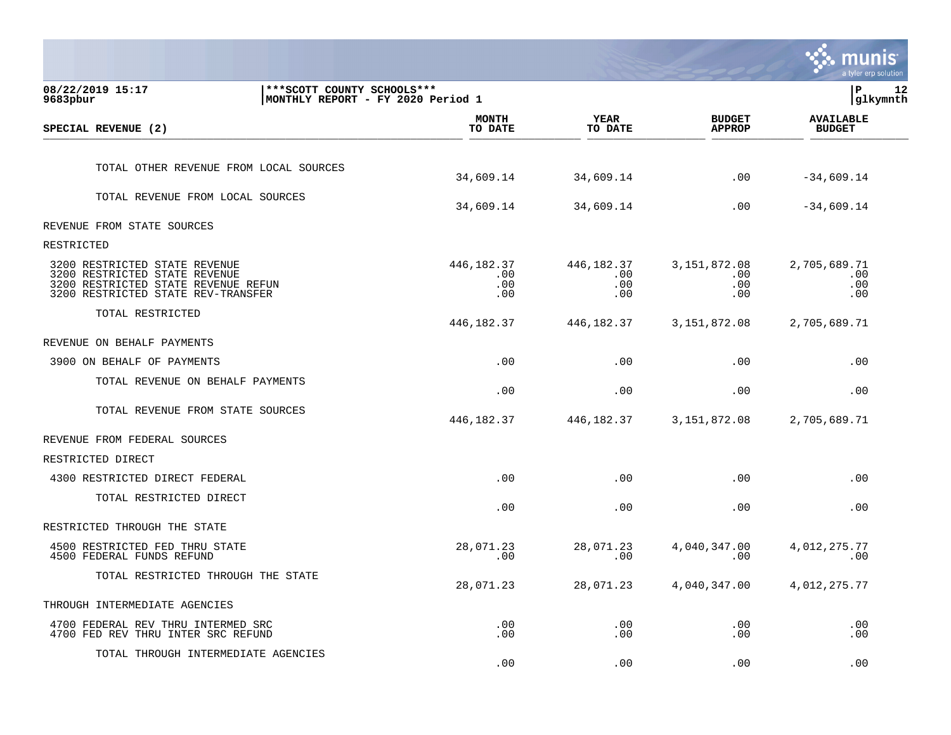|                                                                                                                                             |                                                                   |                                 |                                 |                                                | <b>A.</b> munis<br>a tyler erp solution |    |
|---------------------------------------------------------------------------------------------------------------------------------------------|-------------------------------------------------------------------|---------------------------------|---------------------------------|------------------------------------------------|-----------------------------------------|----|
| 08/22/2019 15:17<br>9683pbur                                                                                                                | *** SCOTT COUNTY SCHOOLS ***<br>MONTHLY REPORT - FY 2020 Period 1 |                                 |                                 |                                                | lР<br> glkymnth                         | 12 |
| SPECIAL REVENUE (2)                                                                                                                         |                                                                   | <b>MONTH</b><br>TO DATE         | YEAR<br>TO DATE                 | <b>BUDGET</b><br><b>APPROP</b>                 | <b>AVAILABLE</b><br><b>BUDGET</b>       |    |
|                                                                                                                                             |                                                                   |                                 |                                 |                                                |                                         |    |
| TOTAL OTHER REVENUE FROM LOCAL SOURCES                                                                                                      |                                                                   | 34,609.14                       | 34,609.14                       | .00                                            | $-34,609.14$                            |    |
| TOTAL REVENUE FROM LOCAL SOURCES                                                                                                            |                                                                   | 34,609.14                       | 34,609.14                       | .00                                            | $-34,609.14$                            |    |
| REVENUE FROM STATE SOURCES                                                                                                                  |                                                                   |                                 |                                 |                                                |                                         |    |
| RESTRICTED                                                                                                                                  |                                                                   |                                 |                                 |                                                |                                         |    |
| 3200 RESTRICTED STATE REVENUE<br>3200 RESTRICTED STATE REVENUE<br>3200 RESTRICTED STATE REVENUE REFUN<br>3200 RESTRICTED STATE REV-TRANSFER |                                                                   | 446,182.37<br>.00<br>.00<br>.00 | 446,182.37<br>.00<br>.00<br>.00 | 3,151,872.08<br>$.00 \ \rm$<br>$.00 \,$<br>.00 | 2,705,689.71<br>.00<br>.00<br>.00       |    |
| TOTAL RESTRICTED                                                                                                                            |                                                                   | 446,182.37                      | 446,182.37                      | 3, 151, 872.08                                 | 2,705,689.71                            |    |
| REVENUE ON BEHALF PAYMENTS                                                                                                                  |                                                                   |                                 |                                 |                                                |                                         |    |
| 3900 ON BEHALF OF PAYMENTS                                                                                                                  |                                                                   | .00                             | .00                             | .00                                            | .00                                     |    |
| TOTAL REVENUE ON BEHALF PAYMENTS                                                                                                            |                                                                   | .00                             | .00                             | .00                                            | .00                                     |    |
| TOTAL REVENUE FROM STATE SOURCES                                                                                                            |                                                                   | 446, 182.37                     | 446,182.37                      | 3, 151, 872.08                                 | 2,705,689.71                            |    |
| REVENUE FROM FEDERAL SOURCES                                                                                                                |                                                                   |                                 |                                 |                                                |                                         |    |
| RESTRICTED DIRECT                                                                                                                           |                                                                   |                                 |                                 |                                                |                                         |    |
| 4300 RESTRICTED DIRECT FEDERAL                                                                                                              |                                                                   | .00                             | .00                             | .00                                            | .00                                     |    |
| TOTAL RESTRICTED DIRECT                                                                                                                     |                                                                   | .00                             | .00                             | .00                                            | .00                                     |    |
| RESTRICTED THROUGH THE STATE                                                                                                                |                                                                   |                                 |                                 |                                                |                                         |    |
| 4500 RESTRICTED FED THRU STATE<br>4500 FEDERAL FUNDS REFUND                                                                                 |                                                                   | 28,071.23<br>.00                | 28,071.23<br>.00                | 4,040,347.00<br>.00                            | 4,012,275.77<br>.00                     |    |
| TOTAL RESTRICTED THROUGH THE STATE                                                                                                          |                                                                   | 28,071.23                       | 28,071.23                       | 4,040,347.00                                   | 4,012,275.77                            |    |
| THROUGH INTERMEDIATE AGENCIES                                                                                                               |                                                                   |                                 |                                 |                                                |                                         |    |
| 4700 FEDERAL REV THRU INTERMED SRC<br>4700 FED REV THRU INTER SRC REFUND                                                                    |                                                                   | .00<br>.00                      | .00<br>.00                      | .00<br>.00                                     | .00<br>.00                              |    |
| TOTAL THROUGH INTERMEDIATE AGENCIES                                                                                                         |                                                                   | .00                             | .00                             | .00                                            | .00                                     |    |

 $\sim$   $\sim$   $\sim$   $\sim$   $\sim$   $\sim$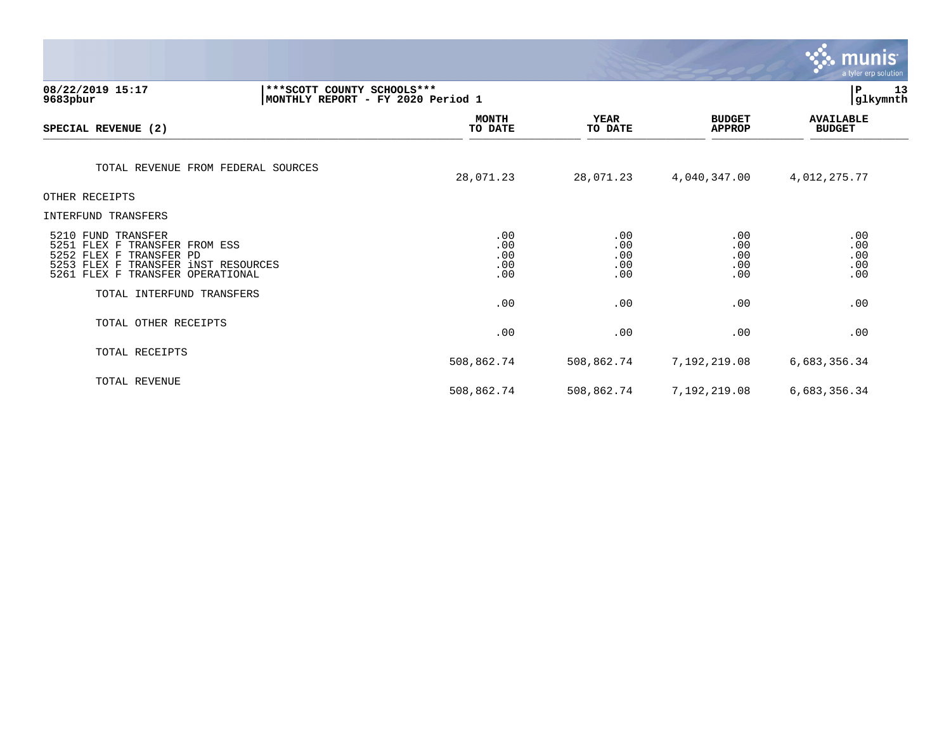|                                                                                                                                                              |                                                                   |                                 |                                 | $\ddotsc$ munis<br>a tyler erp solution |  |
|--------------------------------------------------------------------------------------------------------------------------------------------------------------|-------------------------------------------------------------------|---------------------------------|---------------------------------|-----------------------------------------|--|
| 08/22/2019 15:17<br>9683pbur                                                                                                                                 | *** SCOTT COUNTY SCHOOLS ***<br>MONTHLY REPORT - FY 2020 Period 1 |                                 |                                 | $\, {\bf P}$<br>13<br>glkymnth          |  |
| SPECIAL REVENUE (2)                                                                                                                                          | <b>MONTH</b><br>TO DATE                                           | <b>YEAR</b><br>TO DATE          | <b>BUDGET</b><br><b>APPROP</b>  | <b>AVAILABLE</b><br><b>BUDGET</b>       |  |
| TOTAL REVENUE FROM FEDERAL SOURCES                                                                                                                           | 28,071.23                                                         | 28,071.23                       | 4,040,347.00                    | 4,012,275.77                            |  |
| OTHER RECEIPTS                                                                                                                                               |                                                                   |                                 |                                 |                                         |  |
| INTERFUND TRANSFERS                                                                                                                                          |                                                                   |                                 |                                 |                                         |  |
| 5210 FUND TRANSFER<br>5251<br>FLEX F TRANSFER FROM ESS<br>5252 FLEX F TRANSFER PD<br>5253 FLEX F TRANSFER INST RESOURCES<br>5261 FLEX F TRANSFER OPERATIONAL | .00<br>.00<br>.00<br>.00<br>.00                                   | .00<br>.00<br>.00<br>.00<br>.00 | .00<br>.00<br>.00<br>.00<br>.00 | .00<br>.00<br>.00<br>.00<br>.00         |  |
| TOTAL INTERFUND TRANSFERS                                                                                                                                    | .00                                                               | .00                             | .00                             | .00                                     |  |
| TOTAL OTHER RECEIPTS                                                                                                                                         | .00                                                               | .00                             | .00                             | .00                                     |  |
| TOTAL RECEIPTS                                                                                                                                               | 508,862.74                                                        | 508,862.74                      | 7,192,219.08                    | 6,683,356.34                            |  |
| TOTAL REVENUE                                                                                                                                                | 508,862.74                                                        | 508,862.74                      | 7,192,219.08                    | 6,683,356.34                            |  |

 $\mathcal{L}$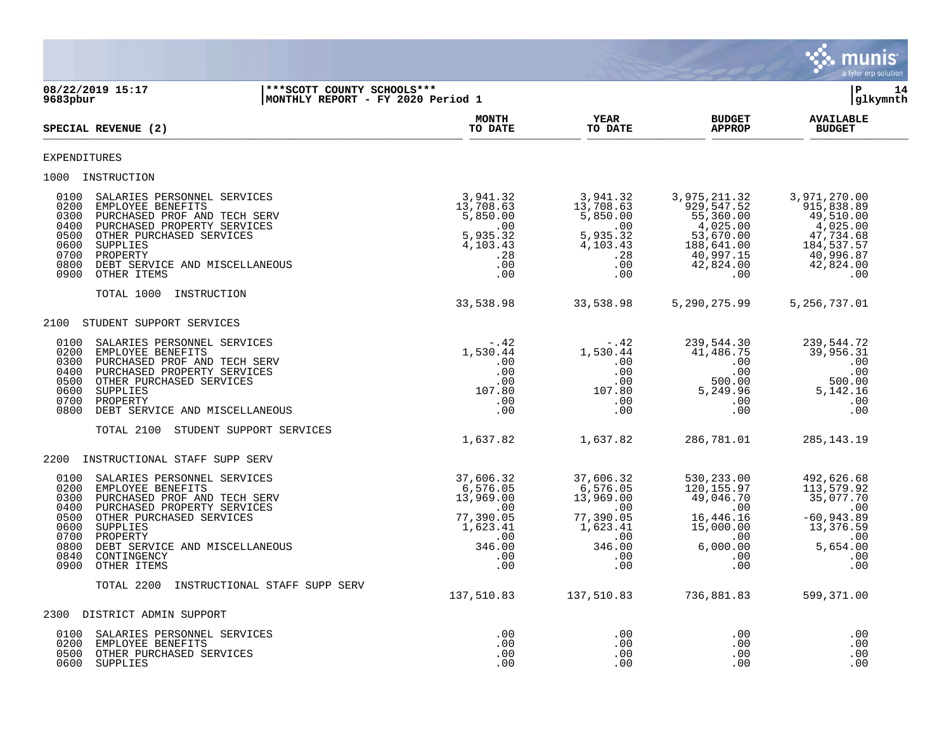

08/22/2019 15:17 **| \*\*\*SCOTT COUNTY SCHOOLS\*\*\***<br>9683pbur MONTHLY REPORT - FY 2020 Period 1 **MONTHLY REPORT - FY 2020 Period 1 MONTH AVAILABLE YEAR BUDGET** AVAILABLE **SPECIAL REVENUE (2) TO DATE TO DATE APPROP BUDGET**   $\frac{10 \text{ Bheil}}{10 \text{ Bheil}}$ EXPENDITURES 1000 INSTRUCTION 0100 SALARIES PERSONNEL SERVICES 3,941.32 3,941.32 3,975,211.32 3,971,270.00 0200 EMPLOYEE BENEFITS 13,708.63 13,708.63 929,547.52 915,838.89 0300 PURCHASED PROF AND TECH SERV 6.00 5,850.00 5,850.00 5,850.00 5,850.00 5,850.00 5,850.00 55,850.00 649,510<br>00.025.00 4,025.00 4,025.00 5,850,00 4,025.00 5,850.00 4,025.00 4,025.00 0400 PURCHASED PROPERTY SERVICES .00 .00 4,025.00 4,025.00 0500 OTHER PURCHASED SERVICES 660 CONSUMING 10500 CONSUMERT 189,670.00 CONSUPPLIES 641.00 0600 SUPPLIES 4,103.43 4,103.43 188,641.00 184,537.57 0700 PROPERTY .28 .28 40,997.15 40,996.87 0800 DEBT SERVICE AND MISCELLANEOUS .00 .00 42,824.00 42,824.00 0900 OTHER ITEMS .00 .00 .00 .00 TOTAL 1000 INSTRUCTION 33,538.98 33,538.98 5,290,275.99 5,256,737.01 2100 STUDENT SUPPORT SERVICES 0100 SALARIES PERSONNEL SERVICES -0.42 -.42 -.42 239,544.30 239,544.72<br>0200 EMPLOYEE BENEFITS -0.42 1.530.44 1.486.75 39.956.31 0200 EMPLOYEE BENEFITS 1,530.44 1,530.44 41,486.75 39,956.31 0300 PURCHASED PROF AND TECH SERV .00 .00 .00 .00 0400 PURCHASED PROPERTY SERVICES .00 .00 .00 .00 0500 OTHER PURCHASED SERVICES .00 .00 500.00 500.00 0600 SUPPLIES 107.80 107.80 5,249.96 5,142.16 0700 PROPERTY .00 .00 .00 .00 0800 DEBT SERVICE AND MISCELLANEOUS .00 .00 .00 .00 TOTAL 2100 STUDENT SUPPORT SERVICES 1,637.82 1,637.82 286,781.01 285,143.19 2200 INSTRUCTIONAL STAFF SUPP SERV 0100 SALARIES PERSONNEL SERVICES 37,606.32 37,606.32 530,233.00 492,626.68 0200 EMPLOYEE BENEFITS 6,576.05 6,576.05 120,155.97 113,579.92 0300 PURCHASED PROF AND TECH SERV  $13,969.00$   $13,969.00$   $13,969.00$   $49,046.70$   $35,077.70$  35,077.70  $00$  .00 0400 PURCHASED PROPERTY SERVICES .00 .00 .00 .00 0500 OTHER PURCHASED SERVICES (1,623.41 77,390.05 15,000.00 13,376.59 16,446.16 16,43.89<br>1,623.41 1,623.41 1,623.41 1,623.41 1,623.41 0600 SUPPLIES 1,623.41 1,623.41 15,000.00 13,376.59 0700 PROPERTY .00 .00 .00 .00 0700 PROPERTY .00<br>00 0800 DEBT SERVICE AND MISCELLANEOUS 346.00 346.00 346.00 346.00 346.00 0800 0EBT SERVICE AND MISCELLANEOUS<br>00 0.00 0840 CONTINGENCY 0840 CONTINGENCY .00 .00 .00 .00 0900 OTHER ITEMS .00 .00 .00 .00 TOTAL 2200 INSTRUCTIONAL STAFF SUPP SERV 137,510.83 137,510.83 736,881.83 599,371.00 2300 DISTRICT ADMIN SUPPORT 0100 SALARIES PERSONNEL SERVICES .00 .00 .00 .00 0200 EMPLOYEE BENEFITS .00 .00 .00 .00 0500 OTHER PURCHASED SERVICES .00 .00 .00 .00

0600 SUPPLIES .00 .00 .00 .00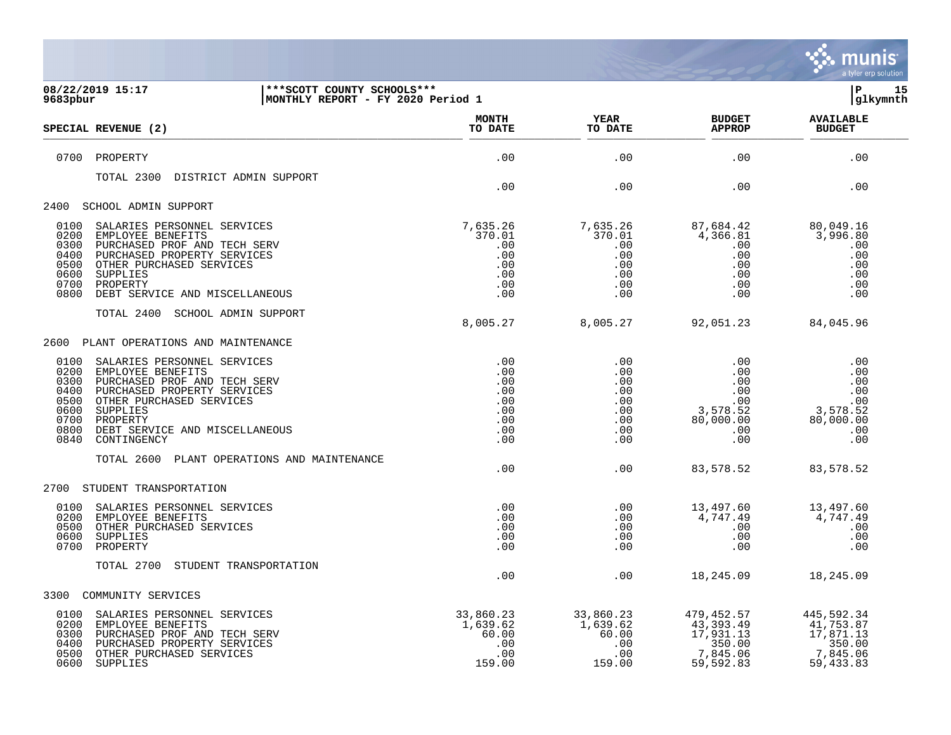

| 08/22/2019 15:17<br>*** SCOTT COUNTY SCHOOLS ***<br>MONTHLY REPORT - FY 2020 Period 1<br>9683pbur                                                                                                                                                                                            |                                                              |                                                                   |                                                                           | 15<br>lР<br>glkymnth                                                     |
|----------------------------------------------------------------------------------------------------------------------------------------------------------------------------------------------------------------------------------------------------------------------------------------------|--------------------------------------------------------------|-------------------------------------------------------------------|---------------------------------------------------------------------------|--------------------------------------------------------------------------|
| SPECIAL REVENUE (2)                                                                                                                                                                                                                                                                          | <b>MONTH</b><br>TO DATE                                      | <b>YEAR</b><br>TO DATE                                            | <b>BUDGET</b><br><b>APPROP</b>                                            | <b>AVAILABLE</b><br><b>BUDGET</b>                                        |
| 0700<br>PROPERTY                                                                                                                                                                                                                                                                             | .00                                                          | .00                                                               | .00                                                                       | .00                                                                      |
| TOTAL 2300<br>DISTRICT ADMIN SUPPORT                                                                                                                                                                                                                                                         | .00                                                          | .00                                                               | .00                                                                       | .00                                                                      |
| 2400<br>SCHOOL ADMIN SUPPORT                                                                                                                                                                                                                                                                 |                                                              |                                                                   |                                                                           |                                                                          |
| 0100<br>SALARIES PERSONNEL SERVICES<br>0200<br>EMPLOYEE BENEFITS<br>0300<br>PURCHASED PROF AND TECH SERV<br>0400<br>PURCHASED PROPERTY SERVICES<br>0500<br>OTHER PURCHASED SERVICES<br>0600<br>SUPPLIES<br>0700<br>PROPERTY<br>0800<br>DEBT SERVICE AND MISCELLANEOUS                        | 7,635.26<br>370.01<br>.00<br>.00<br>.00<br>.00<br>.00<br>.00 | 7,635.26<br>370.01<br>.00<br>.00<br>$.00 \,$<br>.00<br>.00<br>.00 | 87,684.42<br>4,366.81<br>.00<br>.00<br>.00<br>.00<br>.00<br>.00           | 80,049.16<br>3,996.80<br>.00<br>.00<br>.00<br>.00<br>.00<br>.00          |
| SCHOOL ADMIN SUPPORT<br>TOTAL 2400                                                                                                                                                                                                                                                           | 8,005.27                                                     | 8,005.27                                                          | 92,051.23                                                                 | 84,045.96                                                                |
| 2600<br>PLANT OPERATIONS AND MAINTENANCE                                                                                                                                                                                                                                                     |                                                              |                                                                   |                                                                           |                                                                          |
| SALARIES PERSONNEL SERVICES<br>0100<br>0200<br>EMPLOYEE BENEFITS<br>0300<br>PURCHASED PROF AND TECH SERV<br>0400<br>PURCHASED PROPERTY SERVICES<br>0500<br>OTHER PURCHASED SERVICES<br>0600<br>SUPPLIES<br>0700<br>PROPERTY<br>0800<br>DEBT SERVICE AND MISCELLANEOUS<br>0840<br>CONTINGENCY | .00<br>.00<br>.00<br>.00<br>.00<br>.00<br>.00<br>.00<br>.00  | .00<br>.00<br>.00<br>.00<br>.00<br>.00<br>.00<br>.00<br>.00       | .00<br>.00<br>.00<br>.00<br>.00<br>3,578.52<br>80,000.00<br>.00<br>.00    | .00<br>.00<br>.00<br>.00<br>.00<br>3,578.52<br>80,000.00<br>.00<br>.00   |
| TOTAL 2600<br>PLANT OPERATIONS AND MAINTENANCE                                                                                                                                                                                                                                               | .00                                                          | .00                                                               | 83,578.52                                                                 | 83,578.52                                                                |
| 2700<br>STUDENT TRANSPORTATION                                                                                                                                                                                                                                                               |                                                              |                                                                   |                                                                           |                                                                          |
| 0100<br>SALARIES PERSONNEL SERVICES<br>0200<br>EMPLOYEE BENEFITS<br>0500<br>OTHER PURCHASED SERVICES<br>0600<br>SUPPLIES<br>0700<br>PROPERTY                                                                                                                                                 | .00<br>.00<br>.00<br>.00<br>.00                              | .00<br>.00<br>.00<br>.00<br>.00                                   | 13,497.60<br>4,747.49<br>.00<br>.00<br>.00                                | 13,497.60<br>4,747.49<br>.00<br>.00<br>.00                               |
| TOTAL 2700<br>STUDENT TRANSPORTATION                                                                                                                                                                                                                                                         | .00                                                          | .00                                                               | 18,245.09                                                                 | 18,245.09                                                                |
| 3300<br>COMMUNITY SERVICES                                                                                                                                                                                                                                                                   |                                                              |                                                                   |                                                                           |                                                                          |
| 0100<br>SALARIES PERSONNEL SERVICES<br>0200<br>EMPLOYEE BENEFITS<br>0300<br>PURCHASED PROF AND TECH SERV<br>0400<br>PURCHASED PROPERTY SERVICES<br>0500<br>OTHER PURCHASED SERVICES<br>0600<br>SUPPLIES                                                                                      | 33,860.23<br>1,639.62<br>60.00<br>.00<br>.00<br>159.00       | 33,860.23<br>1,639.62<br>60.00<br>.00<br>.00<br>159.00            | 479, 452.57<br>43, 393.49<br>17,931.13<br>350.00<br>7,845.06<br>59,592.83 | 445,592.34<br>41,753.87<br>17,871.13<br>350.00<br>7,845.06<br>59, 433.83 |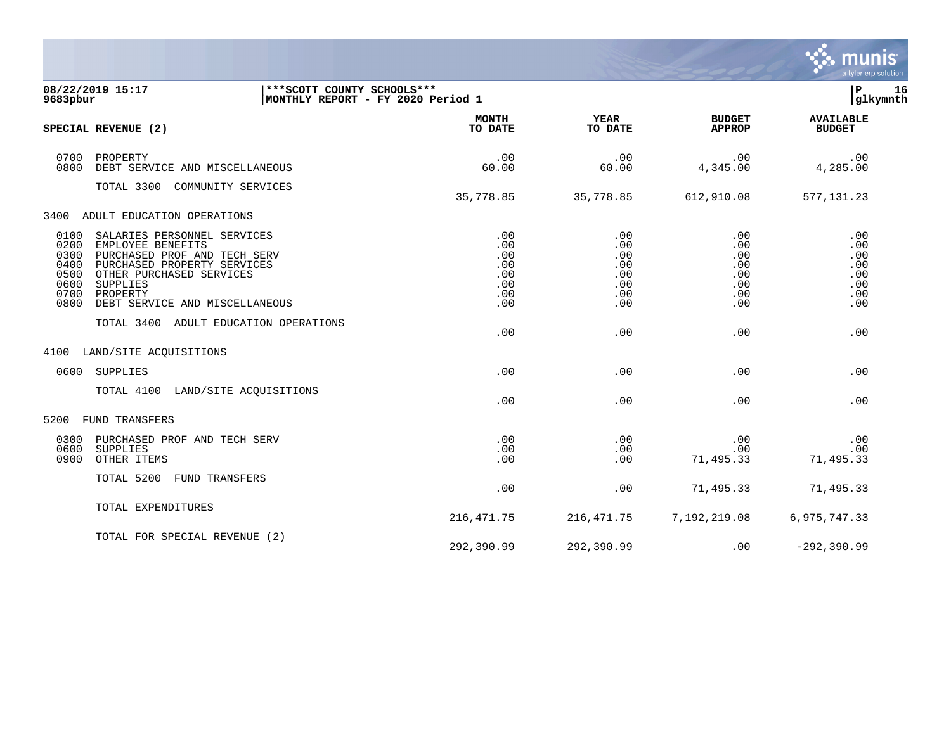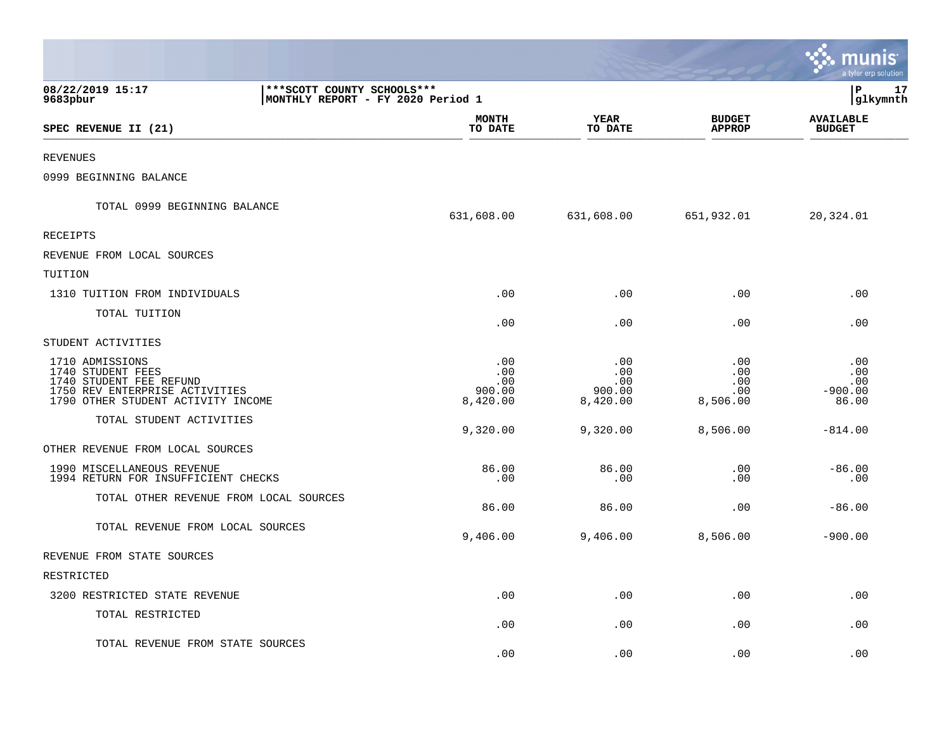|                                                                                                                                         |                                         |                                         |                                      | munis<br>a tyler erp solution           |
|-----------------------------------------------------------------------------------------------------------------------------------------|-----------------------------------------|-----------------------------------------|--------------------------------------|-----------------------------------------|
| 08/22/2019 15:17<br>*** SCOTT COUNTY SCHOOLS ***<br>9683pbur<br> MONTHLY REPORT - FY 2020 Period 1                                      |                                         |                                         |                                      | l P<br>17<br> glkymnth                  |
| SPEC REVENUE II (21)                                                                                                                    | <b>MONTH</b><br>TO DATE                 | <b>YEAR</b><br>TO DATE                  | <b>BUDGET</b><br><b>APPROP</b>       | <b>AVAILABLE</b><br><b>BUDGET</b>       |
| <b>REVENUES</b>                                                                                                                         |                                         |                                         |                                      |                                         |
| 0999 BEGINNING BALANCE                                                                                                                  |                                         |                                         |                                      |                                         |
| TOTAL 0999 BEGINNING BALANCE                                                                                                            | 631,608.00                              | 631,608.00                              | 651,932.01                           | 20,324.01                               |
| <b>RECEIPTS</b>                                                                                                                         |                                         |                                         |                                      |                                         |
| REVENUE FROM LOCAL SOURCES                                                                                                              |                                         |                                         |                                      |                                         |
| TUITION                                                                                                                                 |                                         |                                         |                                      |                                         |
| 1310 TUITION FROM INDIVIDUALS                                                                                                           | .00                                     | .00                                     | .00                                  | .00                                     |
| TOTAL TUITION                                                                                                                           | .00                                     | .00                                     | .00                                  | .00                                     |
| STUDENT ACTIVITIES                                                                                                                      |                                         |                                         |                                      |                                         |
| 1710 ADMISSIONS<br>1740 STUDENT FEES<br>1740 STUDENT FEE REFUND<br>1750 REV ENTERPRISE ACTIVITIES<br>1790 OTHER STUDENT ACTIVITY INCOME | .00<br>.00<br>.00<br>900.00<br>8,420.00 | .00<br>.00<br>.00<br>900.00<br>8,420.00 | .00<br>.00<br>.00<br>.00<br>8,506.00 | .00<br>.00<br>.00<br>$-900.00$<br>86.00 |
| TOTAL STUDENT ACTIVITIES                                                                                                                | 9,320.00                                | 9,320.00                                | 8,506.00                             | $-814.00$                               |
| OTHER REVENUE FROM LOCAL SOURCES                                                                                                        |                                         |                                         |                                      |                                         |
| 1990 MISCELLANEOUS REVENUE<br>1994 RETURN FOR INSUFFICIENT CHECKS                                                                       | 86.00<br>.00                            | 86.00<br>.00                            | .00<br>.00                           | $-86.00$<br>.00                         |
| TOTAL OTHER REVENUE FROM LOCAL SOURCES                                                                                                  | 86.00                                   | 86.00                                   | .00                                  | $-86.00$                                |
| TOTAL REVENUE FROM LOCAL SOURCES                                                                                                        | 9,406.00                                | 9,406.00                                | 8,506.00                             | $-900.00$                               |
| REVENUE FROM STATE SOURCES                                                                                                              |                                         |                                         |                                      |                                         |
| RESTRICTED                                                                                                                              |                                         |                                         |                                      |                                         |
| 3200 RESTRICTED STATE REVENUE                                                                                                           | .00                                     | .00                                     | .00                                  | .00                                     |
| TOTAL RESTRICTED                                                                                                                        | .00                                     | .00                                     | .00                                  | .00                                     |
| TOTAL REVENUE FROM STATE SOURCES                                                                                                        | .00                                     | .00                                     | .00                                  | .00                                     |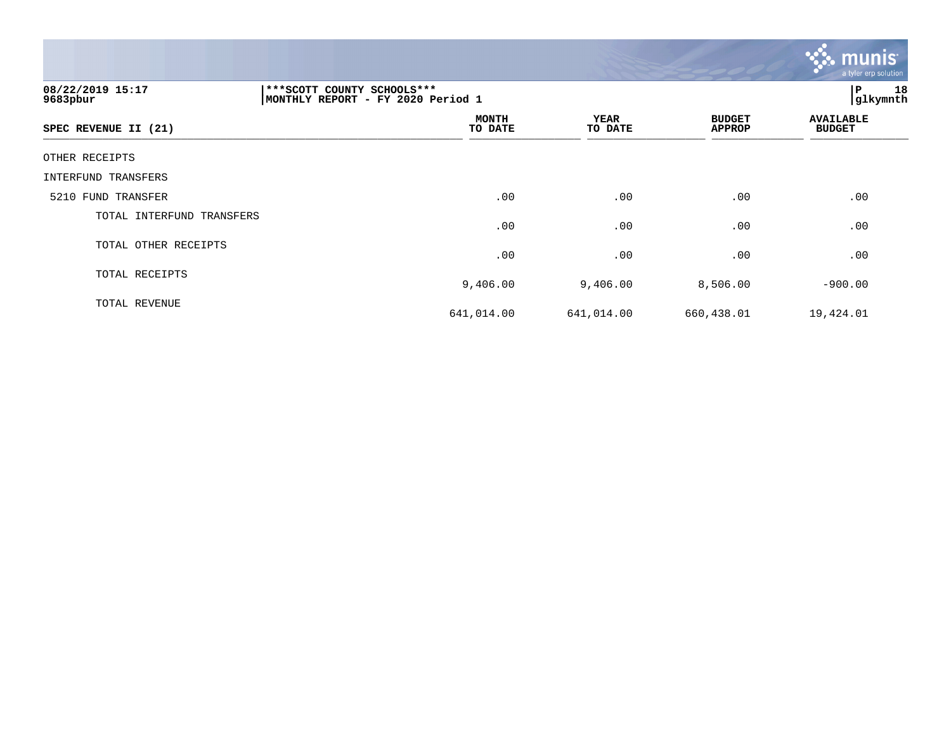|                              |                                                                   |                        |                                | munis'<br>a tyler erp solution    |
|------------------------------|-------------------------------------------------------------------|------------------------|--------------------------------|-----------------------------------|
| 08/22/2019 15:17<br>9683pbur | *** SCOTT COUNTY SCHOOLS ***<br>MONTHLY REPORT - FY 2020 Period 1 |                        |                                | 18<br>P<br>glkymnth               |
| SPEC REVENUE II (21)         | <b>MONTH</b><br>TO DATE                                           | <b>YEAR</b><br>TO DATE | <b>BUDGET</b><br><b>APPROP</b> | <b>AVAILABLE</b><br><b>BUDGET</b> |
| OTHER RECEIPTS               |                                                                   |                        |                                |                                   |
| INTERFUND TRANSFERS          |                                                                   |                        |                                |                                   |
| 5210 FUND TRANSFER           | .00                                                               | .00                    | .00                            | .00                               |
| TOTAL INTERFUND TRANSFERS    | .00                                                               | .00                    | .00                            | .00                               |
| TOTAL OTHER RECEIPTS         | .00                                                               | .00                    | .00                            | .00                               |
| TOTAL RECEIPTS               | 9,406.00                                                          | 9,406.00               | 8,506.00                       | $-900.00$                         |
| TOTAL REVENUE                | 641,014.00                                                        | 641,014.00             | 660,438.01                     | 19,424.01                         |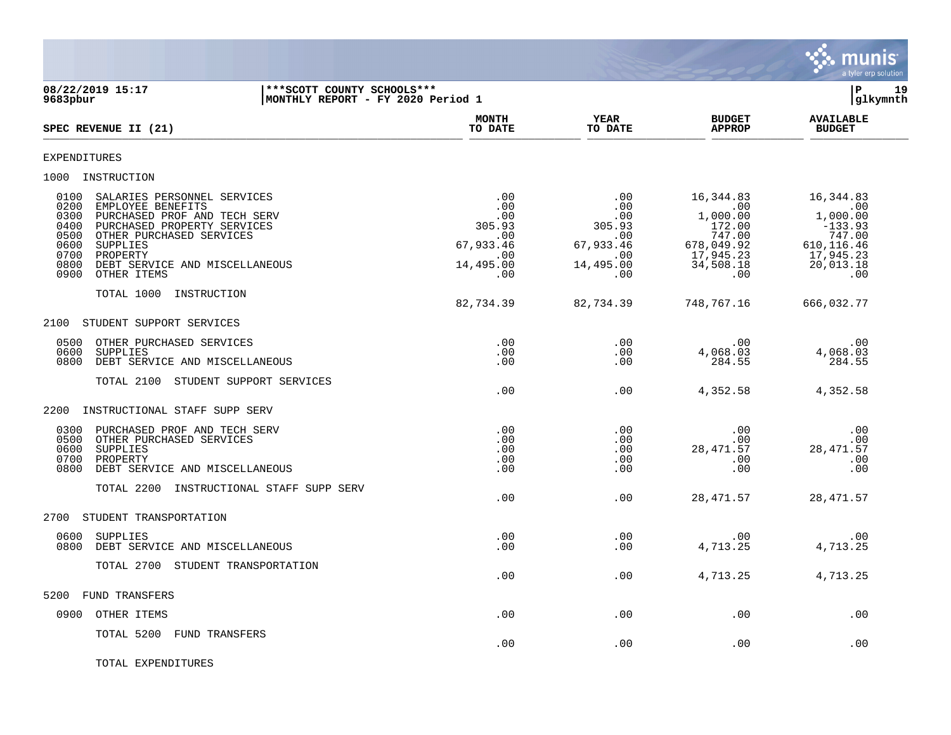

08/22/2019 15:17 **| \*\*\*SCOTT COUNTY SCHOOLS\*\*\***<br>9683pbur | MONTHLY REPORT - FY 2020 Period 1 **MONTHLY REPORT - FY 2020 Period 1 MONTH AVAILABLE YEAR BUDGET** AVAILABLE SPEC REVENUE II (21) **TO DATE TO DATE APPROP BUDGET**  $\frac{10 \text{ B}}{10 \text{ B}}$   $\frac{10 \text{ B}}{10 \text{ B}}$   $\frac{10 \text{ B}}{10 \text{ B}}$   $\frac{10 \text{ B}}{10 \text{ B}}$   $\frac{10 \text{ B}}{10 \text{ B}}$   $\frac{10 \text{ B}}{10 \text{ B}}$   $\frac{10 \text{ B}}{10 \text{ B}}$   $\frac{10 \text{ B}}{10 \text{ B}}$ EXPENDITURES 1000 INSTRUCTION 0100 SALARIES PERSONNEL SERVICES .00 .00 16,344.83 16,344.83 0200 EMPLOYEE BENEFITS .00 .00 .00 .00 0300 PURCHASED PROF AND TECH SERV .00 .00 1,000.00 1,000.00 0400 PURCHASED PROPERTY SERVICES 305.93 305.93 172.00 -133.93 0500 OTHER PURCHASED SERVICES .00 .00 747.00 747.00 0600 SUPPLIES 67,933.46 67,933.46 678,049.92 610,116.46 0700 PROPERTY .00 .00 17,945.23 17,945.23 0700 PROPERTY 17,945.23 17,945.23<br>0800 OBBT SERVICE AND MISCELLANEOUS 14,495.00 14,495.00 14,495.00 34,508.18 20,013.18<br>00 .00 .00 0900 OTHER ITEMS TOTAL 1000 INSTRUCTION 82,734.39 82,734.39 748,767.16 666,032.77 2100 STUDENT SUPPORT SERVICES 0500 OTHER PURCHASED SERVICES .00 .00 .00 .00 0600 SUPPLIES .00 .00 4,068.03 4,068.03 0800 DEBT SERVICE AND MISCELLANEOUS .00 .00 284.55 284.55 TOTAL 2100 STUDENT SUPPORT SERVICES  $.00$  .00  $.03$   $.03$   $.03$   $.03$   $.03$   $.03$   $.03$   $.03$   $.03$   $.03$   $.03$   $.03$   $.03$   $.03$   $.03$   $.03$   $.03$   $.03$   $.03$   $.03$   $.03$   $.03$   $.03$   $.03$   $.03$   $.03$   $.03$   $.03$   $.03$   $.03$   $.03$   $.03$   $.03$   $.03$   $.03$  2200 INSTRUCTIONAL STAFF SUPP SERV 0300 PURCHASED PROF AND TECH SERV .00 .00 .00 .00 0500 OTHER PURCHASED SERVICES .00 .00 .00 .00 0600 SUPPLIES .00 .00 28,471.57 28,471.57 0700 PROPERTY .00 .00 .00 .00 0800 DEBT SERVICE AND MISCELLANEOUS .00 .00 .00 .00 TOTAL 2200 INSTRUCTIONAL STAFF SUPP SERV .00 .00 28,471.57 28,471.57 2700 STUDENT TRANSPORTATION 0600 SUPPLIES .00 .00 .00 .00 0800 DEBT SERVICE AND MISCELLANEOUS .00 .00 4,713.25 4,713.25 TOTAL 2700 STUDENT TRANSPORTATION .00 .00 4,713.25 4,713.25 5200 FUND TRANSFERS 0900 OTHER ITEMS .00 .00 .00 .00 TOTAL 5200 FUND TRANSFERS  $.00$  .  $.00$  .  $.00$  .  $.00$  .  $.00$  .  $.00$ 

TOTAL EXPENDITURES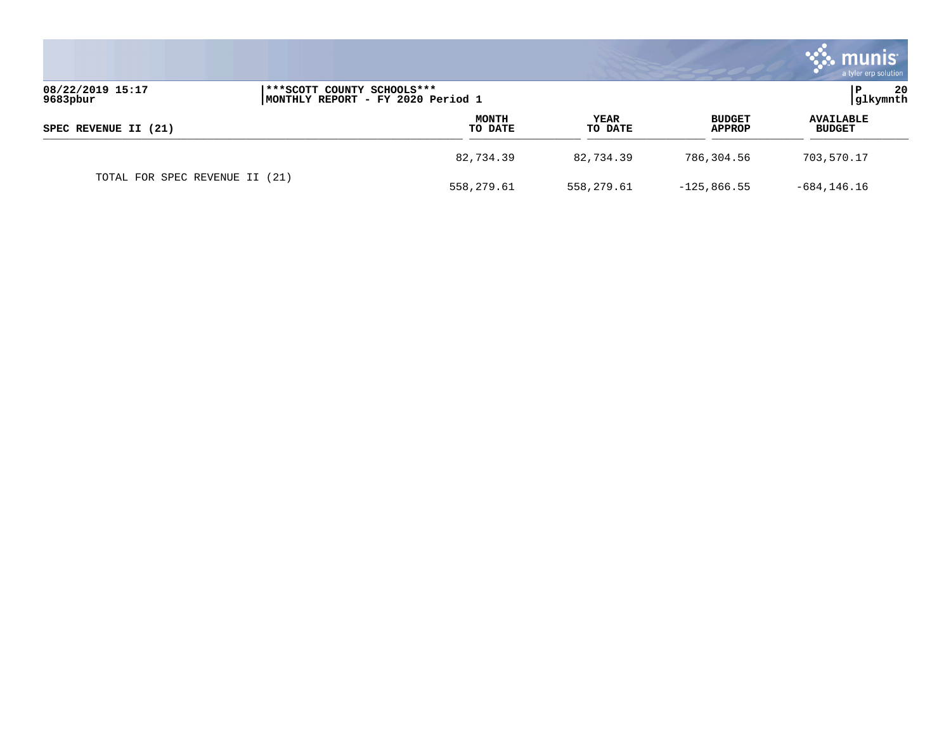|                                |                                                                 |                  |                 |                         | munis<br>a tyler erp solution     |
|--------------------------------|-----------------------------------------------------------------|------------------|-----------------|-------------------------|-----------------------------------|
| 08/22/2019 15:17<br>9683pbur   | ***SCOTT COUNTY SCHOOLS***<br>MONTHLY REPORT - FY 2020 Period 1 |                  |                 |                         | 20<br>P<br> glkymnth              |
| SPEC REVENUE II (21)           |                                                                 | MONTH<br>TO DATE | YEAR<br>TO DATE | <b>BUDGET</b><br>APPROP | <b>AVAILABLE</b><br><b>BUDGET</b> |
|                                |                                                                 | 82,734.39        | 82,734.39       | 786,304.56              | 703,570.17                        |
| TOTAL FOR SPEC REVENUE II (21) |                                                                 | 558,279.61       | 558,279.61      | $-125,866.55$           | $-684, 146.16$                    |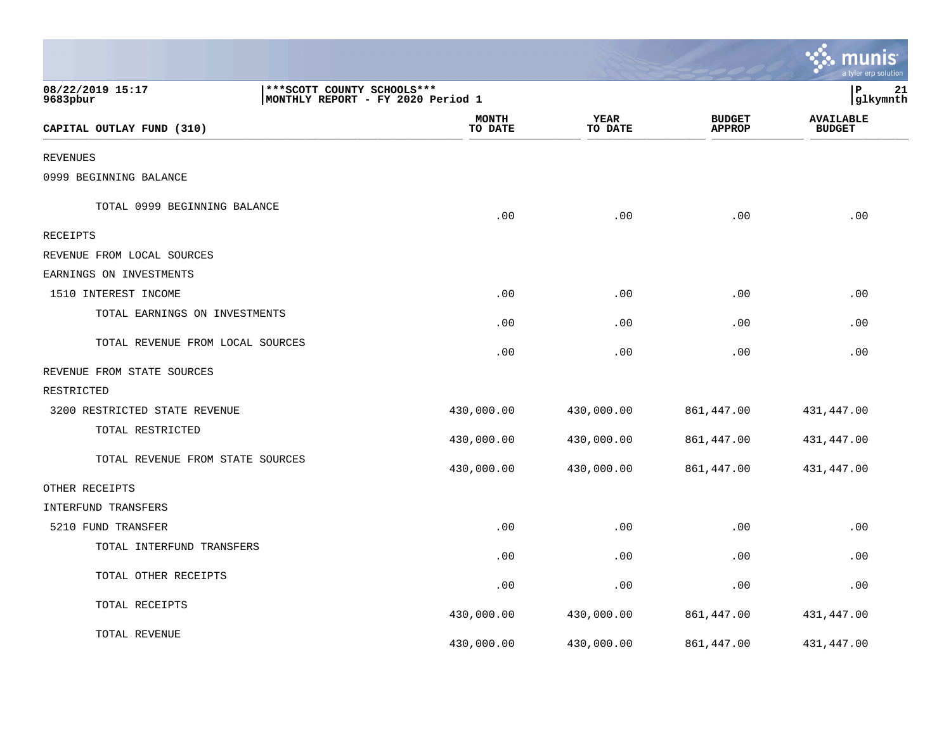|                                  |                                                                   |                 |                                | <b>SA munis</b><br>a tyler erp solution |
|----------------------------------|-------------------------------------------------------------------|-----------------|--------------------------------|-----------------------------------------|
| 08/22/2019 15:17<br>9683pbur     | *** SCOTT COUNTY SCHOOLS ***<br>MONTHLY REPORT - FY 2020 Period 1 |                 |                                | P<br>21<br>glkymnth                     |
| CAPITAL OUTLAY FUND (310)        | <b>MONTH</b><br>TO DATE                                           | YEAR<br>TO DATE | <b>BUDGET</b><br><b>APPROP</b> | <b>AVAILABLE</b><br><b>BUDGET</b>       |
| <b>REVENUES</b>                  |                                                                   |                 |                                |                                         |
| 0999 BEGINNING BALANCE           |                                                                   |                 |                                |                                         |
| TOTAL 0999 BEGINNING BALANCE     | .00                                                               | .00             | .00                            | .00                                     |
| RECEIPTS                         |                                                                   |                 |                                |                                         |
| REVENUE FROM LOCAL SOURCES       |                                                                   |                 |                                |                                         |
| EARNINGS ON INVESTMENTS          |                                                                   |                 |                                |                                         |
| 1510 INTEREST INCOME             | .00                                                               | .00             | .00                            | .00                                     |
| TOTAL EARNINGS ON INVESTMENTS    | .00                                                               | .00             | .00                            | .00                                     |
| TOTAL REVENUE FROM LOCAL SOURCES | .00                                                               | .00             | .00                            | .00                                     |
| REVENUE FROM STATE SOURCES       |                                                                   |                 |                                |                                         |
| RESTRICTED                       |                                                                   |                 |                                |                                         |
| 3200 RESTRICTED STATE REVENUE    | 430,000.00                                                        | 430,000.00      | 861, 447.00                    | 431,447.00                              |
| TOTAL RESTRICTED                 | 430,000.00                                                        | 430,000.00      | 861,447.00                     | 431,447.00                              |
| TOTAL REVENUE FROM STATE SOURCES | 430,000.00                                                        | 430,000.00      | 861, 447.00                    | 431,447.00                              |
| OTHER RECEIPTS                   |                                                                   |                 |                                |                                         |
| <b>INTERFUND TRANSFERS</b>       |                                                                   |                 |                                |                                         |
| 5210 FUND TRANSFER               | .00                                                               | .00             | .00                            | .00                                     |
| TOTAL INTERFUND TRANSFERS        | .00                                                               | .00             | .00                            | .00                                     |
| TOTAL OTHER RECEIPTS             | .00                                                               | .00             | .00                            | .00                                     |
| TOTAL RECEIPTS                   | 430,000.00                                                        | 430,000.00      | 861, 447.00                    | 431,447.00                              |
| TOTAL REVENUE                    | 430,000.00                                                        | 430,000.00      | 861, 447.00                    | 431,447.00                              |

 $\sim$   $\sim$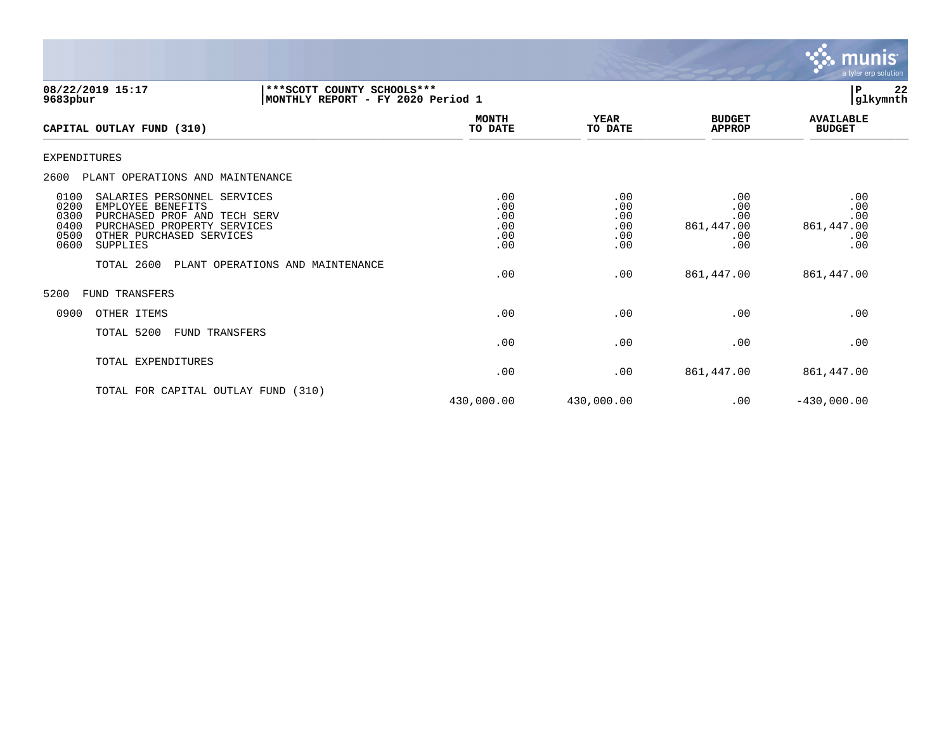

| 08/22/2019 15:17<br>9683pbur                                                                                                                                                                            | *** SCOTT COUNTY SCHOOLS ***<br>MONTHLY REPORT - FY 2020 Period 1 |                                        |                                        |                                               | 22<br>ΙP<br>glkymnth                          |
|---------------------------------------------------------------------------------------------------------------------------------------------------------------------------------------------------------|-------------------------------------------------------------------|----------------------------------------|----------------------------------------|-----------------------------------------------|-----------------------------------------------|
| CAPITAL OUTLAY FUND (310)                                                                                                                                                                               |                                                                   | <b>MONTH</b><br>TO DATE                | <b>YEAR</b><br>TO DATE                 | <b>BUDGET</b><br><b>APPROP</b>                | <b>AVAILABLE</b><br><b>BUDGET</b>             |
| <b>EXPENDITURES</b>                                                                                                                                                                                     |                                                                   |                                        |                                        |                                               |                                               |
| PLANT OPERATIONS AND MAINTENANCE<br>2600                                                                                                                                                                |                                                                   |                                        |                                        |                                               |                                               |
| 0100<br>SALARIES PERSONNEL SERVICES<br>0200<br>EMPLOYEE BENEFITS<br>0300<br>PURCHASED PROF AND TECH SERV<br>0400<br>PURCHASED PROPERTY SERVICES<br>0500<br>OTHER PURCHASED SERVICES<br>0600<br>SUPPLIES |                                                                   | .00<br>.00<br>.00<br>.00<br>.00<br>.00 | .00<br>.00<br>.00<br>.00<br>.00<br>.00 | .00<br>.00<br>.00<br>861,447.00<br>.00<br>.00 | .00<br>.00<br>.00<br>861,447.00<br>.00<br>.00 |
| TOTAL 2600                                                                                                                                                                                              | PLANT OPERATIONS AND MAINTENANCE                                  | .00                                    | .00                                    | 861,447.00                                    | 861,447.00                                    |
| 5200<br><b>FUND TRANSFERS</b>                                                                                                                                                                           |                                                                   |                                        |                                        |                                               |                                               |
| 0900<br>OTHER ITEMS                                                                                                                                                                                     |                                                                   | .00                                    | .00                                    | .00                                           | .00                                           |
| TOTAL 5200                                                                                                                                                                                              | FUND TRANSFERS                                                    | .00                                    | .00                                    | .00                                           | .00                                           |
| TOTAL EXPENDITURES                                                                                                                                                                                      |                                                                   | .00                                    | .00                                    | 861,447.00                                    | 861,447.00                                    |
| TOTAL FOR CAPITAL OUTLAY FUND (310)                                                                                                                                                                     |                                                                   | 430,000.00                             | 430,000.00                             | .00                                           | $-430,000.00$                                 |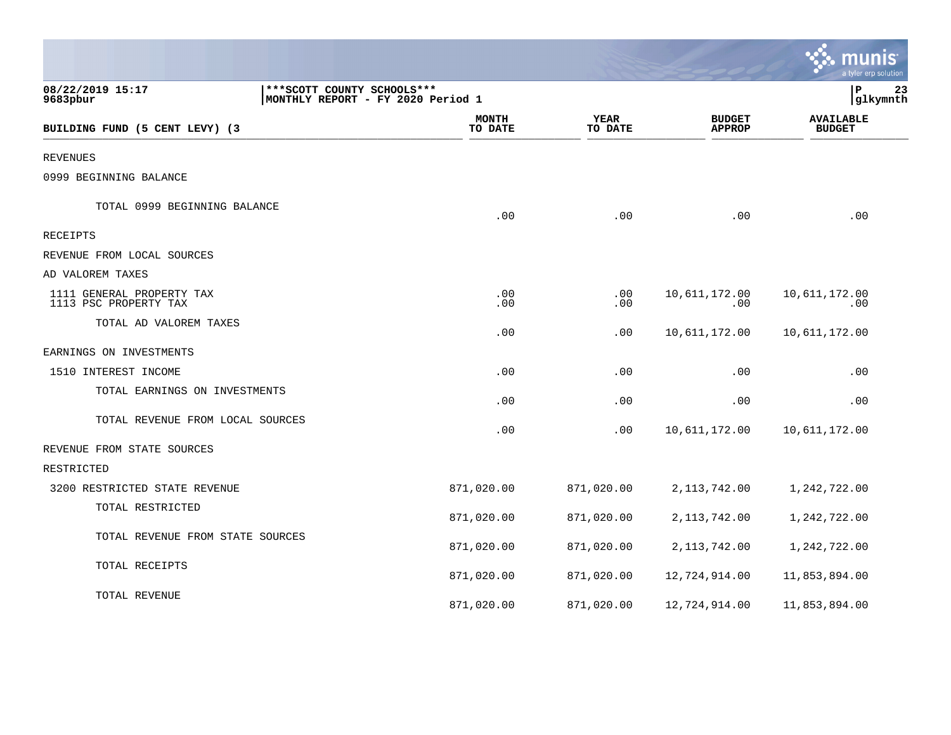|                                                                                                                                                                                                                                         |                                                                   |                         |                 |                                | <b>SAME MUNIS</b><br>a tyler erp solution |    |
|-----------------------------------------------------------------------------------------------------------------------------------------------------------------------------------------------------------------------------------------|-------------------------------------------------------------------|-------------------------|-----------------|--------------------------------|-------------------------------------------|----|
| 08/22/2019 15:17<br>9683pbur                                                                                                                                                                                                            | *** SCOTT COUNTY SCHOOLS ***<br>MONTHLY REPORT - FY 2020 Period 1 |                         |                 |                                | P<br>glkymnth                             | 23 |
| BUILDING FUND (5 CENT LEVY) (3<br>TOTAL 0999 BEGINNING BALANCE<br>TOTAL AD VALOREM TAXES<br>TOTAL EARNINGS ON INVESTMENTS<br>TOTAL REVENUE FROM LOCAL SOURCES<br>TOTAL RESTRICTED<br>TOTAL REVENUE FROM STATE SOURCES<br>TOTAL RECEIPTS |                                                                   | <b>MONTH</b><br>TO DATE | YEAR<br>TO DATE | <b>BUDGET</b><br><b>APPROP</b> | <b>AVAILABLE</b><br><b>BUDGET</b>         |    |
| REVENUES                                                                                                                                                                                                                                |                                                                   |                         |                 |                                |                                           |    |
| 0999 BEGINNING BALANCE                                                                                                                                                                                                                  |                                                                   |                         |                 |                                |                                           |    |
|                                                                                                                                                                                                                                         |                                                                   | .00                     | .00             | .00                            | .00                                       |    |
| <b>RECEIPTS</b>                                                                                                                                                                                                                         |                                                                   |                         |                 |                                |                                           |    |
| REVENUE FROM LOCAL SOURCES                                                                                                                                                                                                              |                                                                   |                         |                 |                                |                                           |    |
| AD VALOREM TAXES                                                                                                                                                                                                                        |                                                                   |                         |                 |                                |                                           |    |
| 1111 GENERAL PROPERTY TAX<br>1113 PSC PROPERTY TAX                                                                                                                                                                                      |                                                                   | .00<br>.00              | .00<br>.00      | 10,611,172.00<br>.00           | 10,611,172.00<br>.00                      |    |
|                                                                                                                                                                                                                                         |                                                                   | .00                     | .00             | 10,611,172.00                  | 10,611,172.00                             |    |
| EARNINGS ON INVESTMENTS                                                                                                                                                                                                                 |                                                                   |                         |                 |                                |                                           |    |
| 1510 INTEREST INCOME                                                                                                                                                                                                                    |                                                                   | .00                     | .00             | .00                            | .00                                       |    |
|                                                                                                                                                                                                                                         |                                                                   | .00                     | .00             | .00                            | .00                                       |    |
|                                                                                                                                                                                                                                         |                                                                   | .00                     | .00             | 10,611,172.00                  | 10,611,172.00                             |    |
| REVENUE FROM STATE SOURCES                                                                                                                                                                                                              |                                                                   |                         |                 |                                |                                           |    |
| RESTRICTED                                                                                                                                                                                                                              |                                                                   |                         |                 |                                |                                           |    |
| 3200 RESTRICTED STATE REVENUE                                                                                                                                                                                                           |                                                                   | 871,020.00              | 871,020.00      | 2, 113, 742.00                 | 1,242,722.00                              |    |
|                                                                                                                                                                                                                                         |                                                                   | 871,020.00              | 871,020.00      | 2, 113, 742.00                 | 1,242,722.00                              |    |
|                                                                                                                                                                                                                                         |                                                                   | 871,020.00              | 871,020.00      | 2, 113, 742.00                 | 1,242,722.00                              |    |
|                                                                                                                                                                                                                                         |                                                                   | 871,020.00              | 871,020.00      | 12,724,914.00                  | 11,853,894.00                             |    |
| TOTAL REVENUE                                                                                                                                                                                                                           |                                                                   | 871,020.00              | 871,020.00      | 12,724,914.00                  | 11,853,894.00                             |    |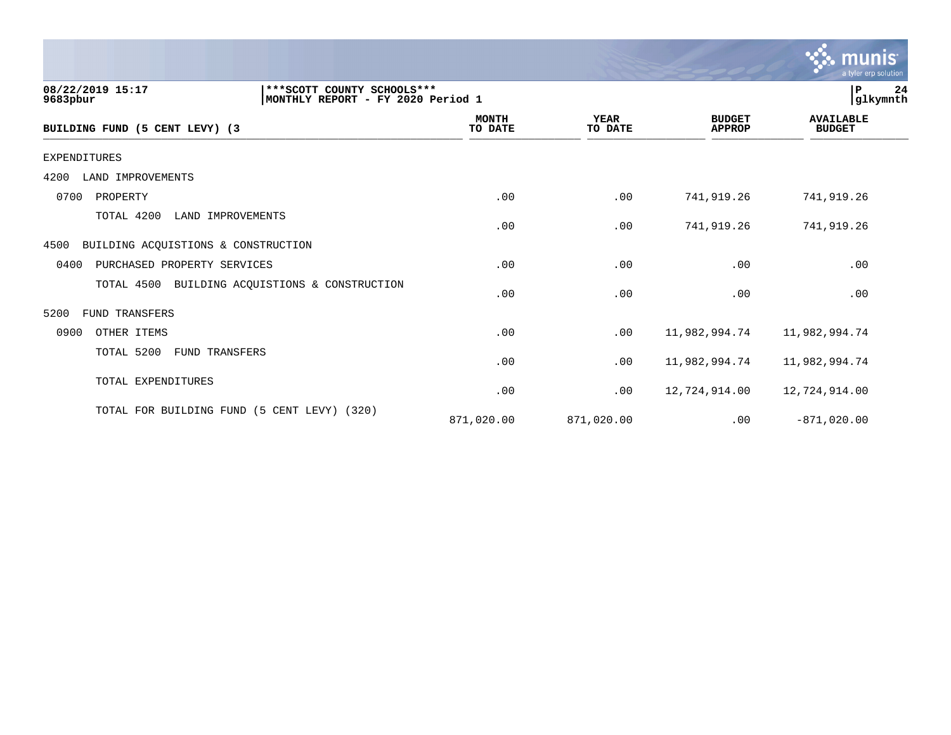|                                                                                                   |                         |                        |                                | munis <sup>.</sup><br>a tyler erp solution |
|---------------------------------------------------------------------------------------------------|-------------------------|------------------------|--------------------------------|--------------------------------------------|
| 08/22/2019 15:17<br>*** SCOTT COUNTY SCHOOLS ***<br>MONTHLY REPORT - FY 2020 Period 1<br>9683pbur |                         |                        |                                |                                            |
| BUILDING FUND (5 CENT LEVY) (3                                                                    | <b>MONTH</b><br>TO DATE | <b>YEAR</b><br>TO DATE | <b>BUDGET</b><br><b>APPROP</b> | <b>AVAILABLE</b><br><b>BUDGET</b>          |
| <b>EXPENDITURES</b>                                                                               |                         |                        |                                |                                            |
| 4200<br>LAND IMPROVEMENTS                                                                         |                         |                        |                                |                                            |
| 0700<br>PROPERTY                                                                                  | .00                     | .00                    | 741,919.26                     | 741,919.26                                 |
| TOTAL 4200<br>LAND IMPROVEMENTS                                                                   | .00                     | .00                    | 741,919.26                     | 741,919.26                                 |
| BUILDING ACQUISTIONS & CONSTRUCTION<br>4500                                                       |                         |                        |                                |                                            |
| 0400<br>PURCHASED PROPERTY SERVICES                                                               | .00                     | .00                    | .00                            | .00                                        |
| TOTAL 4500<br>BUILDING ACQUISTIONS & CONSTRUCTION                                                 | .00                     | .00                    | .00                            | .00                                        |
| 5200<br><b>FUND TRANSFERS</b>                                                                     |                         |                        |                                |                                            |
| 0900<br>OTHER ITEMS                                                                               | .00                     | .00                    | 11,982,994.74                  | 11,982,994.74                              |
| TOTAL 5200<br><b>FUND TRANSFERS</b>                                                               | .00                     | .00                    | 11,982,994.74                  | 11,982,994.74                              |
| TOTAL EXPENDITURES                                                                                | .00                     | .00                    | 12,724,914.00                  | 12,724,914.00                              |
| TOTAL FOR BUILDING FUND (5 CENT LEVY) (320)                                                       | 871,020.00              | 871,020.00             | .00                            | $-871,020.00$                              |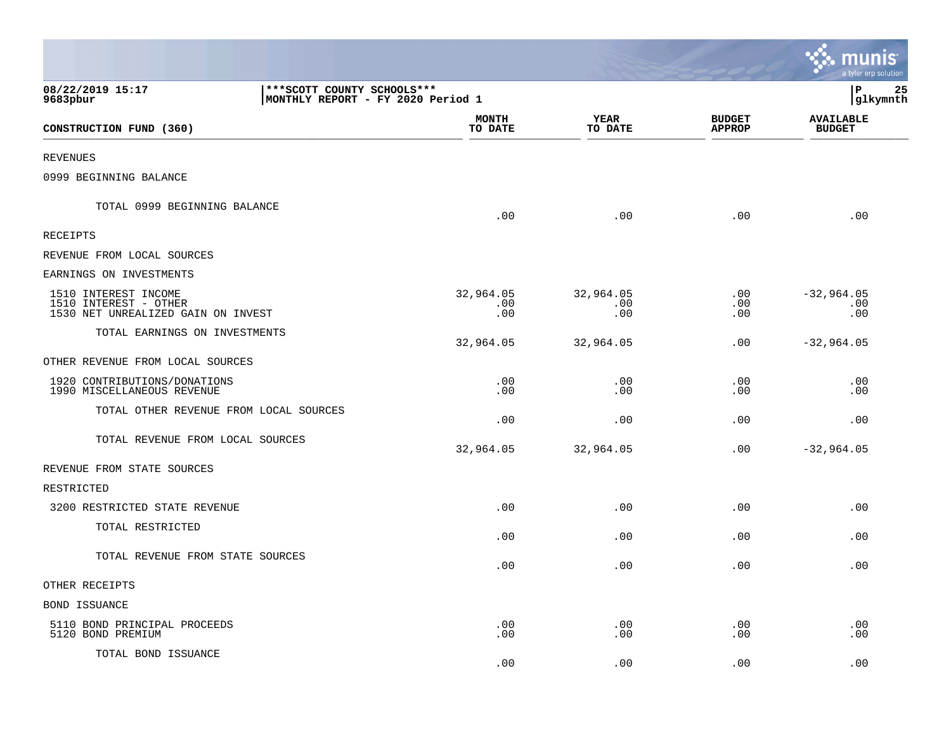|                                                                                                   |                         |                         |                                | <b>N. MUNIS</b><br>a tyler erp solution |
|---------------------------------------------------------------------------------------------------|-------------------------|-------------------------|--------------------------------|-----------------------------------------|
| 08/22/2019 15:17<br>*** SCOTT COUNTY SCHOOLS ***<br>MONTHLY REPORT - FY 2020 Period 1<br>9683pbur |                         |                         |                                | lР<br>25<br> glkymnth                   |
| CONSTRUCTION FUND (360)                                                                           | <b>MONTH</b><br>TO DATE | YEAR<br>TO DATE         | <b>BUDGET</b><br><b>APPROP</b> | <b>AVAILABLE</b><br><b>BUDGET</b>       |
| REVENUES                                                                                          |                         |                         |                                |                                         |
| 0999 BEGINNING BALANCE                                                                            |                         |                         |                                |                                         |
| TOTAL 0999 BEGINNING BALANCE                                                                      | .00                     | .00                     | .00                            | .00                                     |
| RECEIPTS                                                                                          |                         |                         |                                |                                         |
| REVENUE FROM LOCAL SOURCES                                                                        |                         |                         |                                |                                         |
| EARNINGS ON INVESTMENTS                                                                           |                         |                         |                                |                                         |
| 1510 INTEREST INCOME<br>1510 INTEREST - OTHER<br>1530 NET UNREALIZED GAIN ON INVEST               | 32,964.05<br>.00<br>.00 | 32,964.05<br>.00<br>.00 | .00<br>.00<br>.00              | $-32,964.05$<br>.00<br>.00              |
| TOTAL EARNINGS ON INVESTMENTS                                                                     | 32,964.05               | 32,964.05               | .00                            | $-32,964.05$                            |
| OTHER REVENUE FROM LOCAL SOURCES                                                                  |                         |                         |                                |                                         |
| 1920 CONTRIBUTIONS/DONATIONS<br>1990 MISCELLANEOUS REVENUE                                        | .00<br>.00              | .00<br>.00              | .00<br>.00                     | .00<br>.00                              |
| TOTAL OTHER REVENUE FROM LOCAL SOURCES                                                            | .00                     | .00                     | .00                            | .00                                     |
| TOTAL REVENUE FROM LOCAL SOURCES                                                                  | 32,964.05               | 32,964.05               | .00                            | $-32,964.05$                            |
| REVENUE FROM STATE SOURCES                                                                        |                         |                         |                                |                                         |
| RESTRICTED                                                                                        |                         |                         |                                |                                         |
| 3200 RESTRICTED STATE REVENUE                                                                     | .00                     | .00                     | .00                            | .00                                     |
| TOTAL RESTRICTED                                                                                  | .00                     | .00                     | .00                            | .00                                     |
| TOTAL REVENUE FROM STATE SOURCES                                                                  | .00                     | .00                     | .00                            | .00                                     |
| OTHER RECEIPTS                                                                                    |                         |                         |                                |                                         |
| BOND ISSUANCE                                                                                     |                         |                         |                                |                                         |
| 5110 BOND PRINCIPAL PROCEEDS<br>5120 BOND PREMIUM                                                 | .00<br>.00              | .00<br>.00              | .00<br>.00                     | .00<br>.00                              |
| TOTAL BOND ISSUANCE                                                                               | .00                     | .00                     | .00                            | .00                                     |

and the contract of the contract of the contract of the contract of the contract of the contract of the contract of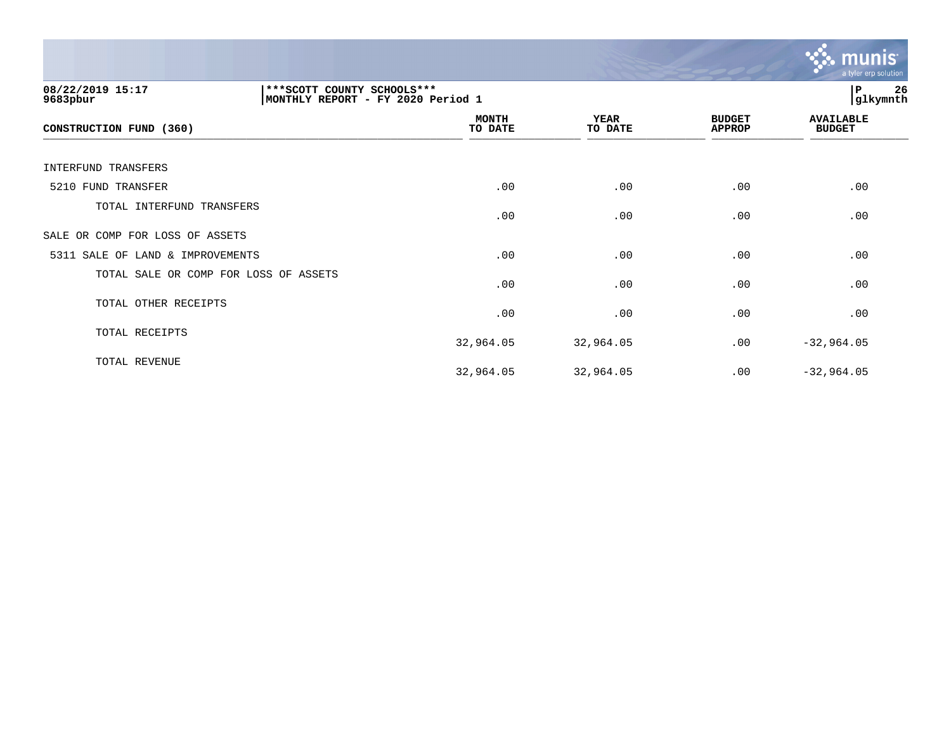|                                  |                                                                 |                         |                        |                                | <b>munis</b><br>a tyler erp solution |
|----------------------------------|-----------------------------------------------------------------|-------------------------|------------------------|--------------------------------|--------------------------------------|
| 08/22/2019 15:17<br>9683pbur     | ***SCOTT COUNTY SCHOOLS***<br>MONTHLY REPORT - FY 2020 Period 1 |                         |                        |                                | 26<br>P<br>glkymnth                  |
| CONSTRUCTION FUND (360)          |                                                                 | <b>MONTH</b><br>TO DATE | <b>YEAR</b><br>TO DATE | <b>BUDGET</b><br><b>APPROP</b> | <b>AVAILABLE</b><br><b>BUDGET</b>    |
| <b>INTERFUND TRANSFERS</b>       |                                                                 |                         |                        |                                |                                      |
| 5210 FUND TRANSFER               |                                                                 | .00                     | .00                    | .00                            | .00                                  |
| TOTAL INTERFUND TRANSFERS        |                                                                 | .00                     | .00                    | .00                            | .00                                  |
| SALE OR COMP FOR LOSS OF ASSETS  |                                                                 |                         |                        |                                |                                      |
| 5311 SALE OF LAND & IMPROVEMENTS |                                                                 | .00                     | .00                    | .00                            | .00                                  |
|                                  | TOTAL SALE OR COMP FOR LOSS OF ASSETS                           | .00                     | .00                    | .00                            | .00                                  |
| TOTAL OTHER RECEIPTS             |                                                                 | .00                     | .00                    | .00                            | .00                                  |
| TOTAL RECEIPTS                   |                                                                 | 32,964.05               | 32,964.05              | .00                            | $-32,964.05$                         |
| TOTAL REVENUE                    |                                                                 | 32,964.05               | 32,964.05              | .00                            | $-32,964.05$                         |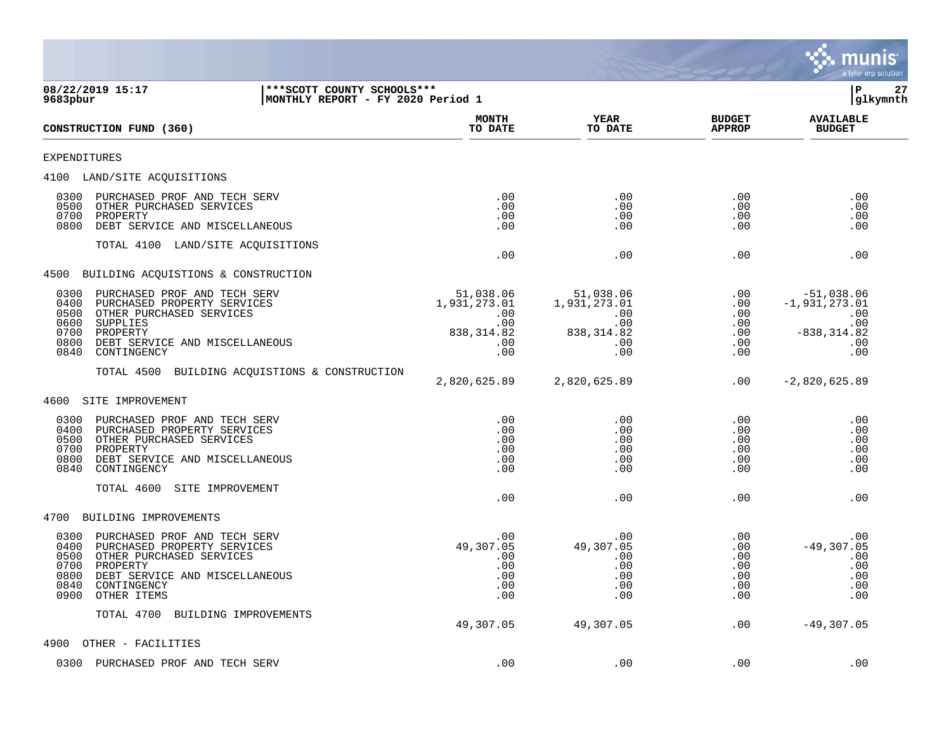

# **08/22/2019 15:17 |\*\*\*SCOTT COUNTY SCHOOLS\*\*\* |P 27 9683pbur |MONTHLY REPORT - FY 2020 Period 1 |glkymnth**

| CONSTRUCTION FUND (360)                                                                                                                                                                                                     | <b>MONTH</b><br>TO DATE                                                                                                                                                      | <b>YEAR</b><br>TO DATE                              | <b>BUDGET</b><br><b>APPROP</b>                    | <b>AVAILABLE</b><br><b>BUDGET</b>                                                                                                               |
|-----------------------------------------------------------------------------------------------------------------------------------------------------------------------------------------------------------------------------|------------------------------------------------------------------------------------------------------------------------------------------------------------------------------|-----------------------------------------------------|---------------------------------------------------|-------------------------------------------------------------------------------------------------------------------------------------------------|
| EXPENDITURES                                                                                                                                                                                                                |                                                                                                                                                                              |                                                     |                                                   |                                                                                                                                                 |
| 4100 LAND/SITE ACQUISITIONS                                                                                                                                                                                                 |                                                                                                                                                                              |                                                     |                                                   |                                                                                                                                                 |
| 0300<br>PURCHASED PROF AND TECH SERV<br>0500<br>OTHER PURCHASED SERVICES<br>0700<br>PROPERTY<br>0800<br>DEBT SERVICE AND MISCELLANEOUS                                                                                      | .00<br>.00<br>.00<br>.00                                                                                                                                                     | .00<br>.00<br>$.00 \,$<br>.00                       | .00<br>.00<br>$.00 \,$<br>.00                     | .00<br>.00<br>.00<br>.00                                                                                                                        |
| TOTAL 4100 LAND/SITE ACQUISITIONS                                                                                                                                                                                           | .00                                                                                                                                                                          | .00                                                 | .00                                               | .00                                                                                                                                             |
| 4500 BUILDING ACQUISTIONS & CONSTRUCTION                                                                                                                                                                                    |                                                                                                                                                                              |                                                     |                                                   |                                                                                                                                                 |
| 0300<br>PURCHASED PROF AND TECH SERV<br>0400<br>PURCHASED PROPERTY SERVICES<br>0500<br>OTHER PURCHASED SERVICES<br>0600<br>SUPPLIES<br>0700<br>PROPERTY<br>0800<br>DEBT SERVICE AND MISCELLANEOUS<br>0840<br>CONTINGENCY    | $\begin{array}{cccc} & 51,038.06 & & 51,038.06 \\ 1,931,273.01 & & 1,931,273.01 \\ .00 & & & .00 \\ .00 & & & .00 \\ .038,314.82 & & & 838,314.82 \end{array}$<br>.00<br>.00 | .00<br>.00                                          | .00<br>.00<br>.00                                 | $\begin{array}{cc} .00 & -51,038.06 \\ .00 & -1,931,273.01 \\ .00 & .00 & .00 \\ .00 & -838.314.82 \end{array}$<br>$-838, 314.82$<br>.00<br>.00 |
| TOTAL 4500 BUILDING ACQUISTIONS & CONSTRUCTION                                                                                                                                                                              | 2,820,625.89                                                                                                                                                                 | 2,820,625.89                                        | .00                                               | $-2,820,625.89$                                                                                                                                 |
| 4600<br>SITE IMPROVEMENT                                                                                                                                                                                                    |                                                                                                                                                                              |                                                     |                                                   |                                                                                                                                                 |
| 0300<br>PURCHASED PROF AND TECH SERV<br>0400<br>PURCHASED PROPERTY SERVICES<br>0500<br>OTHER PURCHASED SERVICES<br>0700<br>PROPERTY<br>0800<br>DEBT SERVICE AND MISCELLANEOUS<br>0840<br>CONTINGENCY                        | .00<br>.00<br>.00<br>.00<br>.00<br>.00                                                                                                                                       | .00<br>.00<br>.00<br>.00<br>.00<br>.00              | .00<br>.00<br>.00<br>.00<br>.00<br>.00            | .00<br>.00<br>.00<br>.00<br>.00<br>.00                                                                                                          |
| TOTAL 4600<br>SITE IMPROVEMENT                                                                                                                                                                                              | .00                                                                                                                                                                          | .00                                                 | .00                                               | .00                                                                                                                                             |
| 4700<br>BUILDING IMPROVEMENTS                                                                                                                                                                                               |                                                                                                                                                                              |                                                     |                                                   |                                                                                                                                                 |
| 0300<br>PURCHASED PROF AND TECH SERV<br>0400<br>PURCHASED PROPERTY SERVICES<br>0500<br>OTHER PURCHASED SERVICES<br>0700<br>PROPERTY<br>0800<br>DEBT SERVICE AND MISCELLANEOUS<br>0840<br>CONTINGENCY<br>0900<br>OTHER ITEMS | .00<br>49,307.05<br>.00<br>.00<br>.00<br>.00<br>.00                                                                                                                          | .00<br>49,307.05<br>.00<br>.00<br>.00<br>.00<br>.00 | $.00\,$<br>.00<br>.00<br>.00<br>.00<br>.00<br>.00 | .00<br>$-49, 307.05$<br>$\overline{\phantom{0}}$ .00<br>.00<br>.00<br>.00<br>.00                                                                |
| TOTAL 4700<br>BUILDING IMPROVEMENTS                                                                                                                                                                                         | 49,307.05                                                                                                                                                                    | 49,307.05                                           | .00                                               | $-49,307.05$                                                                                                                                    |
| OTHER - FACILITIES<br>4900                                                                                                                                                                                                  |                                                                                                                                                                              |                                                     |                                                   |                                                                                                                                                 |
| 0300 PURCHASED PROF AND TECH SERV                                                                                                                                                                                           | .00                                                                                                                                                                          | .00                                                 | .00                                               | .00                                                                                                                                             |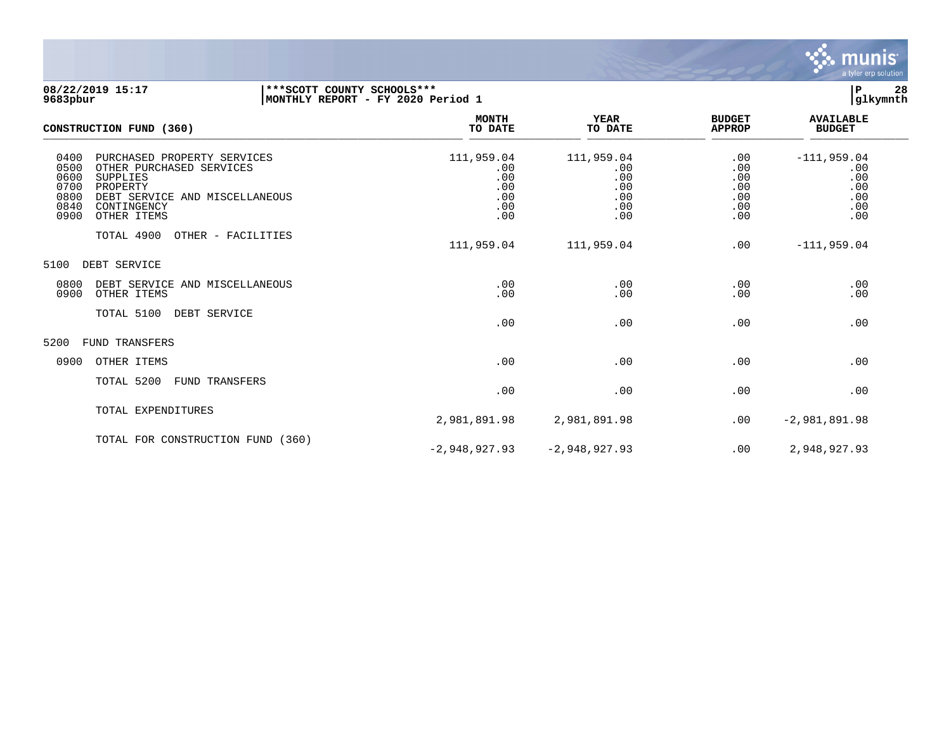

#### **08/22/2019 15:17 |\*\*\*SCOTT COUNTY SCHOOLS\*\*\* |P 28 MONTHLY REPORT - FY 2020 Period 1**

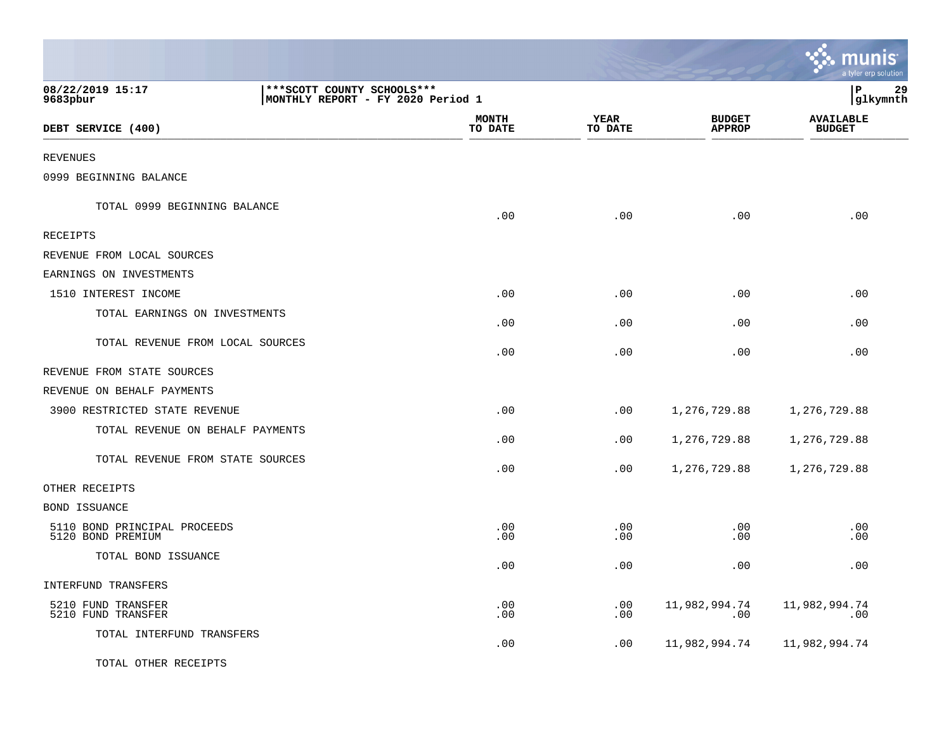|                                                   |                                                                 |                         |                        |                                | <b>Co. Munis</b><br>a tyler erp solution |                 |
|---------------------------------------------------|-----------------------------------------------------------------|-------------------------|------------------------|--------------------------------|------------------------------------------|-----------------|
| 08/22/2019 15:17<br>9683pbur                      | ***SCOTT COUNTY SCHOOLS***<br>MONTHLY REPORT - FY 2020 Period 1 |                         |                        |                                | l P                                      | 29<br> glkymnth |
| DEBT SERVICE (400)                                |                                                                 | <b>MONTH</b><br>TO DATE | <b>YEAR</b><br>TO DATE | <b>BUDGET</b><br><b>APPROP</b> | <b>AVAILABLE</b><br><b>BUDGET</b>        |                 |
| <b>REVENUES</b>                                   |                                                                 |                         |                        |                                |                                          |                 |
| 0999 BEGINNING BALANCE                            |                                                                 |                         |                        |                                |                                          |                 |
| TOTAL 0999 BEGINNING BALANCE                      |                                                                 | .00                     | .00                    | .00                            | .00                                      |                 |
| RECEIPTS                                          |                                                                 |                         |                        |                                |                                          |                 |
| REVENUE FROM LOCAL SOURCES                        |                                                                 |                         |                        |                                |                                          |                 |
| EARNINGS ON INVESTMENTS                           |                                                                 |                         |                        |                                |                                          |                 |
| 1510 INTEREST INCOME                              |                                                                 | .00                     | .00                    | .00                            | .00                                      |                 |
| TOTAL EARNINGS ON INVESTMENTS                     |                                                                 | .00                     | .00                    | .00                            | .00                                      |                 |
| TOTAL REVENUE FROM LOCAL SOURCES                  |                                                                 | .00                     | .00                    | .00                            | .00                                      |                 |
| REVENUE FROM STATE SOURCES                        |                                                                 |                         |                        |                                |                                          |                 |
| REVENUE ON BEHALF PAYMENTS                        |                                                                 |                         |                        |                                |                                          |                 |
| 3900 RESTRICTED STATE REVENUE                     |                                                                 | .00                     | .00                    | 1,276,729.88                   | 1,276,729.88                             |                 |
| TOTAL REVENUE ON BEHALF PAYMENTS                  |                                                                 | .00                     | .00                    | 1,276,729.88                   | 1,276,729.88                             |                 |
| TOTAL REVENUE FROM STATE SOURCES                  |                                                                 | .00                     | .00                    | 1,276,729.88                   | 1,276,729.88                             |                 |
| OTHER RECEIPTS                                    |                                                                 |                         |                        |                                |                                          |                 |
| BOND ISSUANCE                                     |                                                                 |                         |                        |                                |                                          |                 |
| 5110 BOND PRINCIPAL PROCEEDS<br>5120 BOND PREMIUM |                                                                 | .00<br>.00              | .00<br>.00             | .00<br>.00                     | .00<br>.00                               |                 |
| TOTAL BOND ISSUANCE                               |                                                                 | .00                     | .00                    | .00                            | .00                                      |                 |
| INTERFUND TRANSFERS                               |                                                                 |                         |                        |                                |                                          |                 |
| 5210 FUND TRANSFER<br>5210 FUND TRANSFER          |                                                                 | .00<br>.00              | .00<br>.00             | 11,982,994.74<br>.00           | 11,982,994.74<br>.00                     |                 |
| TOTAL INTERFUND TRANSFERS                         |                                                                 | .00                     | .00                    | 11,982,994.74                  | 11,982,994.74                            |                 |
| TOTAL OTHER RECEIPTS                              |                                                                 |                         |                        |                                |                                          |                 |

 $\mathcal{L}$  and  $\mathcal{L}$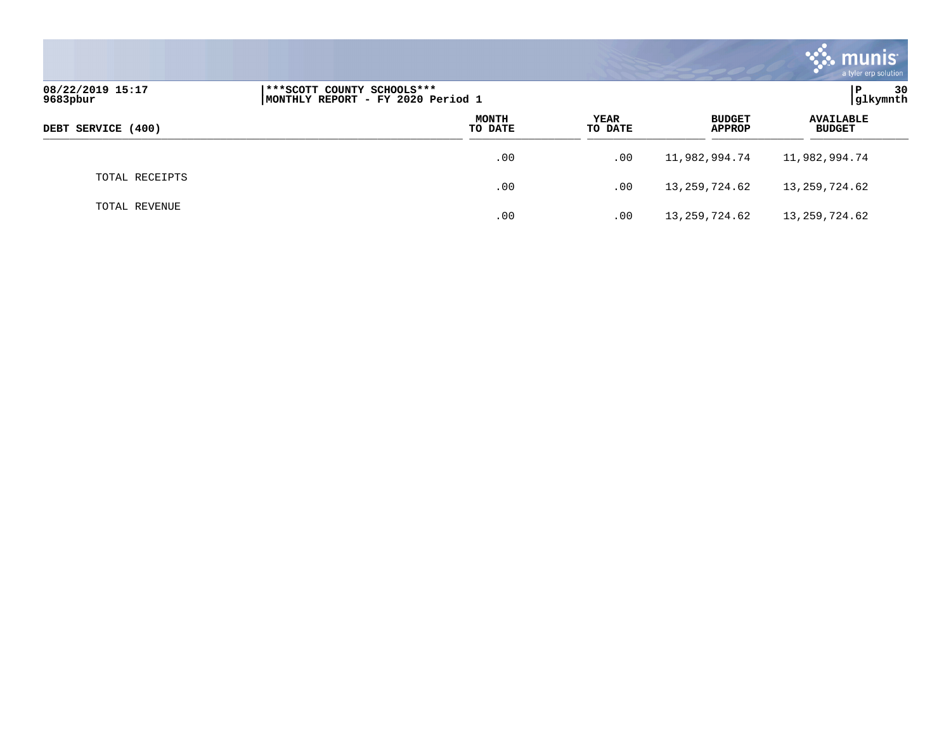|                              |                                                                 |                         |                 |                                | <b>MUNIST</b><br>a tyler erp solution |
|------------------------------|-----------------------------------------------------------------|-------------------------|-----------------|--------------------------------|---------------------------------------|
| 08/22/2019 15:17<br>9683pbur | ***SCOTT COUNTY SCHOOLS***<br>MONTHLY REPORT - FY 2020 Period 1 |                         |                 |                                | 30<br>P<br> glkymnth                  |
| DEBT SERVICE (400)           |                                                                 | <b>MONTH</b><br>TO DATE | YEAR<br>TO DATE | <b>BUDGET</b><br><b>APPROP</b> | <b>AVAILABLE</b><br><b>BUDGET</b>     |
|                              |                                                                 | .00                     | .00             | 11,982,994.74                  | 11,982,994.74                         |
| TOTAL RECEIPTS               |                                                                 | .00                     | .00             | 13,259,724.62                  | 13,259,724.62                         |
| TOTAL REVENUE                |                                                                 | .00                     | .00             | 13,259,724.62                  | 13,259,724.62                         |

 $\sim$   $\sim$   $\sim$   $\sim$   $\sim$   $\sim$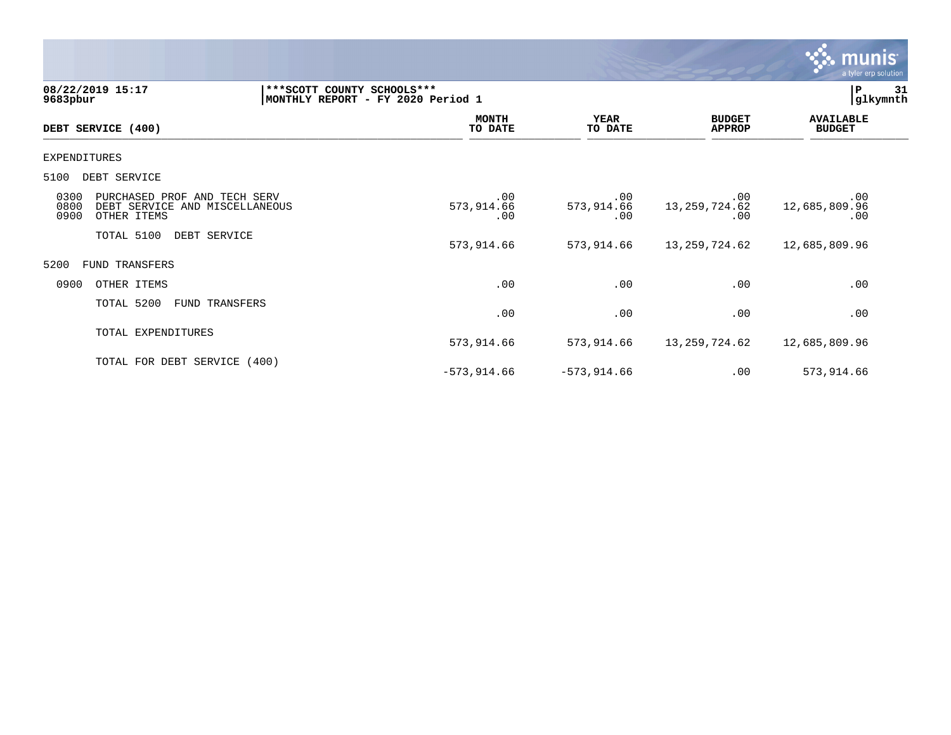

| 08/22/2019 15:17<br>9683pbur                                                                          | *** SCOTT COUNTY SCHOOLS ***<br>MONTHLY REPORT - FY 2020 Period 1 |                          |                               |                                  | IΡ                                | 31<br>glkymnth |  |
|-------------------------------------------------------------------------------------------------------|-------------------------------------------------------------------|--------------------------|-------------------------------|----------------------------------|-----------------------------------|----------------|--|
| DEBT SERVICE (400)                                                                                    |                                                                   | <b>MONTH</b><br>TO DATE  | <b>YEAR</b><br>TO DATE        | <b>BUDGET</b><br><b>APPROP</b>   | <b>AVAILABLE</b><br><b>BUDGET</b> |                |  |
| EXPENDITURES                                                                                          |                                                                   |                          |                               |                                  |                                   |                |  |
| 5100<br>DEBT SERVICE                                                                                  |                                                                   |                          |                               |                                  |                                   |                |  |
| 0300<br>PURCHASED PROF AND TECH SERV<br>0800<br>DEBT SERVICE AND MISCELLANEOUS<br>0900<br>OTHER ITEMS |                                                                   | .00<br>573,914.66<br>.00 | $.00 \,$<br>573,914.66<br>.00 | $.00 \,$<br>13,259,724.62<br>.00 | .00<br>12,685,809.96<br>.00       |                |  |
| TOTAL 5100<br>DEBT SERVICE                                                                            |                                                                   | 573,914.66               | 573,914.66                    | 13,259,724.62                    | 12,685,809.96                     |                |  |
| 5200<br><b>FUND TRANSFERS</b>                                                                         |                                                                   |                          |                               |                                  |                                   |                |  |
| 0900<br>OTHER ITEMS                                                                                   |                                                                   | .00                      | .00                           | .00                              | .00                               |                |  |
| TOTAL 5200<br>FUND TRANSFERS                                                                          |                                                                   | .00                      | .00                           | .00                              | .00                               |                |  |
| TOTAL EXPENDITURES                                                                                    |                                                                   | 573,914.66               | 573,914.66                    | 13,259,724.62                    | 12,685,809.96                     |                |  |
| TOTAL FOR DEBT SERVICE (400)                                                                          |                                                                   | $-573, 914.66$           | $-573,914.66$                 | .00                              | 573,914.66                        |                |  |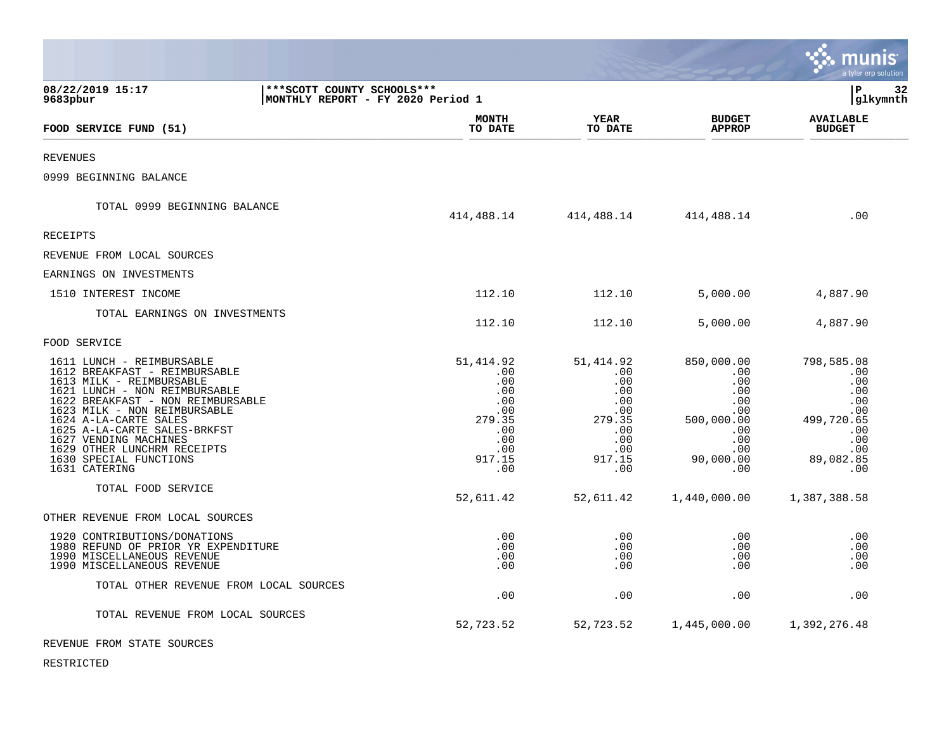|                                                                                                                                                                                                                                                                                                                                                          |                                                                   |                                                                                                    |                                                                                              |                                                                                                      | nıs<br>a tyler erp solution                                                                          |
|----------------------------------------------------------------------------------------------------------------------------------------------------------------------------------------------------------------------------------------------------------------------------------------------------------------------------------------------------------|-------------------------------------------------------------------|----------------------------------------------------------------------------------------------------|----------------------------------------------------------------------------------------------|------------------------------------------------------------------------------------------------------|------------------------------------------------------------------------------------------------------|
| 08/22/2019 15:17<br>9683pbur                                                                                                                                                                                                                                                                                                                             | *** SCOTT COUNTY SCHOOLS ***<br>MONTHLY REPORT - FY 2020 Period 1 |                                                                                                    |                                                                                              |                                                                                                      | l P<br>32<br> glkymnth                                                                               |
| FOOD SERVICE FUND (51)                                                                                                                                                                                                                                                                                                                                   |                                                                   | <b>MONTH</b><br>TO DATE                                                                            | <b>YEAR</b><br>TO DATE                                                                       | <b>BUDGET</b><br><b>APPROP</b>                                                                       | <b>AVAILABLE</b><br><b>BUDGET</b>                                                                    |
| <b>REVENUES</b>                                                                                                                                                                                                                                                                                                                                          |                                                                   |                                                                                                    |                                                                                              |                                                                                                      |                                                                                                      |
| 0999 BEGINNING BALANCE                                                                                                                                                                                                                                                                                                                                   |                                                                   |                                                                                                    |                                                                                              |                                                                                                      |                                                                                                      |
| TOTAL 0999 BEGINNING BALANCE                                                                                                                                                                                                                                                                                                                             |                                                                   | 414,488.14                                                                                         | 414,488.14                                                                                   | 414,488.14                                                                                           | .00                                                                                                  |
| RECEIPTS                                                                                                                                                                                                                                                                                                                                                 |                                                                   |                                                                                                    |                                                                                              |                                                                                                      |                                                                                                      |
| REVENUE FROM LOCAL SOURCES                                                                                                                                                                                                                                                                                                                               |                                                                   |                                                                                                    |                                                                                              |                                                                                                      |                                                                                                      |
| EARNINGS ON INVESTMENTS                                                                                                                                                                                                                                                                                                                                  |                                                                   |                                                                                                    |                                                                                              |                                                                                                      |                                                                                                      |
| 1510 INTEREST INCOME                                                                                                                                                                                                                                                                                                                                     |                                                                   | 112.10                                                                                             | 112.10                                                                                       | 5,000.00                                                                                             | 4,887.90                                                                                             |
| TOTAL EARNINGS ON INVESTMENTS                                                                                                                                                                                                                                                                                                                            |                                                                   | 112.10                                                                                             | 112.10                                                                                       | 5,000.00                                                                                             | 4,887.90                                                                                             |
| FOOD SERVICE                                                                                                                                                                                                                                                                                                                                             |                                                                   |                                                                                                    |                                                                                              |                                                                                                      |                                                                                                      |
| 1611 LUNCH - REIMBURSABLE<br>1612 BREAKFAST - REIMBURSABLE<br>1613 MILK - REIMBURSABLE<br>1621 LUNCH - NON REIMBURSABLE<br>1622 BREAKFAST - NON REIMBURSABLE<br>1623 MILK - NON REIMBURSABLE<br>1624 A-LA-CARTE SALES<br>1625 A-LA-CARTE SALES-BRKFST<br>1627 VENDING MACHINES<br>1629 OTHER LUNCHRM RECEIPTS<br>1630 SPECIAL FUNCTIONS<br>1631 CATERING |                                                                   | 51, 414.92<br>.00<br>.00<br>.00<br>.00<br>.00<br>279.35<br>.00<br>.00<br>$.00 \,$<br>917.15<br>.00 | 51,414.92<br>.00<br>.00<br>.00<br>.00<br>.00<br>279.35<br>.00<br>.00<br>.00<br>917.15<br>.00 | 850,000.00<br>.00<br>.00<br>.00<br>.00<br>.00<br>500,000.00<br>.00<br>.00<br>.00<br>90,000.00<br>.00 | 798,585.08<br>.00<br>.00<br>.00<br>.00<br>.00<br>499,720.65<br>.00<br>.00<br>.00<br>89,082.85<br>.00 |
| TOTAL FOOD SERVICE                                                                                                                                                                                                                                                                                                                                       |                                                                   | 52,611.42                                                                                          | 52,611.42                                                                                    | 1,440,000.00                                                                                         | 1,387,388.58                                                                                         |
| OTHER REVENUE FROM LOCAL SOURCES                                                                                                                                                                                                                                                                                                                         |                                                                   |                                                                                                    |                                                                                              |                                                                                                      |                                                                                                      |
| 1920 CONTRIBUTIONS/DONATIONS<br>1980 REFUND OF PRIOR YR EXPENDITURE<br>1990 MISCELLANEOUS REVENUE<br>1990 MISCELLANEOUS REVENUE                                                                                                                                                                                                                          |                                                                   | .00<br>.00<br>.00<br>.00                                                                           | .00<br>.00<br>.00<br>.00                                                                     | .00<br>.00<br>.00<br>.00                                                                             | .00<br>.00<br>.00<br>.00                                                                             |
| TOTAL OTHER REVENUE FROM LOCAL SOURCES                                                                                                                                                                                                                                                                                                                   |                                                                   | .00                                                                                                | .00                                                                                          | .00                                                                                                  | .00                                                                                                  |
| TOTAL REVENUE FROM LOCAL SOURCES                                                                                                                                                                                                                                                                                                                         |                                                                   | 52,723.52                                                                                          | 52,723.52                                                                                    | 1,445,000.00                                                                                         | 1,392,276.48                                                                                         |
| REVENUE FROM STATE SOURCES                                                                                                                                                                                                                                                                                                                               |                                                                   |                                                                                                    |                                                                                              |                                                                                                      |                                                                                                      |

**Contract Contract Street** 

RESTRICTED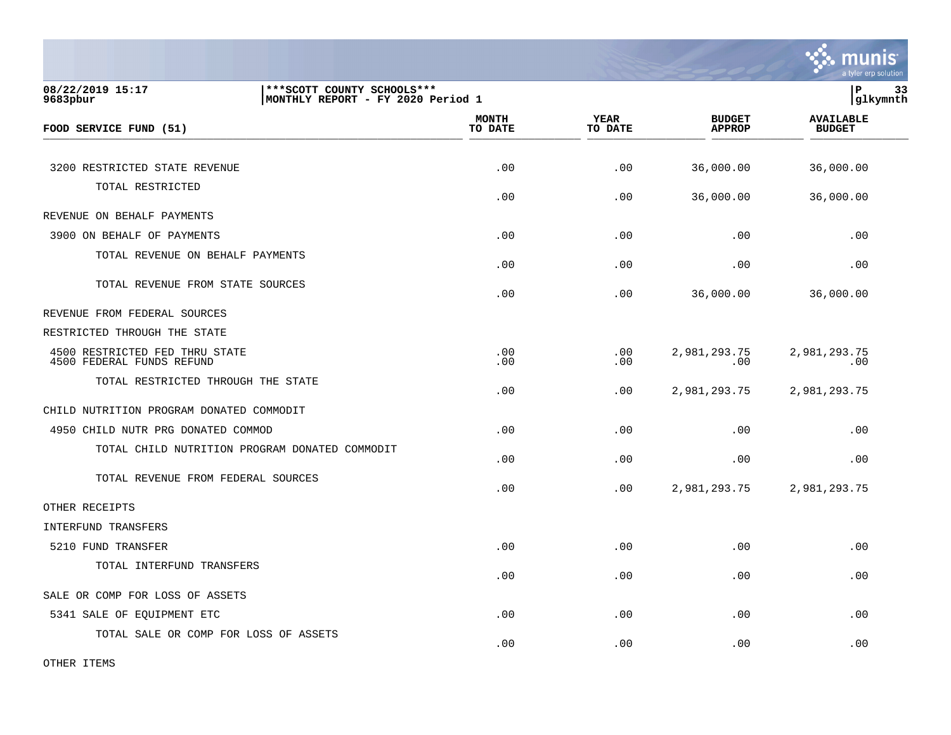

| 08/22/2019 15:17<br>*** SCOTT COUNTY SCHOOLS ***<br>MONTHLY REPORT - FY 2020 Period 1<br>9683pbur |                         |                 |                                | l P<br>33<br>glkymnth             |  |
|---------------------------------------------------------------------------------------------------|-------------------------|-----------------|--------------------------------|-----------------------------------|--|
| FOOD SERVICE FUND (51)                                                                            | <b>MONTH</b><br>TO DATE | YEAR<br>TO DATE | <b>BUDGET</b><br><b>APPROP</b> | <b>AVAILABLE</b><br><b>BUDGET</b> |  |
|                                                                                                   |                         |                 |                                |                                   |  |
| 3200 RESTRICTED STATE REVENUE                                                                     | .00                     | .00             | 36,000.00                      | 36,000.00                         |  |
| TOTAL RESTRICTED                                                                                  | .00                     | .00             | 36,000.00                      | 36,000.00                         |  |
| REVENUE ON BEHALF PAYMENTS                                                                        |                         |                 |                                |                                   |  |
| 3900 ON BEHALF OF PAYMENTS                                                                        | .00                     | .00             | .00                            | .00                               |  |
| TOTAL REVENUE ON BEHALF PAYMENTS                                                                  | .00                     | .00             | .00                            | .00                               |  |
| TOTAL REVENUE FROM STATE SOURCES                                                                  | .00                     | .00             | 36,000.00                      | 36,000.00                         |  |
| REVENUE FROM FEDERAL SOURCES                                                                      |                         |                 |                                |                                   |  |
| RESTRICTED THROUGH THE STATE                                                                      |                         |                 |                                |                                   |  |
| 4500 RESTRICTED FED THRU STATE<br>4500 FEDERAL FUNDS REFUND                                       | .00<br>.00              | .00<br>.00      | 2,981,293.75<br>$.00 \,$       | 2,981,293.75<br>.00               |  |
| TOTAL RESTRICTED THROUGH THE STATE                                                                | .00                     | .00             | 2,981,293.75                   | 2,981,293.75                      |  |
| CHILD NUTRITION PROGRAM DONATED COMMODIT                                                          |                         |                 |                                |                                   |  |
| 4950 CHILD NUTR PRG DONATED COMMOD                                                                | .00                     | .00             | .00                            | .00                               |  |
| TOTAL CHILD NUTRITION PROGRAM DONATED COMMODIT                                                    | .00                     | .00             | .00                            | .00                               |  |
| TOTAL REVENUE FROM FEDERAL SOURCES                                                                | .00                     | .00             | 2,981,293.75                   | 2,981,293.75                      |  |
| OTHER RECEIPTS                                                                                    |                         |                 |                                |                                   |  |
| <b>INTERFUND TRANSFERS</b>                                                                        |                         |                 |                                |                                   |  |
| 5210 FUND TRANSFER                                                                                | .00                     | .00             | .00                            | .00                               |  |
| TOTAL INTERFUND TRANSFERS                                                                         | .00                     | .00             | .00                            | .00                               |  |
| SALE OR COMP FOR LOSS OF ASSETS                                                                   |                         |                 |                                |                                   |  |
| 5341 SALE OF EQUIPMENT ETC                                                                        | .00                     | .00             | .00                            | .00                               |  |
| TOTAL SALE OR COMP FOR LOSS OF ASSETS                                                             | .00                     | .00             | .00                            | .00                               |  |

OTHER ITEMS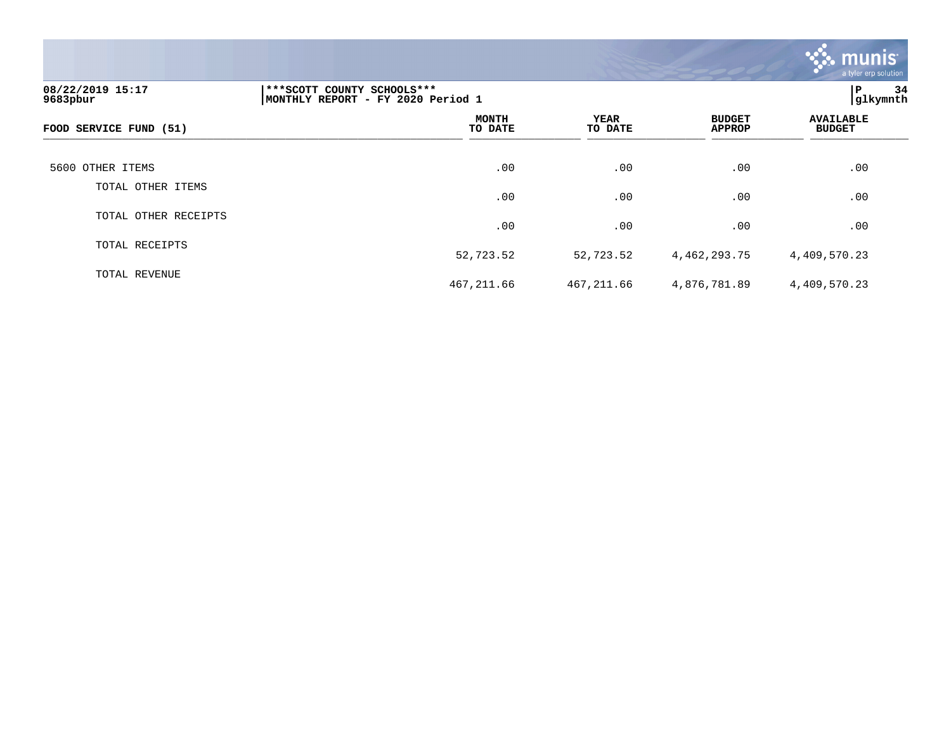

| 08/22/2019 15:17<br>9683pbur | ***SCOTT COUNTY SCHOOLS***<br>MONTHLY REPORT - FY 2020 Period 1 |                 |                                |                                   |
|------------------------------|-----------------------------------------------------------------|-----------------|--------------------------------|-----------------------------------|
| FOOD SERVICE FUND (51)       | <b>MONTH</b><br>TO DATE                                         | YEAR<br>TO DATE | <b>BUDGET</b><br><b>APPROP</b> | <b>AVAILABLE</b><br><b>BUDGET</b> |
| 5600 OTHER ITEMS             | .00                                                             | .00             | .00                            | .00                               |
| TOTAL OTHER ITEMS            | .00                                                             | .00             | .00                            | .00                               |
| TOTAL OTHER RECEIPTS         | .00                                                             | .00             | .00                            | .00                               |
| TOTAL RECEIPTS               | 52,723.52                                                       | 52,723.52       | 4,462,293.75                   | 4,409,570.23                      |
| TOTAL REVENUE                | 467, 211.66                                                     | 467,211.66      | 4,876,781.89                   | 4,409,570.23                      |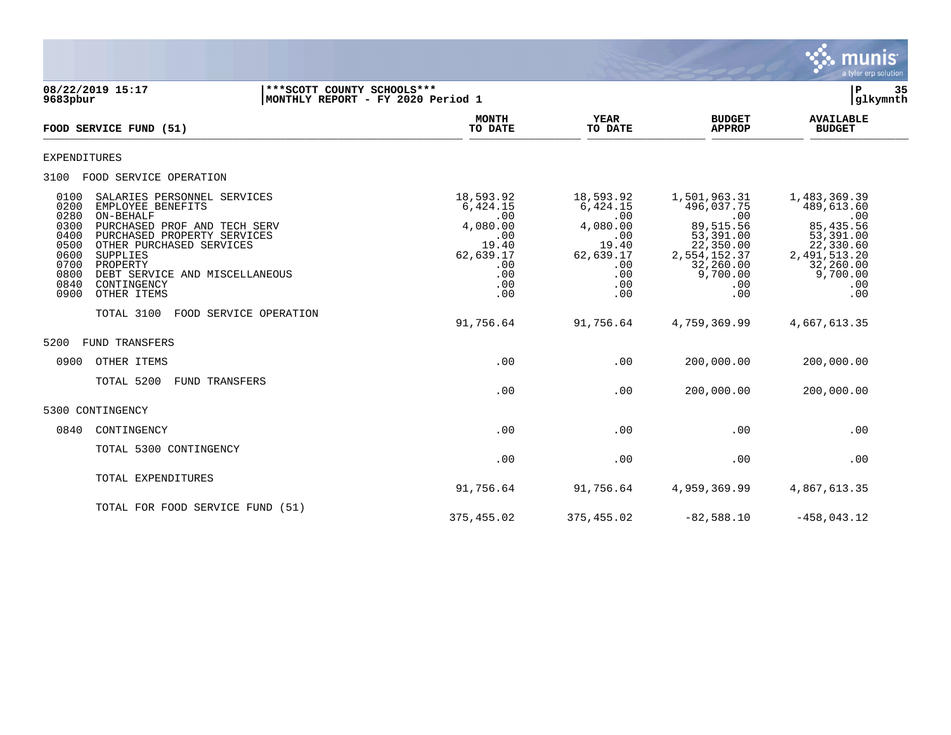

| 08/22/2019 15:17<br>9683pbur                                                                                                                                                                                                                                                                                                             | *** SCOTT COUNTY SCHOOLS ***<br>MONTHLY REPORT - FY 2020 Period 1 |                                                                                                   |                                                                                                   |                                                                                                                                 | ${\bf P}$<br>35<br>glkymnth                                                                                                      |
|------------------------------------------------------------------------------------------------------------------------------------------------------------------------------------------------------------------------------------------------------------------------------------------------------------------------------------------|-------------------------------------------------------------------|---------------------------------------------------------------------------------------------------|---------------------------------------------------------------------------------------------------|---------------------------------------------------------------------------------------------------------------------------------|----------------------------------------------------------------------------------------------------------------------------------|
| FOOD SERVICE FUND (51)                                                                                                                                                                                                                                                                                                                   |                                                                   | <b>MONTH</b><br>TO DATE                                                                           | <b>YEAR</b><br>TO DATE                                                                            | <b>BUDGET</b><br><b>APPROP</b>                                                                                                  | <b>AVAILABLE</b><br><b>BUDGET</b>                                                                                                |
| <b>EXPENDITURES</b>                                                                                                                                                                                                                                                                                                                      |                                                                   |                                                                                                   |                                                                                                   |                                                                                                                                 |                                                                                                                                  |
| FOOD SERVICE OPERATION<br>3100                                                                                                                                                                                                                                                                                                           |                                                                   |                                                                                                   |                                                                                                   |                                                                                                                                 |                                                                                                                                  |
| 0100<br>SALARIES PERSONNEL SERVICES<br>0200<br>EMPLOYEE BENEFITS<br>ON-BEHALF<br>0280<br>0300<br>PURCHASED PROF AND TECH SERV<br>0400<br>PURCHASED PROPERTY SERVICES<br>0500<br>OTHER PURCHASED SERVICES<br>0600<br>SUPPLIES<br>0700<br>PROPERTY<br>0800<br>DEBT SERVICE AND MISCELLANEOUS<br>0840<br>CONTINGENCY<br>0900<br>OTHER ITEMS |                                                                   | 18,593.92<br>6,424.15<br>.00<br>4,080.00<br>.00<br>19.40<br>62,639.17<br>.00<br>.00<br>.00<br>.00 | 18,593.92<br>6,424.15<br>.00<br>4,080.00<br>.00<br>19.40<br>62,639.17<br>.00<br>.00<br>.00<br>.00 | 1,501,963.31<br>496,037.75<br>.00<br>89,515.56<br>53,391.00<br>22,350.00<br>2,554,152.37<br>32,260.00<br>9,700.00<br>.00<br>.00 | 1,483,369.39<br>489,613.60<br>.00<br>85, 435.56<br>53,391.00<br>22,330.60<br>2,491,513.20<br>32,260.00<br>9,700.00<br>.00<br>.00 |
| TOTAL 3100                                                                                                                                                                                                                                                                                                                               | FOOD SERVICE OPERATION                                            | 91,756.64                                                                                         | 91,756.64                                                                                         | 4,759,369.99                                                                                                                    | 4,667,613.35                                                                                                                     |
| 5200<br>FUND TRANSFERS                                                                                                                                                                                                                                                                                                                   |                                                                   |                                                                                                   |                                                                                                   |                                                                                                                                 |                                                                                                                                  |
| 0900<br>OTHER ITEMS                                                                                                                                                                                                                                                                                                                      |                                                                   | .00                                                                                               | .00                                                                                               | 200,000.00                                                                                                                      | 200,000.00                                                                                                                       |
| TOTAL 5200                                                                                                                                                                                                                                                                                                                               | <b>FUND TRANSFERS</b>                                             | .00                                                                                               | .00                                                                                               | 200,000.00                                                                                                                      | 200,000.00                                                                                                                       |
| 5300 CONTINGENCY                                                                                                                                                                                                                                                                                                                         |                                                                   |                                                                                                   |                                                                                                   |                                                                                                                                 |                                                                                                                                  |
| 0840<br>CONTINGENCY                                                                                                                                                                                                                                                                                                                      |                                                                   | .00                                                                                               | .00                                                                                               | .00                                                                                                                             | .00                                                                                                                              |
| TOTAL 5300 CONTINGENCY                                                                                                                                                                                                                                                                                                                   |                                                                   | .00                                                                                               | .00                                                                                               | .00                                                                                                                             | .00                                                                                                                              |
| TOTAL EXPENDITURES                                                                                                                                                                                                                                                                                                                       |                                                                   | 91,756.64                                                                                         | 91,756.64                                                                                         | 4,959,369.99                                                                                                                    | 4,867,613.35                                                                                                                     |
| TOTAL FOR FOOD SERVICE FUND (51)                                                                                                                                                                                                                                                                                                         |                                                                   | 375,455.02                                                                                        | 375,455.02                                                                                        | $-82,588.10$                                                                                                                    | $-458,043.12$                                                                                                                    |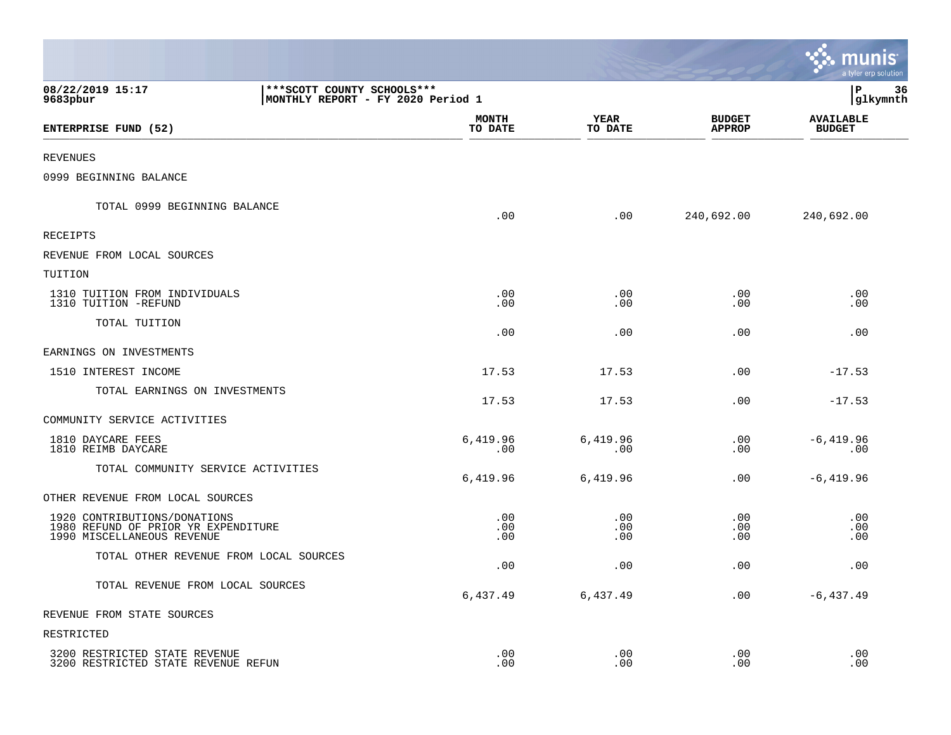|                                                                                                   |                                                                    |                         |                   |                                | munis<br>a tyler erp solution     |    |
|---------------------------------------------------------------------------------------------------|--------------------------------------------------------------------|-------------------------|-------------------|--------------------------------|-----------------------------------|----|
| 08/22/2019 15:17<br>9683pbur                                                                      | *** SCOTT COUNTY SCHOOLS ***<br> MONTHLY REPORT - FY 2020 Period 1 |                         |                   |                                | lР<br> glkymnth                   | 36 |
| ENTERPRISE FUND (52)                                                                              |                                                                    | <b>MONTH</b><br>TO DATE | YEAR<br>TO DATE   | <b>BUDGET</b><br><b>APPROP</b> | <b>AVAILABLE</b><br><b>BUDGET</b> |    |
| <b>REVENUES</b>                                                                                   |                                                                    |                         |                   |                                |                                   |    |
| 0999 BEGINNING BALANCE                                                                            |                                                                    |                         |                   |                                |                                   |    |
| TOTAL 0999 BEGINNING BALANCE                                                                      |                                                                    | .00                     | .00               | 240,692.00                     | 240,692.00                        |    |
| RECEIPTS                                                                                          |                                                                    |                         |                   |                                |                                   |    |
| REVENUE FROM LOCAL SOURCES                                                                        |                                                                    |                         |                   |                                |                                   |    |
| TUITION                                                                                           |                                                                    |                         |                   |                                |                                   |    |
| 1310 TUITION FROM INDIVIDUALS<br>1310 TUITION -REFUND                                             |                                                                    | .00<br>.00              | .00<br>.00        | .00<br>.00                     | .00<br>.00                        |    |
| TOTAL TUITION                                                                                     |                                                                    | .00                     | .00               | .00                            | .00                               |    |
| EARNINGS ON INVESTMENTS                                                                           |                                                                    |                         |                   |                                |                                   |    |
| 1510 INTEREST INCOME                                                                              |                                                                    | 17.53                   | 17.53             | .00                            | $-17.53$                          |    |
| TOTAL EARNINGS ON INVESTMENTS                                                                     |                                                                    | 17.53                   | 17.53             | .00                            | $-17.53$                          |    |
| COMMUNITY SERVICE ACTIVITIES                                                                      |                                                                    |                         |                   |                                |                                   |    |
| 1810 DAYCARE FEES<br>1810 REIMB DAYCARE                                                           |                                                                    | 6,419.96<br>.00         | 6,419.96<br>.00   | .00<br>.00                     | $-6, 419.96$<br>.00               |    |
| TOTAL COMMUNITY SERVICE ACTIVITIES                                                                |                                                                    | 6,419.96                | 6,419.96          | .00                            | $-6, 419.96$                      |    |
| OTHER REVENUE FROM LOCAL SOURCES                                                                  |                                                                    |                         |                   |                                |                                   |    |
| 1920 CONTRIBUTIONS/DONATIONS<br>1980 REFUND OF PRIOR YR EXPENDITURE<br>1990 MISCELLANEOUS REVENUE |                                                                    | .00<br>.00<br>.00       | .00<br>.00<br>.00 | .00<br>.00<br>.00              | .00<br>.00<br>.00                 |    |
| TOTAL OTHER REVENUE FROM LOCAL SOURCES                                                            |                                                                    | .00                     | .00               | .00                            | .00                               |    |
| TOTAL REVENUE FROM LOCAL SOURCES                                                                  |                                                                    | 6,437.49                | 6,437.49          | .00                            | $-6, 437.49$                      |    |
| REVENUE FROM STATE SOURCES                                                                        |                                                                    |                         |                   |                                |                                   |    |
| RESTRICTED                                                                                        |                                                                    |                         |                   |                                |                                   |    |
| 3200 RESTRICTED STATE REVENUE<br>3200 RESTRICTED STATE REVENUE REFUN                              |                                                                    | .00<br>.00              | .00<br>.00        | .00<br>.00                     | .00<br>.00                        |    |

the contract of the state of the con-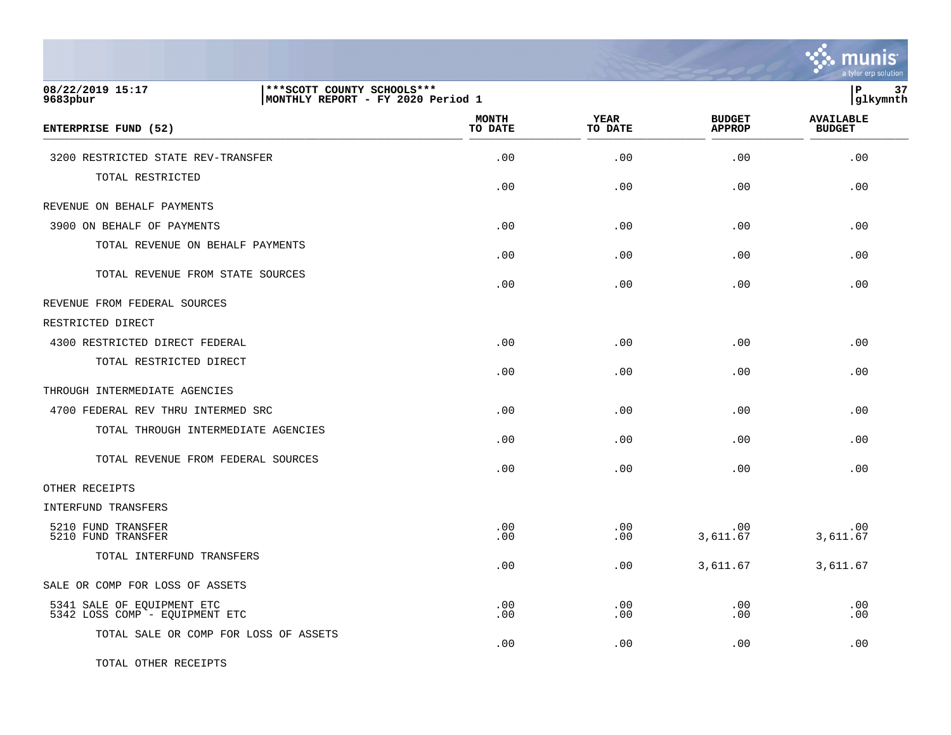

| 08/22/2019 15:17<br>9683pbur                                 | *** SCOTT COUNTY SCHOOLS ***<br>MONTHLY REPORT - FY 2020 Period 1 |                         | 37<br> P<br>glkymnth   |                                |                                   |
|--------------------------------------------------------------|-------------------------------------------------------------------|-------------------------|------------------------|--------------------------------|-----------------------------------|
| ENTERPRISE FUND (52)                                         |                                                                   | <b>MONTH</b><br>TO DATE | <b>YEAR</b><br>TO DATE | <b>BUDGET</b><br><b>APPROP</b> | <b>AVAILABLE</b><br><b>BUDGET</b> |
| 3200 RESTRICTED STATE REV-TRANSFER                           |                                                                   | .00                     | .00                    | .00                            | .00                               |
| TOTAL RESTRICTED                                             |                                                                   | .00                     | .00                    | .00                            | .00                               |
| REVENUE ON BEHALF PAYMENTS                                   |                                                                   |                         |                        |                                |                                   |
| 3900 ON BEHALF OF PAYMENTS                                   |                                                                   | .00                     | .00                    | .00                            | .00                               |
| TOTAL REVENUE ON BEHALF PAYMENTS                             |                                                                   | .00                     | .00                    | .00                            | .00                               |
| TOTAL REVENUE FROM STATE SOURCES                             |                                                                   | .00                     | .00                    | .00                            | .00                               |
| REVENUE FROM FEDERAL SOURCES                                 |                                                                   |                         |                        |                                |                                   |
| RESTRICTED DIRECT                                            |                                                                   |                         |                        |                                |                                   |
| 4300 RESTRICTED DIRECT FEDERAL                               |                                                                   | .00                     | .00                    | .00                            | .00                               |
| TOTAL RESTRICTED DIRECT                                      |                                                                   | .00                     | .00                    | .00                            | .00                               |
| THROUGH INTERMEDIATE AGENCIES                                |                                                                   |                         |                        |                                |                                   |
| 4700 FEDERAL REV THRU INTERMED SRC                           |                                                                   | .00                     | .00                    | .00                            | .00                               |
| TOTAL THROUGH INTERMEDIATE AGENCIES                          |                                                                   | .00                     | .00                    | .00                            | .00                               |
| TOTAL REVENUE FROM FEDERAL SOURCES                           |                                                                   | .00                     | .00                    | .00                            | .00                               |
| OTHER RECEIPTS                                               |                                                                   |                         |                        |                                |                                   |
| <b>INTERFUND TRANSFERS</b>                                   |                                                                   |                         |                        |                                |                                   |
| 5210 FUND TRANSFER<br>5210 FUND TRANSFER                     |                                                                   | .00<br>.00              | .00<br>.00             | .00<br>3,611.67                | .00<br>3,611.67                   |
| TOTAL INTERFUND TRANSFERS                                    |                                                                   | .00                     | .00                    | 3,611.67                       | 3,611.67                          |
| SALE OR COMP FOR LOSS OF ASSETS                              |                                                                   |                         |                        |                                |                                   |
| 5341 SALE OF EQUIPMENT ETC<br>5342 LOSS COMP - EQUIPMENT ETC |                                                                   | .00<br>.00              | .00<br>.00             | .00<br>.00                     | .00<br>.00                        |
| TOTAL SALE OR COMP FOR LOSS OF ASSETS                        |                                                                   | .00                     | .00                    | .00                            | .00                               |

TOTAL OTHER RECEIPTS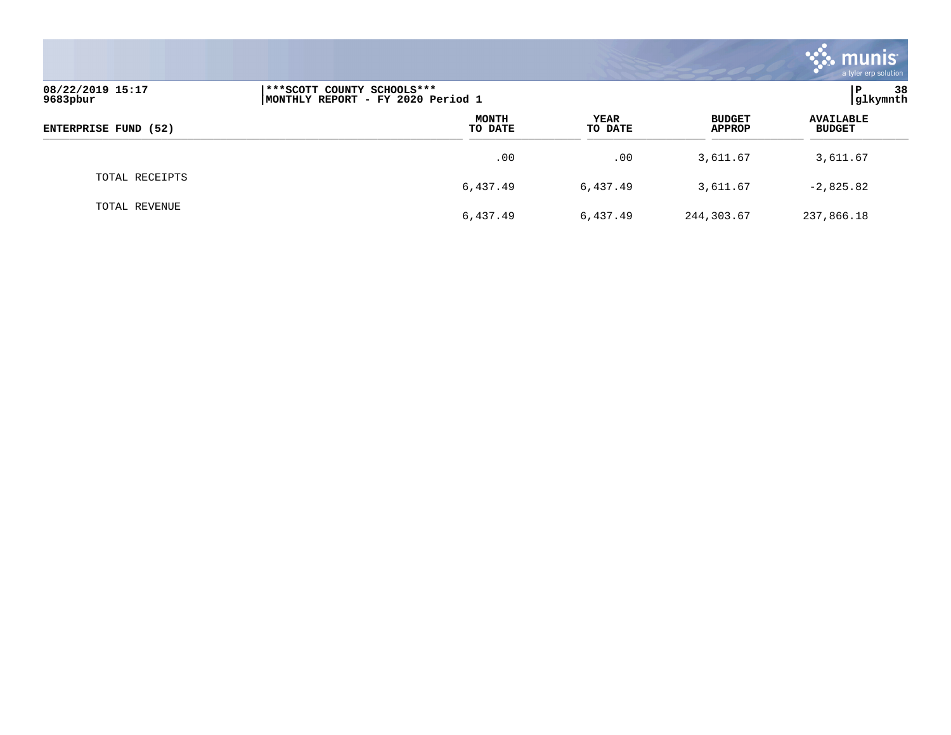|                              |                                                                 |                     |                                | <b>S. munis</b><br>a tyler erp solution |
|------------------------------|-----------------------------------------------------------------|---------------------|--------------------------------|-----------------------------------------|
| 08/22/2019 15:17<br>9683pbur | ***SCOTT COUNTY SCHOOLS***<br>MONTHLY REPORT - FY 2020 Period 1 | 38<br>Р<br>glkymnth |                                |                                         |
| ENTERPRISE FUND (52)         | <b>MONTH</b><br>TO DATE                                         | YEAR<br>TO DATE     | <b>BUDGET</b><br><b>APPROP</b> | <b>AVAILABLE</b><br><b>BUDGET</b>       |
|                              | .00                                                             | .00                 | 3,611.67                       | 3,611.67                                |
| TOTAL RECEIPTS               | 6,437.49                                                        | 6,437.49            | 3,611.67                       | $-2,825.82$                             |
| TOTAL REVENUE                | 6,437.49                                                        | 6,437.49            | 244,303.67                     | 237,866.18                              |

and the contract of the contract of the contract of the contract of the contract of the contract of the contract of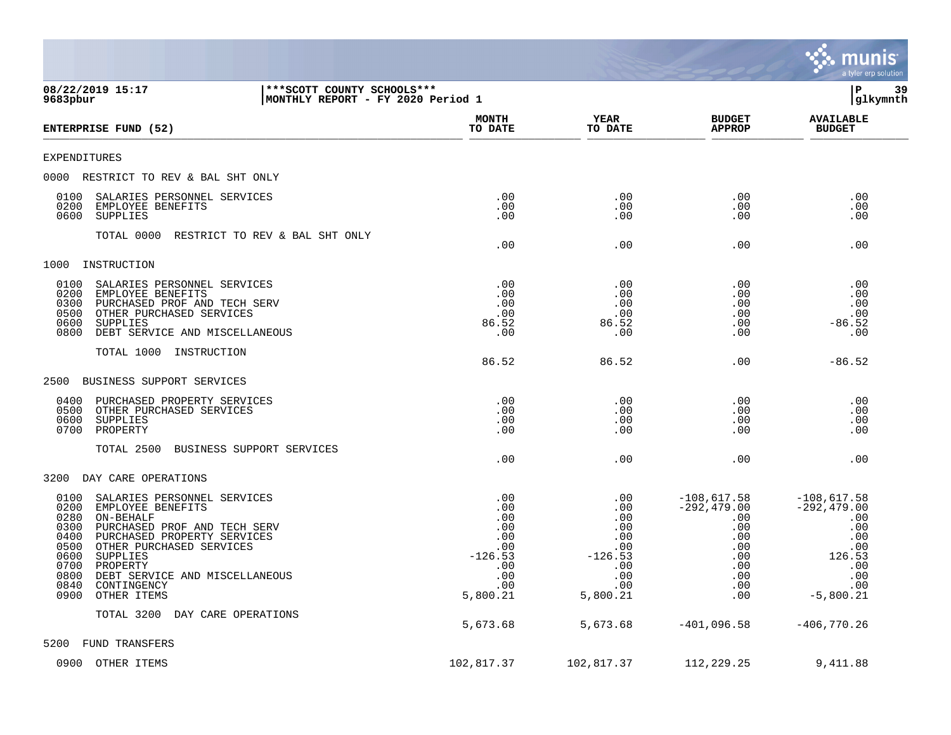|                                                                                                                                                                                                                                                                                                                                       |                                                                                      |                                                                                           |                                                                                                               | munis<br>a tyler erp solution                                                                             |
|---------------------------------------------------------------------------------------------------------------------------------------------------------------------------------------------------------------------------------------------------------------------------------------------------------------------------------------|--------------------------------------------------------------------------------------|-------------------------------------------------------------------------------------------|---------------------------------------------------------------------------------------------------------------|-----------------------------------------------------------------------------------------------------------|
| 08/22/2019 15:17<br>***SCOTT COUNTY SCHOOLS***<br>9683pbur<br>MONTHLY REPORT - FY 2020 Period 1                                                                                                                                                                                                                                       |                                                                                      |                                                                                           |                                                                                                               | ΙP<br>39<br> glkymnth                                                                                     |
| ENTERPRISE FUND (52)                                                                                                                                                                                                                                                                                                                  | <b>MONTH</b><br>TO DATE                                                              | <b>YEAR</b><br>TO DATE                                                                    | <b>BUDGET</b><br><b>APPROP</b>                                                                                | <b>AVAILABLE</b><br><b>BUDGET</b>                                                                         |
| EXPENDITURES                                                                                                                                                                                                                                                                                                                          |                                                                                      |                                                                                           |                                                                                                               |                                                                                                           |
| 0000 RESTRICT TO REV & BAL SHT ONLY                                                                                                                                                                                                                                                                                                   |                                                                                      |                                                                                           |                                                                                                               |                                                                                                           |
| 0100<br>SALARIES PERSONNEL SERVICES<br>0200<br>EMPLOYEE BENEFITS<br>0600<br>SUPPLIES                                                                                                                                                                                                                                                  | .00<br>.00<br>.00                                                                    | .00<br>.00<br>.00                                                                         | .00<br>.00<br>.00                                                                                             | .00<br>.00<br>.00                                                                                         |
| TOTAL 0000<br>RESTRICT TO REV & BAL SHT ONLY                                                                                                                                                                                                                                                                                          | .00                                                                                  | .00                                                                                       | .00                                                                                                           | .00                                                                                                       |
| 1000<br>INSTRUCTION                                                                                                                                                                                                                                                                                                                   |                                                                                      |                                                                                           |                                                                                                               |                                                                                                           |
| 0100<br>SALARIES PERSONNEL SERVICES<br>0200<br>EMPLOYEE BENEFITS<br>0300<br>PURCHASED PROF AND TECH SERV<br>0500<br>OTHER PURCHASED SERVICES<br>0600<br>SUPPLIES<br>0800<br>DEBT SERVICE AND MISCELLANEOUS                                                                                                                            | .00<br>.00<br>.00<br>.00<br>86.52<br>.00                                             | .00<br>.00<br>.00<br>.00<br>86.52<br>.00                                                  | .00<br>.00<br>.00<br>$.00 \,$<br>.00<br>.00                                                                   | .00<br>.00<br>.00<br>.00<br>$-86.52$<br>.00                                                               |
| TOTAL 1000<br>INSTRUCTION                                                                                                                                                                                                                                                                                                             |                                                                                      |                                                                                           |                                                                                                               |                                                                                                           |
| 2500<br>BUSINESS SUPPORT SERVICES                                                                                                                                                                                                                                                                                                     | 86.52                                                                                | 86.52                                                                                     | .00                                                                                                           | $-86.52$                                                                                                  |
| 0400<br>PURCHASED PROPERTY SERVICES<br>0500<br>OTHER PURCHASED SERVICES<br>0600<br>SUPPLIES<br>0700<br>PROPERTY                                                                                                                                                                                                                       | .00<br>.00<br>.00<br>.00                                                             | .00<br>.00<br>.00<br>.00                                                                  | .00<br>.00<br>.00<br>.00                                                                                      | .00<br>.00<br>.00<br>.00                                                                                  |
| TOTAL 2500<br>BUSINESS SUPPORT SERVICES                                                                                                                                                                                                                                                                                               | .00                                                                                  | .00                                                                                       | .00                                                                                                           | .00                                                                                                       |
| DAY CARE OPERATIONS<br>3200                                                                                                                                                                                                                                                                                                           |                                                                                      |                                                                                           |                                                                                                               |                                                                                                           |
| 0100<br>SALARIES PERSONNEL SERVICES<br>0200<br>EMPLOYEE BENEFITS<br>0280<br>ON-BEHALF<br>0300<br>PURCHASED PROF AND TECH SERV<br>0400<br>PURCHASED PROPERTY SERVICES<br>0500<br>OTHER PURCHASED SERVICES<br>0600<br>SUPPLIES<br>0700<br>PROPERTY<br>0800 DEBT SERVICE AND MISCELLANEOUS<br>0840<br>CONTINGENCY<br>0900<br>OTHER ITEMS | .00<br>.00<br>.00<br>.00<br>.00<br>.00<br>$-126.53$<br>.00<br>.00<br>.00<br>5,800.21 | .00<br>.00<br>.00<br>.00<br>.00<br>.00<br>$-126.53$<br>.00<br>.00<br>$\ldots$<br>5,800.21 | $-108,617.58$<br>$-292, 479.00$<br>.00<br>.00<br>$.00 \,$<br>$.00 \,$<br>.00<br>.00<br>.00<br>.00<br>$.00 \,$ | $-108,617.58$<br>$-292, 479.00$<br>.00<br>.00<br>.00<br>.00<br>126.53<br>.00<br>.00<br>.00<br>$-5,800.21$ |
| TOTAL 3200 DAY CARE OPERATIONS                                                                                                                                                                                                                                                                                                        | 5,673.68                                                                             | 5,673.68                                                                                  | $-401,096.58$                                                                                                 | $-406,770.26$                                                                                             |
| 5200 FUND TRANSFERS                                                                                                                                                                                                                                                                                                                   |                                                                                      |                                                                                           |                                                                                                               |                                                                                                           |
| 0900 OTHER ITEMS                                                                                                                                                                                                                                                                                                                      | 102,817.37                                                                           | 102,817.37                                                                                | 112,229.25                                                                                                    | 9,411.88                                                                                                  |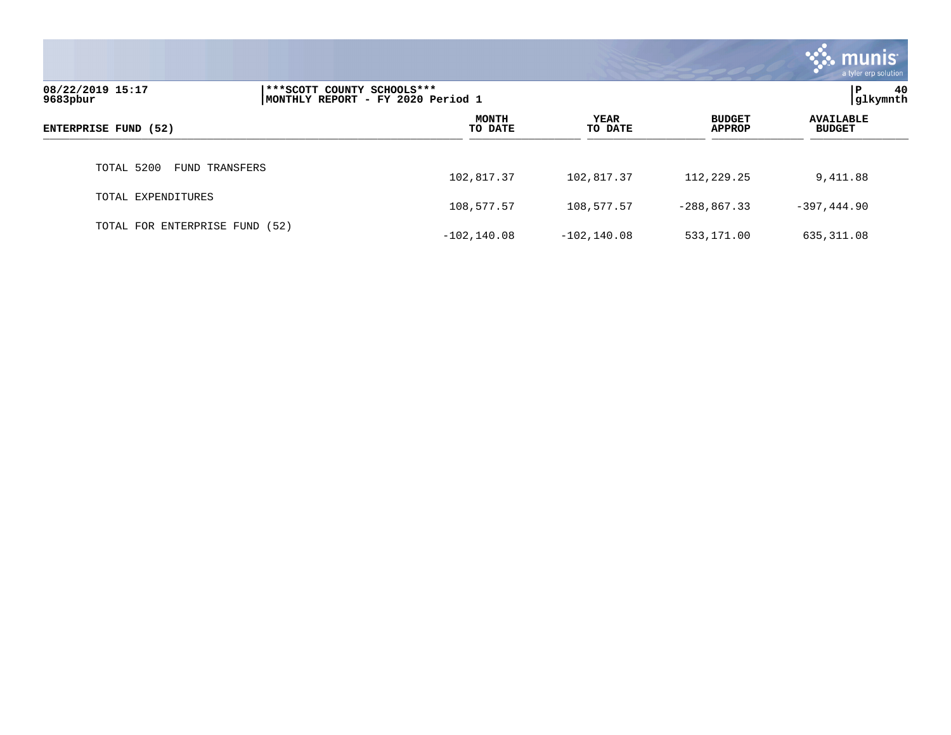|                                |                                                                 |                         |                 |                                | <b>munis</b><br>a tyler erp solution |
|--------------------------------|-----------------------------------------------------------------|-------------------------|-----------------|--------------------------------|--------------------------------------|
| 08/22/2019 15:17<br>9683pbur   | ***SCOTT COUNTY SCHOOLS***<br>MONTHLY REPORT - FY 2020 Period 1 |                         |                 |                                | 40<br>ΙP<br> glkymnth                |
| ENTERPRISE FUND (52)           |                                                                 | <b>MONTH</b><br>TO DATE | YEAR<br>TO DATE | <b>BUDGET</b><br><b>APPROP</b> | <b>AVAILABLE</b><br><b>BUDGET</b>    |
| TOTAL 5200                     | FUND TRANSFERS                                                  | 102,817.37              | 102,817.37      | 112,229.25                     | 9,411.88                             |
| TOTAL EXPENDITURES             |                                                                 | 108,577.57              | 108,577.57      | $-288, 867.33$                 | $-397, 444.90$                       |
| TOTAL FOR ENTERPRISE FUND (52) |                                                                 | $-102, 140.08$          | $-102, 140.08$  | 533,171.00                     | 635, 311.08                          |

 $\mathcal{L}^{\text{max}}$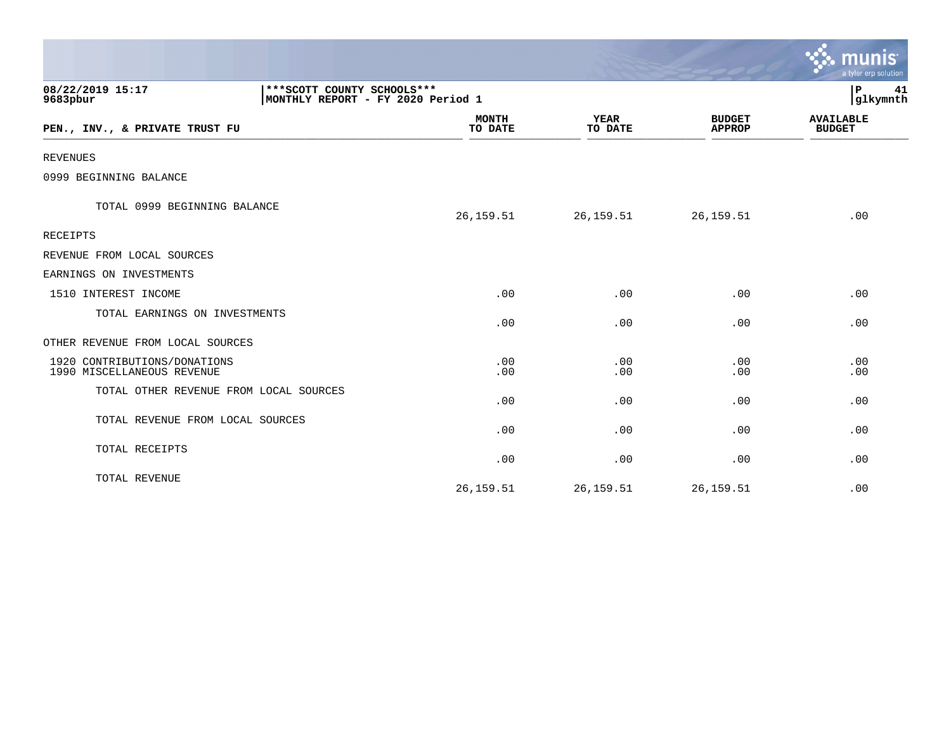|                                                                                                   |                         |                        |                                | munis<br>a tyler erp solution     |
|---------------------------------------------------------------------------------------------------|-------------------------|------------------------|--------------------------------|-----------------------------------|
| 08/22/2019 15:17<br>*** SCOTT COUNTY SCHOOLS ***<br>MONTHLY REPORT - FY 2020 Period 1<br>9683pbur |                         |                        |                                | IΡ<br>41<br>glkymnth              |
| PEN., INV., & PRIVATE TRUST FU                                                                    | <b>MONTH</b><br>TO DATE | <b>YEAR</b><br>TO DATE | <b>BUDGET</b><br><b>APPROP</b> | <b>AVAILABLE</b><br><b>BUDGET</b> |
| <b>REVENUES</b>                                                                                   |                         |                        |                                |                                   |
| 0999 BEGINNING BALANCE                                                                            |                         |                        |                                |                                   |
| TOTAL 0999 BEGINNING BALANCE                                                                      | 26, 159.51              | 26,159.51              | 26,159.51                      | .00                               |
| <b>RECEIPTS</b>                                                                                   |                         |                        |                                |                                   |
| REVENUE FROM LOCAL SOURCES                                                                        |                         |                        |                                |                                   |
| EARNINGS ON INVESTMENTS                                                                           |                         |                        |                                |                                   |
| 1510 INTEREST INCOME                                                                              | .00                     | .00                    | .00                            | .00                               |
| TOTAL EARNINGS ON INVESTMENTS                                                                     | .00                     | .00                    | .00                            | .00                               |
| OTHER REVENUE FROM LOCAL SOURCES                                                                  |                         |                        |                                |                                   |
| 1920 CONTRIBUTIONS/DONATIONS<br>1990 MISCELLANEOUS REVENUE                                        | .00<br>.00              | .00<br>.00             | .00<br>.00                     | .00<br>.00                        |
| TOTAL OTHER REVENUE FROM LOCAL SOURCES                                                            | .00                     | .00                    | .00                            | .00                               |
| TOTAL REVENUE FROM LOCAL SOURCES                                                                  | .00                     | .00                    | .00                            | .00                               |
| TOTAL RECEIPTS                                                                                    | .00                     | .00                    | .00                            | .00                               |
| TOTAL REVENUE                                                                                     | 26, 159.51              | 26, 159.51             | 26, 159.51                     | .00                               |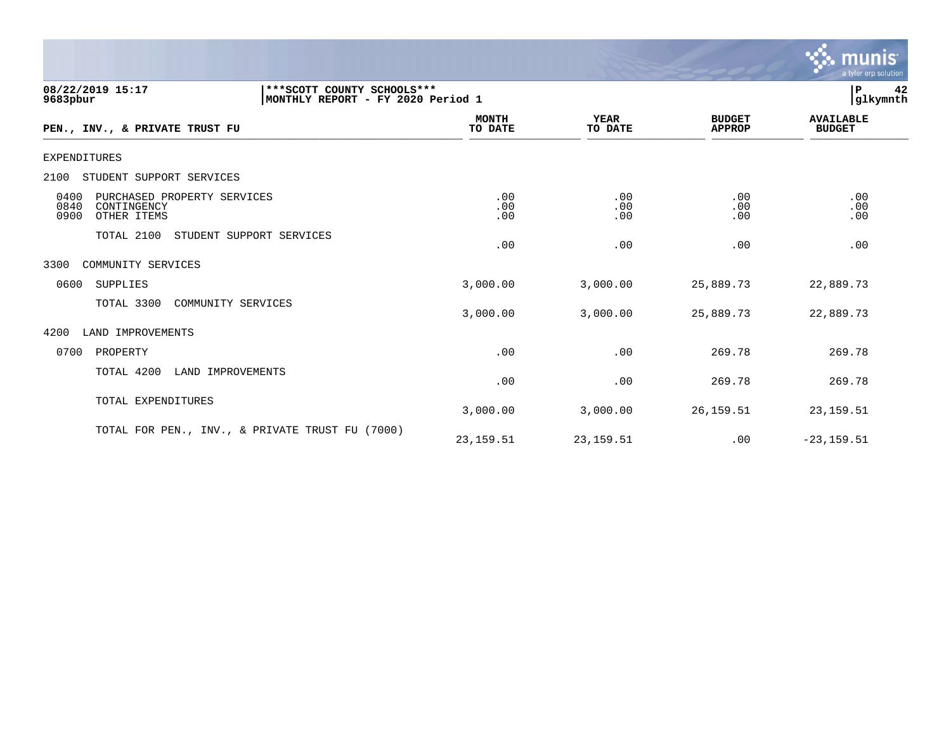

| 08/22/2019 15:17<br>***SCOTT COUNTY SCHOOLS***<br>9683pbur                        | MONTHLY REPORT - FY 2020 Period 1 |                        |                                | ∣P<br>42<br>glkymnth              |
|-----------------------------------------------------------------------------------|-----------------------------------|------------------------|--------------------------------|-----------------------------------|
| PEN., INV., & PRIVATE TRUST FU                                                    | <b>MONTH</b><br>TO DATE           | <b>YEAR</b><br>TO DATE | <b>BUDGET</b><br><b>APPROP</b> | <b>AVAILABLE</b><br><b>BUDGET</b> |
| <b>EXPENDITURES</b>                                                               |                                   |                        |                                |                                   |
| STUDENT SUPPORT SERVICES<br>2100                                                  |                                   |                        |                                |                                   |
| 0400<br>PURCHASED PROPERTY SERVICES<br>0840<br>CONTINGENCY<br>OTHER ITEMS<br>0900 | .00<br>.00<br>.00                 | .00<br>.00<br>.00      | .00<br>.00<br>.00              | .00<br>.00<br>.00                 |
| STUDENT SUPPORT SERVICES<br>TOTAL 2100                                            | .00                               | .00                    | .00                            | .00                               |
| COMMUNITY SERVICES<br>3300                                                        |                                   |                        |                                |                                   |
| 0600<br>SUPPLIES                                                                  | 3,000.00                          | 3,000.00               | 25,889.73                      | 22,889.73                         |
| TOTAL 3300<br>COMMUNITY SERVICES                                                  | 3,000.00                          | 3,000.00               | 25,889.73                      | 22,889.73                         |
| 4200<br>LAND IMPROVEMENTS                                                         |                                   |                        |                                |                                   |
| 0700<br>PROPERTY                                                                  | .00                               | .00                    | 269.78                         | 269.78                            |
| TOTAL 4200<br>LAND IMPROVEMENTS                                                   | .00                               | .00                    | 269.78                         | 269.78                            |
| TOTAL EXPENDITURES                                                                | 3,000.00                          | 3,000.00               | 26,159.51                      | 23, 159. 51                       |
| TOTAL FOR PEN., INV., & PRIVATE TRUST FU (7000)                                   | 23, 159.51                        | 23, 159. 51            | .00                            | $-23, 159.51$                     |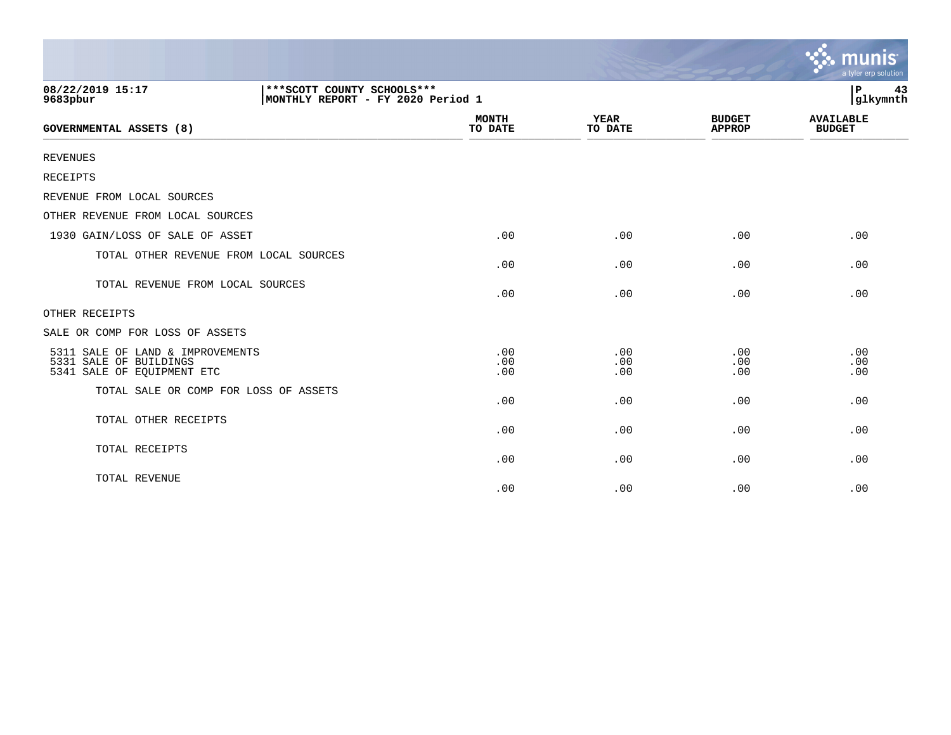|                                                                                                   |                         |                        |                                | munis<br>a tyler erp solution     |
|---------------------------------------------------------------------------------------------------|-------------------------|------------------------|--------------------------------|-----------------------------------|
| 08/22/2019 15:17<br>*** SCOTT COUNTY SCHOOLS ***<br>MONTHLY REPORT - FY 2020 Period 1<br>9683pbur |                         |                        |                                | l P<br>43<br>glkymnth             |
| <b>GOVERNMENTAL ASSETS (8)</b>                                                                    | <b>MONTH</b><br>TO DATE | <b>YEAR</b><br>TO DATE | <b>BUDGET</b><br><b>APPROP</b> | <b>AVAILABLE</b><br><b>BUDGET</b> |
| <b>REVENUES</b>                                                                                   |                         |                        |                                |                                   |
| RECEIPTS                                                                                          |                         |                        |                                |                                   |
| REVENUE FROM LOCAL SOURCES                                                                        |                         |                        |                                |                                   |
| OTHER REVENUE FROM LOCAL SOURCES                                                                  |                         |                        |                                |                                   |
| 1930 GAIN/LOSS OF SALE OF ASSET                                                                   | .00                     | .00                    | .00                            | .00                               |
| TOTAL OTHER REVENUE FROM LOCAL SOURCES                                                            | .00                     | .00                    | .00                            | .00                               |
| TOTAL REVENUE FROM LOCAL SOURCES                                                                  | .00                     | .00                    | .00                            | .00                               |
| OTHER RECEIPTS                                                                                    |                         |                        |                                |                                   |
| SALE OR COMP FOR LOSS OF ASSETS                                                                   |                         |                        |                                |                                   |
| 5311 SALE OF LAND & IMPROVEMENTS<br>5331 SALE OF BUILDINGS<br>5341 SALE OF EQUIPMENT ETC          | .00<br>.00<br>.00       | .00<br>.00<br>.00      | .00<br>.00<br>.00              | .00<br>.00<br>.00                 |
| TOTAL SALE OR COMP FOR LOSS OF ASSETS                                                             | .00                     | .00                    | .00                            | .00                               |
| TOTAL OTHER RECEIPTS                                                                              | .00                     | .00                    | .00                            | .00                               |
| TOTAL RECEIPTS                                                                                    | .00                     | .00                    | .00                            | .00                               |
| TOTAL REVENUE                                                                                     | .00                     | .00                    | .00                            | .00                               |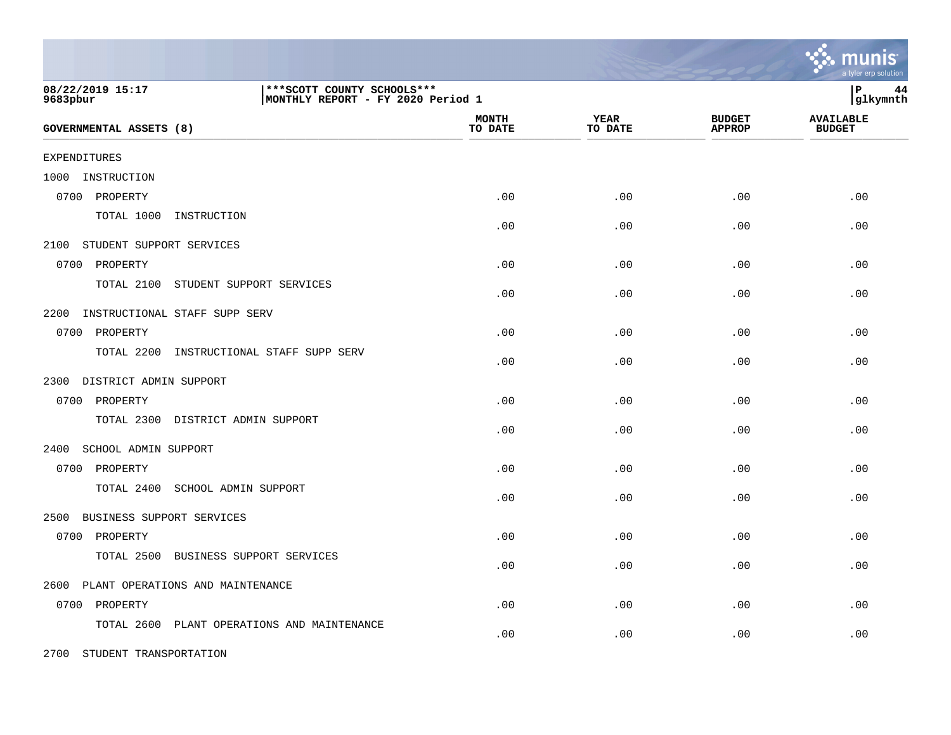|                                                                                                    |                         |                        |                                | a tyler erp solution              |
|----------------------------------------------------------------------------------------------------|-------------------------|------------------------|--------------------------------|-----------------------------------|
| 08/22/2019 15:17<br>*** SCOTT COUNTY SCHOOLS ***<br>9683pbur<br> MONTHLY REPORT - FY 2020 Period 1 |                         |                        |                                | P.<br>44<br>glkymnth              |
| GOVERNMENTAL ASSETS (8)                                                                            | <b>MONTH</b><br>TO DATE | <b>YEAR</b><br>TO DATE | <b>BUDGET</b><br><b>APPROP</b> | <b>AVAILABLE</b><br><b>BUDGET</b> |
| <b>EXPENDITURES</b>                                                                                |                         |                        |                                |                                   |
| 1000<br>INSTRUCTION                                                                                |                         |                        |                                |                                   |
| 0700 PROPERTY                                                                                      | .00                     | .00                    | .00                            | .00                               |
| TOTAL 1000<br>INSTRUCTION                                                                          | .00                     | .00                    | .00                            | .00                               |
| STUDENT SUPPORT SERVICES<br>2100                                                                   |                         |                        |                                |                                   |
| 0700 PROPERTY                                                                                      | .00                     | .00                    | .00                            | .00                               |
| TOTAL 2100<br>STUDENT SUPPORT SERVICES                                                             | .00                     | .00                    | .00                            | .00                               |
| 2200<br>INSTRUCTIONAL STAFF SUPP SERV                                                              |                         |                        |                                |                                   |
| 0700 PROPERTY                                                                                      | .00                     | .00                    | .00                            | .00                               |
| TOTAL 2200<br>INSTRUCTIONAL STAFF SUPP SERV                                                        | .00                     | .00                    | .00                            | .00                               |
| 2300 DISTRICT ADMIN SUPPORT                                                                        |                         |                        |                                |                                   |
| 0700 PROPERTY                                                                                      | .00                     | .00                    | .00                            | .00                               |
| TOTAL 2300 DISTRICT ADMIN SUPPORT                                                                  | .00                     | .00                    | .00                            | .00                               |
| 2400<br>SCHOOL ADMIN SUPPORT                                                                       |                         |                        |                                |                                   |
| 0700 PROPERTY                                                                                      | .00                     | .00                    | .00                            | .00                               |
| TOTAL 2400<br>SCHOOL ADMIN SUPPORT                                                                 | .00                     | .00                    | .00                            | .00                               |
| BUSINESS SUPPORT SERVICES<br>2500                                                                  |                         |                        |                                |                                   |
| 0700 PROPERTY                                                                                      | .00                     | .00                    | .00                            | .00                               |
| TOTAL 2500<br>BUSINESS SUPPORT SERVICES                                                            | .00                     | .00                    | .00                            | .00                               |
| PLANT OPERATIONS AND MAINTENANCE<br>2600                                                           |                         |                        |                                |                                   |
| 0700 PROPERTY                                                                                      | .00                     | .00                    | .00                            | .00                               |
| TOTAL 2600<br>PLANT OPERATIONS AND MAINTENANCE                                                     | .00                     | .00                    | .00                            | .00                               |
| 2700 STUDENT TRANSPORTATION                                                                        |                         |                        |                                |                                   |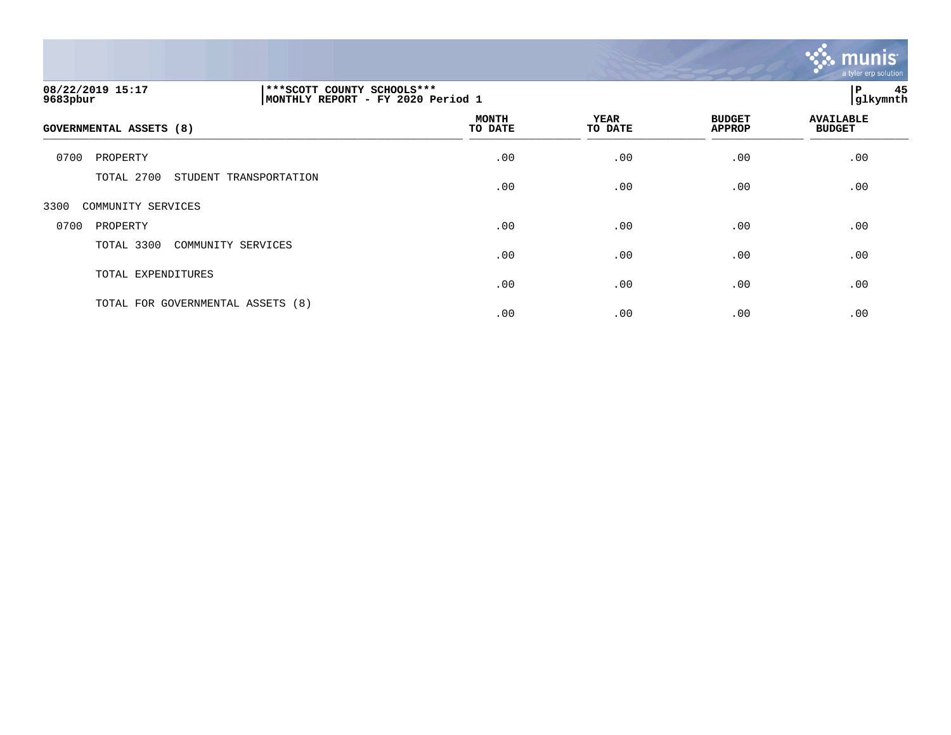

| 08/22/2019 15:17<br>9683pbur         | *** SCOTT COUNTY SCHOOLS ***<br>MONTHLY REPORT - FY 2020 Period 1 |                         |                 |                                | P<br>glkymnth                     | 45 |
|--------------------------------------|-------------------------------------------------------------------|-------------------------|-----------------|--------------------------------|-----------------------------------|----|
| GOVERNMENTAL ASSETS (8)              |                                                                   | <b>MONTH</b><br>TO DATE | YEAR<br>TO DATE | <b>BUDGET</b><br><b>APPROP</b> | <b>AVAILABLE</b><br><b>BUDGET</b> |    |
| 0700<br>PROPERTY                     |                                                                   | .00                     | .00             | .00                            | .00                               |    |
| TOTAL 2700<br>STUDENT TRANSPORTATION | .00                                                               | .00                     | .00             | .00                            |                                   |    |
| 3300<br>COMMUNITY SERVICES           |                                                                   |                         |                 |                                |                                   |    |
| 0700<br>PROPERTY                     |                                                                   | .00                     | .00             | .00                            | .00                               |    |
| TOTAL 3300                           | COMMUNITY SERVICES                                                | .00                     | .00             | .00                            | .00                               |    |
| TOTAL EXPENDITURES                   |                                                                   | .00                     | .00             | .00                            | .00                               |    |
| TOTAL FOR GOVERNMENTAL ASSETS (8)    |                                                                   | .00                     | .00             | .00                            | .00                               |    |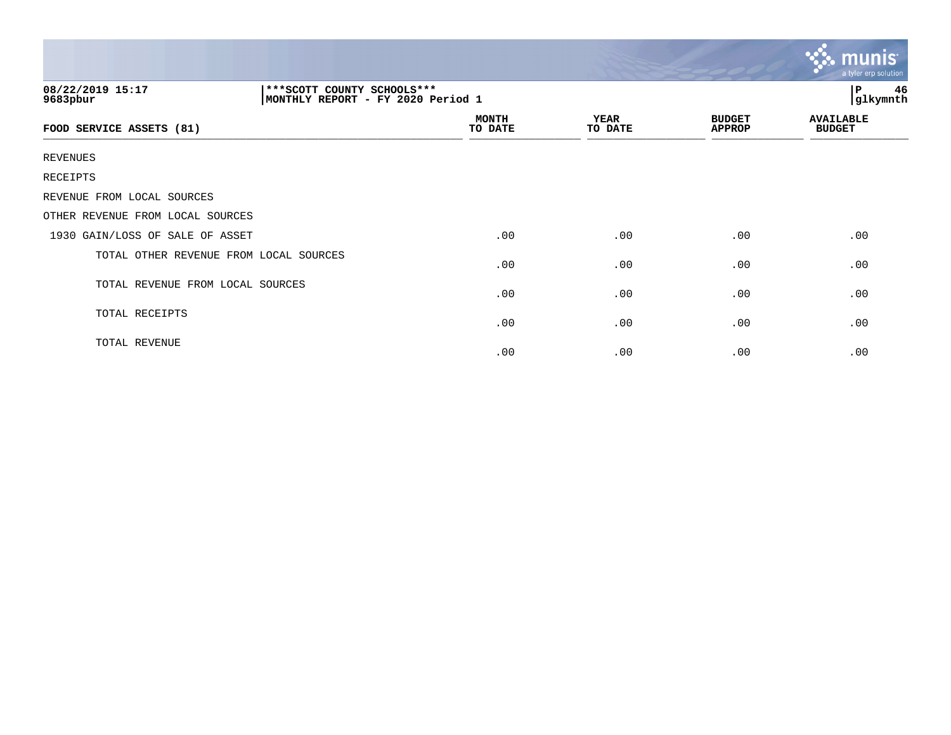|                                                                                                  |                         |                        |                                | munis<br>a tyler erp solution     |
|--------------------------------------------------------------------------------------------------|-------------------------|------------------------|--------------------------------|-----------------------------------|
| 08/22/2019 15:17<br>*** SCOTT COUNTY SCHOOLS***<br>MONTHLY REPORT - FY 2020 Period 1<br>9683pbur |                         |                        |                                | P<br>46<br>glkymnth               |
| FOOD SERVICE ASSETS (81)                                                                         | <b>MONTH</b><br>TO DATE | <b>YEAR</b><br>TO DATE | <b>BUDGET</b><br><b>APPROP</b> | <b>AVAILABLE</b><br><b>BUDGET</b> |
| <b>REVENUES</b>                                                                                  |                         |                        |                                |                                   |
| RECEIPTS                                                                                         |                         |                        |                                |                                   |
| REVENUE FROM LOCAL SOURCES                                                                       |                         |                        |                                |                                   |
| OTHER REVENUE FROM LOCAL SOURCES                                                                 |                         |                        |                                |                                   |
| 1930 GAIN/LOSS OF SALE OF ASSET                                                                  | .00                     | .00                    | .00                            | .00                               |
| TOTAL OTHER REVENUE FROM LOCAL SOURCES                                                           | .00                     | .00                    | .00                            | .00                               |
| TOTAL REVENUE FROM LOCAL SOURCES                                                                 | .00                     | .00                    | .00                            | .00                               |
| TOTAL RECEIPTS                                                                                   | .00                     | .00                    | .00                            | .00                               |
| TOTAL REVENUE                                                                                    | .00                     | .00                    | .00                            | .00                               |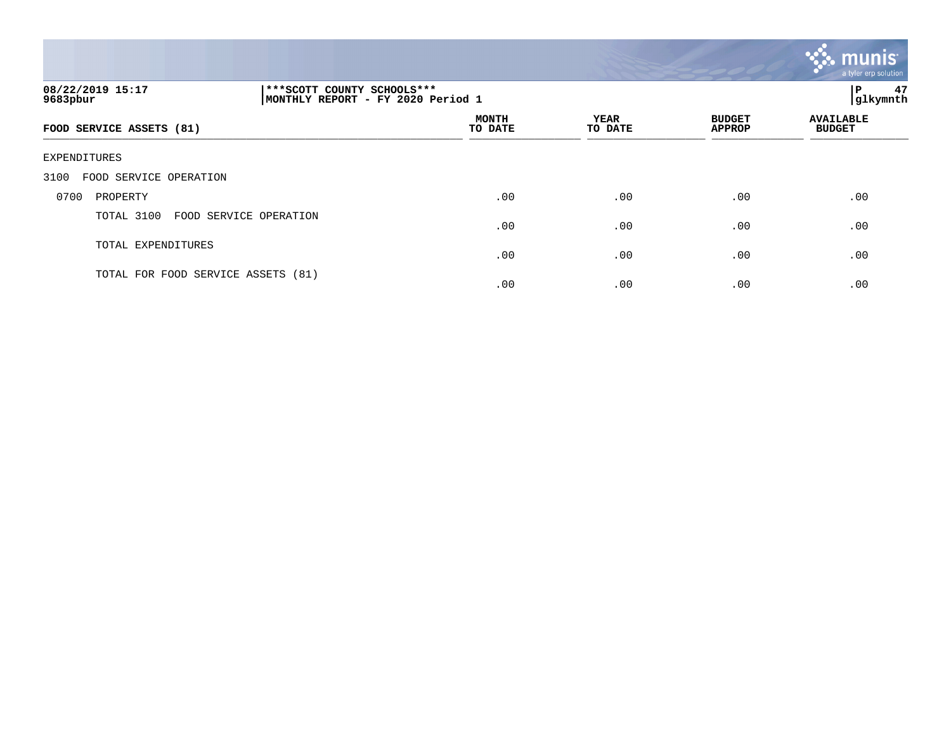|                                                                                                 |                         |                        |                                | <b>S. MUNIS</b><br>a tyler erp solution |  |
|-------------------------------------------------------------------------------------------------|-------------------------|------------------------|--------------------------------|-----------------------------------------|--|
| 08/22/2019 15:17<br>***SCOTT COUNTY SCHOOLS***<br>MONTHLY REPORT - FY 2020 Period 1<br>9683pbur |                         |                        |                                | 47<br>l P<br>glkymnth                   |  |
| FOOD SERVICE ASSETS (81)                                                                        | <b>MONTH</b><br>TO DATE | <b>YEAR</b><br>TO DATE | <b>BUDGET</b><br><b>APPROP</b> | <b>AVAILABLE</b><br><b>BUDGET</b>       |  |
| EXPENDITURES                                                                                    |                         |                        |                                |                                         |  |
| FOOD SERVICE OPERATION<br>3100                                                                  |                         |                        |                                |                                         |  |
| 0700<br>PROPERTY                                                                                | .00                     | .00                    | .00                            | .00                                     |  |
| TOTAL 3100<br>FOOD SERVICE OPERATION                                                            | .00                     | .00                    | .00                            | .00                                     |  |
| TOTAL EXPENDITURES                                                                              | .00                     | .00                    | .00                            | .00                                     |  |
| TOTAL FOR FOOD SERVICE ASSETS (81)                                                              | .00                     | .00                    | .00                            | .00                                     |  |

 $\mathcal{L}^{\bullet}$